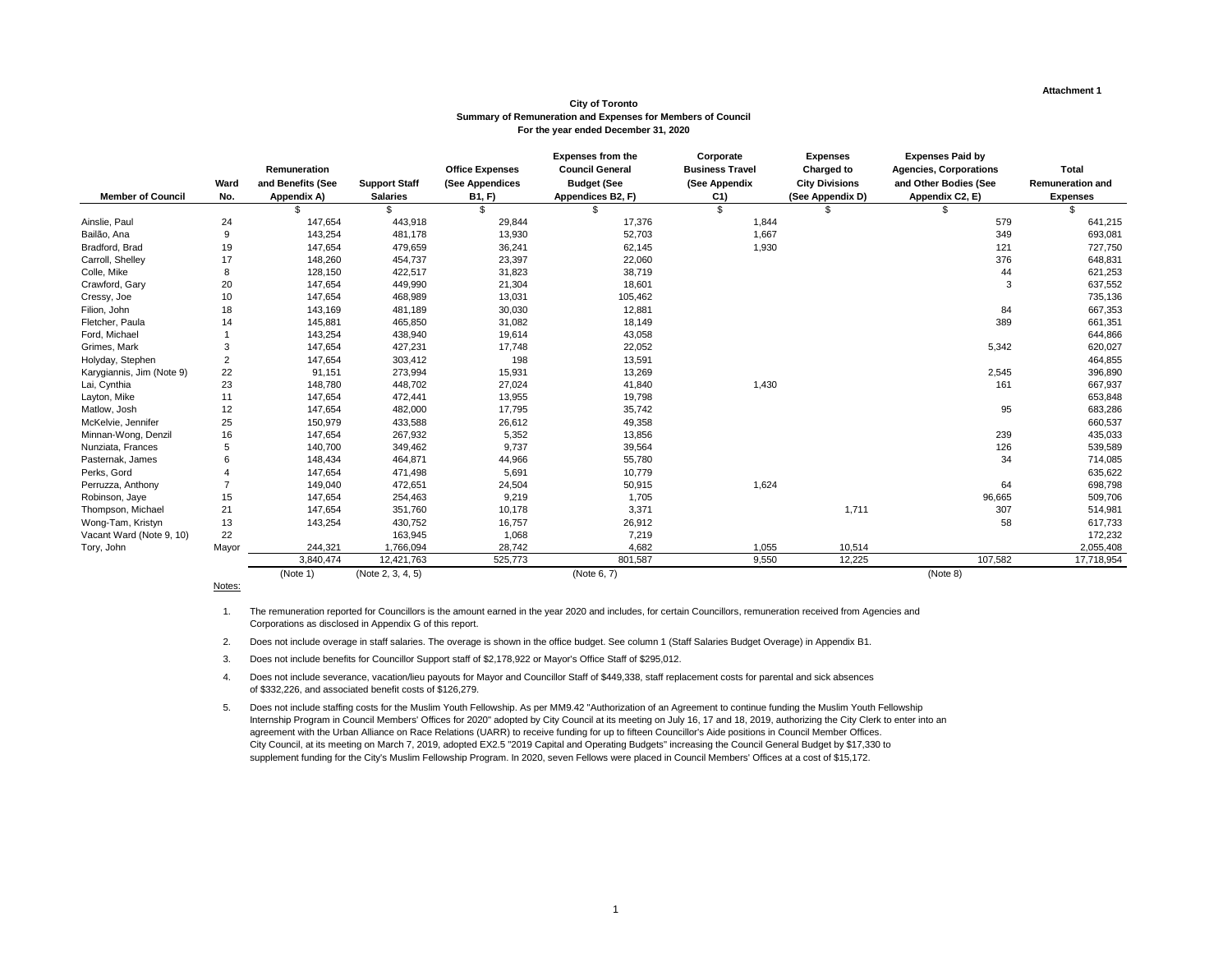#### **Attachment 1**

|                           |                |                    |                      |                        | <b>Expenses from the</b> | Corporate              | <b>Expenses</b>       | <b>Expenses Paid by</b>       |                         |
|---------------------------|----------------|--------------------|----------------------|------------------------|--------------------------|------------------------|-----------------------|-------------------------------|-------------------------|
|                           |                | Remuneration       |                      | <b>Office Expenses</b> | <b>Council General</b>   | <b>Business Travel</b> | <b>Charged to</b>     | <b>Agencies, Corporations</b> | <b>Total</b>            |
|                           | <b>Ward</b>    | and Benefits (See  | <b>Support Staff</b> | (See Appendices        | <b>Budget (See</b>       | (See Appendix          | <b>City Divisions</b> | and Other Bodies (See         | <b>Remuneration and</b> |
| <b>Member of Council</b>  | No.            | <b>Appendix A)</b> | <b>Salaries</b>      | <b>B1, F)</b>          | Appendices B2, F)        | C <sub>1</sub>         | (See Appendix D)      | Appendix C2, E)               | <b>Expenses</b>         |
|                           |                |                    | \$.                  | \$                     | \$.                      | $\mathfrak{L}$         |                       |                               | \$                      |
| Ainslie, Paul             | 24             | 147,654            | 443,918              | 29,844                 | 17,376                   | 1,844                  |                       | 579                           | 641,215                 |
| Bailão, Ana               | $\overline{9}$ | 143,254            | 481,178              | 13,930                 | 52,703                   | 1,667                  |                       | 349                           | 693,081                 |
| Bradford, Brad            | 19             | 147,654            | 479,659              | 36,241                 | 62,145                   | 1,930                  |                       | 121                           | 727,750                 |
| Carroll, Shelley          | 17             | 148,260            | 454,737              | 23,397                 | 22,060                   |                        |                       | 376                           | 648,831                 |
| Colle, Mike               | 8              | 128,150            | 422,517              | 31,823                 | 38,719                   |                        |                       | 44                            | 621,253                 |
| Crawford, Gary            | $20\,$         | 147,654            | 449,990              | 21,304                 | 18,601                   |                        |                       | $\mathbf{3}$                  | 637,552                 |
| Cressy, Joe               | 10             | 147,654            | 468,989              | 13,031                 | 105,462                  |                        |                       |                               | 735,136                 |
| Filion, John              | 18             | 143,169            | 481,189              | 30,030                 | 12,881                   |                        |                       | 84                            | 667,353                 |
| Fletcher, Paula           | 14             | 145,881            | 465,850              | 31,082                 | 18,149                   |                        |                       | 389                           | 661,351                 |
| Ford, Michael             |                | 143,254            | 438,940              | 19,614                 | 43,058                   |                        |                       |                               | 644,866                 |
| Grimes, Mark              | 3              | 147,654            | 427,231              | 17,748                 | 22,052                   |                        |                       | 5,342                         | 620,027                 |
| Holyday, Stephen          | $\overline{c}$ | 147,654            | 303,412              | 198                    | 13,591                   |                        |                       |                               | 464,855                 |
| Karygiannis, Jim (Note 9) | 22             | 91,151             | 273,994              | 15,931                 | 13,269                   |                        |                       | 2,545                         | 396,890                 |
| Lai, Cynthia              | 23             | 148,780            | 448,702              | 27,024                 | 41,840                   | 1,430                  |                       | 161                           | 667,937                 |
| Layton, Mike              | 11             | 147,654            | 472,441              | 13,955                 | 19,798                   |                        |                       |                               | 653,848                 |
| Matlow, Josh              | 12             | 147,654            | 482,000              | 17,795                 | 35,742                   |                        |                       | 95                            | 683,286                 |
| McKelvie, Jennifer        | 25             | 150,979            | 433,588              | 26,612                 | 49,358                   |                        |                       |                               | 660,537                 |
| Minnan-Wong, Denzil       | 16             | 147,654            | 267,932              | 5,352                  | 13,856                   |                        |                       | 239                           | 435,033                 |
| Nunziata, Frances         | 5              | 140,700            | 349,462              | 9,737                  | 39,564                   |                        |                       | 126                           | 539,589                 |
| Pasternak, James          | 6              | 148,434            | 464,871              | 44,966                 | 55,780                   |                        |                       | 34                            | 714,085                 |
| Perks, Gord               |                | 147,654            | 471,498              | 5,691                  | 10,779                   |                        |                       |                               | 635,622                 |
| Perruzza, Anthony         |                | 149,040            | 472,651              | 24,504                 | 50,915                   | 1,624                  |                       | 64                            | 698,798                 |
| Robinson, Jaye            | 15             | 147,654            | 254,463              | 9,219                  | 1,705                    |                        |                       | 96,665                        | 509,706                 |
| Thompson, Michael         | 21             | 147,654            | 351,760              | 10,178                 | 3,371                    |                        | 1,711                 | 307                           | 514,981                 |
| Wong-Tam, Kristyn         | 13             | 143,254            | 430,752              | 16,757                 | 26,912                   |                        |                       | 58                            | 617,733                 |
| Vacant Ward (Note 9, 10)  | 22             |                    | 163,945              | 1,068                  | 7,219                    |                        |                       |                               | 172,232                 |
| Tory, John                | Mayor          | 244,321            | 1,766,094            | 28,742                 | 4,682                    | 1,055                  | 10,514                |                               | 2,055,408               |
|                           |                | 3,840,474          | 12,421,763           | 525,773                | 801,587                  | 9,550                  | 12,225                | 107,582                       | 17,718,954              |
|                           |                | (Note 1)           | (Note 2, 3, 4, 5)    |                        | (Note 6, 7)              |                        |                       | (Note 8)                      |                         |

Notes:

#### **City of Toronto Summary of Remuneration and Expenses for Members of Council For the year ended December 31, 2020**

1. The remuneration reported for Councillors is the amount earned in the year 2020 and includes, for certain Councillors, remuneration received from Agencies and Corporations as disclosed in Appendix G of this report.

2. Does not include overage in staff salaries. The overage is shown in the office budget. See column 1 (Staff Salaries Budget Overage) in Appendix B1.

3. Does not include benefits for Councillor Support staff of \$2,178,922 or Mayor's Office Staff of \$295,012.

4. Does not include severance, vacation/lieu payouts for Mayor and Councillor Staff of \$449,338, staff replacement costs for parental and sick absences of \$332,226, and associated benefit costs of \$126,279.

5. Does not include staffing costs for the Muslim Youth Fellowship. As per MM9.42 "Authorization of an Agreement to continue funding the Muslim Youth Fellowship Internship Program in Council Members' Offices for 2020" adopted by City Council at its meeting on July 16, 17 and 18, 2019, authorizing the City Clerk to enter into an agreement with the Urban Alliance on Race Relations (UARR) to receive funding for up to fifteen Councillor's Aide positions in Council Member Offices. City Council, at its meeting on March 7, 2019, adopted EX2.5 "2019 Capital and Operating Budgets" increasing the Council General Budget by \$17,330 to supplement funding for the City's Muslim Fellowship Program. In 2020, seven Fellows were placed in Council Members' Offices at a cost of \$15,172.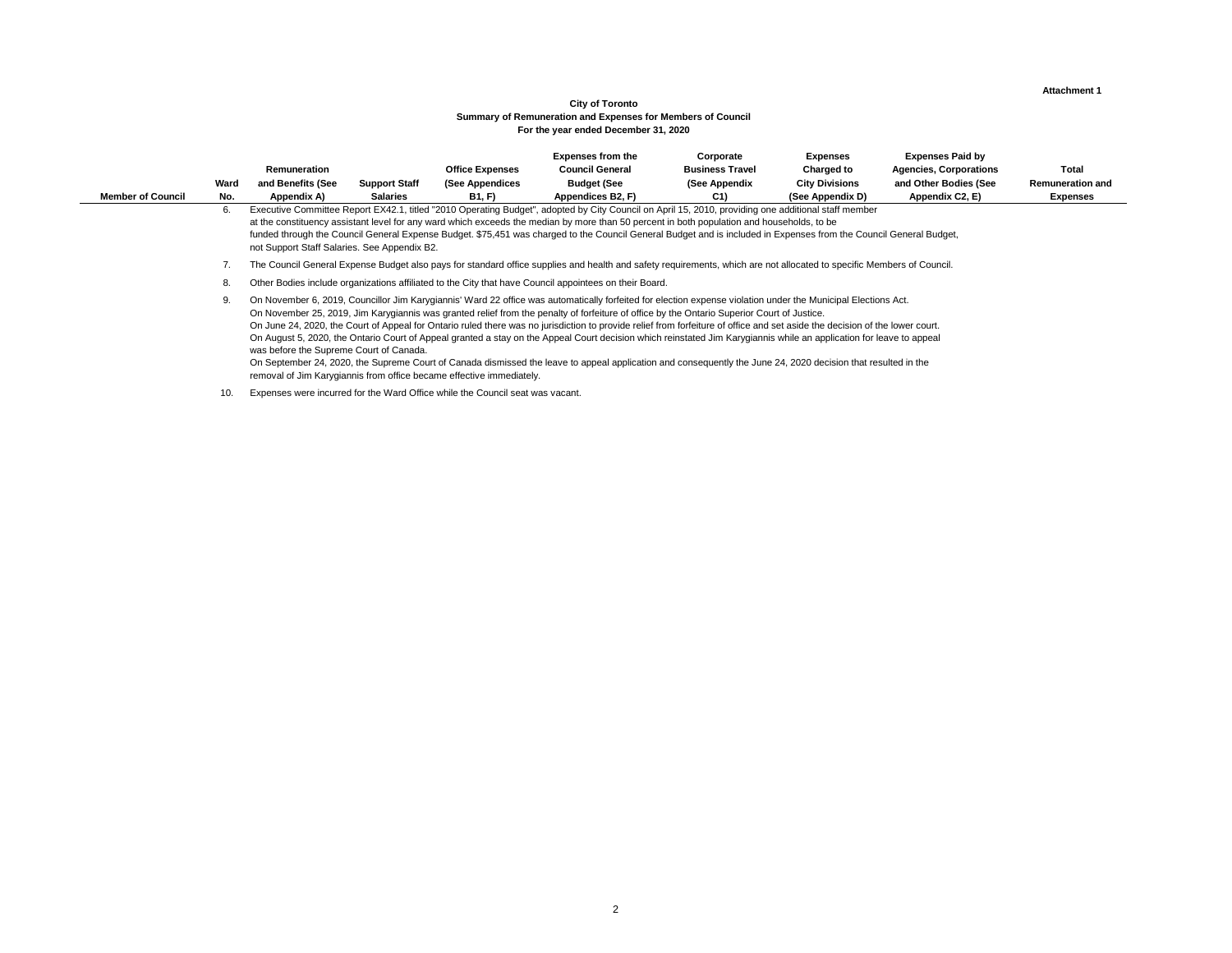#### **Attachment 1**

Expenses from the **Corporate Expenses** Expenses **Expenses** Paid by **Charged to Agencies, Corporations Total City Divisions and Other Bodies (See Semille Remunerations Example 2011**<br>Additional staff member

## **City of Toronto For the year ended December 31, 2020 Summary of Remuneration and Expenses for Members of Council**

|                          |      |                                              |                      |                                                                               | <b>EXPENSES from the</b>                                                                                                                                                                                                                                                                                                                                                                                                                                                                                                                                                                                                                                                                                                                                                                                                              | Corporate              | Expenses              | Expenses Paid by              |                         |
|--------------------------|------|----------------------------------------------|----------------------|-------------------------------------------------------------------------------|---------------------------------------------------------------------------------------------------------------------------------------------------------------------------------------------------------------------------------------------------------------------------------------------------------------------------------------------------------------------------------------------------------------------------------------------------------------------------------------------------------------------------------------------------------------------------------------------------------------------------------------------------------------------------------------------------------------------------------------------------------------------------------------------------------------------------------------|------------------------|-----------------------|-------------------------------|-------------------------|
|                          |      | Remuneration                                 |                      | <b>Office Expenses</b>                                                        | <b>Council General</b>                                                                                                                                                                                                                                                                                                                                                                                                                                                                                                                                                                                                                                                                                                                                                                                                                | <b>Business Travel</b> | Charged to            | <b>Agencies, Corporations</b> | <b>Total</b>            |
|                          | Ward | and Benefits (See                            | <b>Support Staff</b> | (See Appendices                                                               | <b>Budget (See</b>                                                                                                                                                                                                                                                                                                                                                                                                                                                                                                                                                                                                                                                                                                                                                                                                                    | (See Appendix          | <b>City Divisions</b> | and Other Bodies (See         | <b>Remuneration and</b> |
| <b>Member of Council</b> | No.  | Appendix A)                                  | <b>Salaries</b>      | <b>B1, F)</b>                                                                 | Appendices B2, F)                                                                                                                                                                                                                                                                                                                                                                                                                                                                                                                                                                                                                                                                                                                                                                                                                     | C <sub>1</sub>         | (See Appendix D)      | Appendix C2, E)               | <b>Expenses</b>         |
|                          | 6.   | not Support Staff Salaries. See Appendix B2. |                      |                                                                               | Executive Committee Report EX42.1, titled "2010 Operating Budget", adopted by City Council on April 15, 2010, providing one additional staff member<br>at the constituency assistant level for any ward which exceeds the median by more than 50 percent in both population and households, to be<br>funded through the Council General Expense Budget. \$75,451 was charged to the Council General Budget and is included in Expenses from the Council General Budget,                                                                                                                                                                                                                                                                                                                                                               |                        |                       |                               |                         |
|                          |      |                                              |                      |                                                                               | The Council General Expense Budget also pays for standard office supplies and health and safety requirements, which are not allocated to specific Members of Council.                                                                                                                                                                                                                                                                                                                                                                                                                                                                                                                                                                                                                                                                 |                        |                       |                               |                         |
|                          | 8.   |                                              |                      |                                                                               | Other Bodies include organizations affiliated to the City that have Council appointees on their Board.                                                                                                                                                                                                                                                                                                                                                                                                                                                                                                                                                                                                                                                                                                                                |                        |                       |                               |                         |
|                          | 9.   | was before the Supreme Court of Canada.      |                      | removal of Jim Karygiannis from office became effective immediately.          | On November 6, 2019, Councillor Jim Karygiannis' Ward 22 office was automatically forfeited for election expense violation under the Municipal Elections Act.<br>On November 25, 2019, Jim Karygiannis was granted relief from the penalty of forfeiture of office by the Ontario Superior Court of Justice.<br>On June 24, 2020, the Court of Appeal for Ontario ruled there was no jurisdiction to provide relief from forfeiture of office and set aside the decision of the lower court.<br>On August 5, 2020, the Ontario Court of Appeal granted a stay on the Appeal Court decision which reinstated Jim Karygiannis while an application for leave to appeal<br>On September 24, 2020, the Supreme Court of Canada dismissed the leave to appeal application and consequently the June 24, 2020 decision that resulted in the |                        |                       |                               |                         |
|                          | 10.  |                                              |                      | Expenses were incurred for the Ward Office while the Council seat was vacant. |                                                                                                                                                                                                                                                                                                                                                                                                                                                                                                                                                                                                                                                                                                                                                                                                                                       |                        |                       |                               |                         |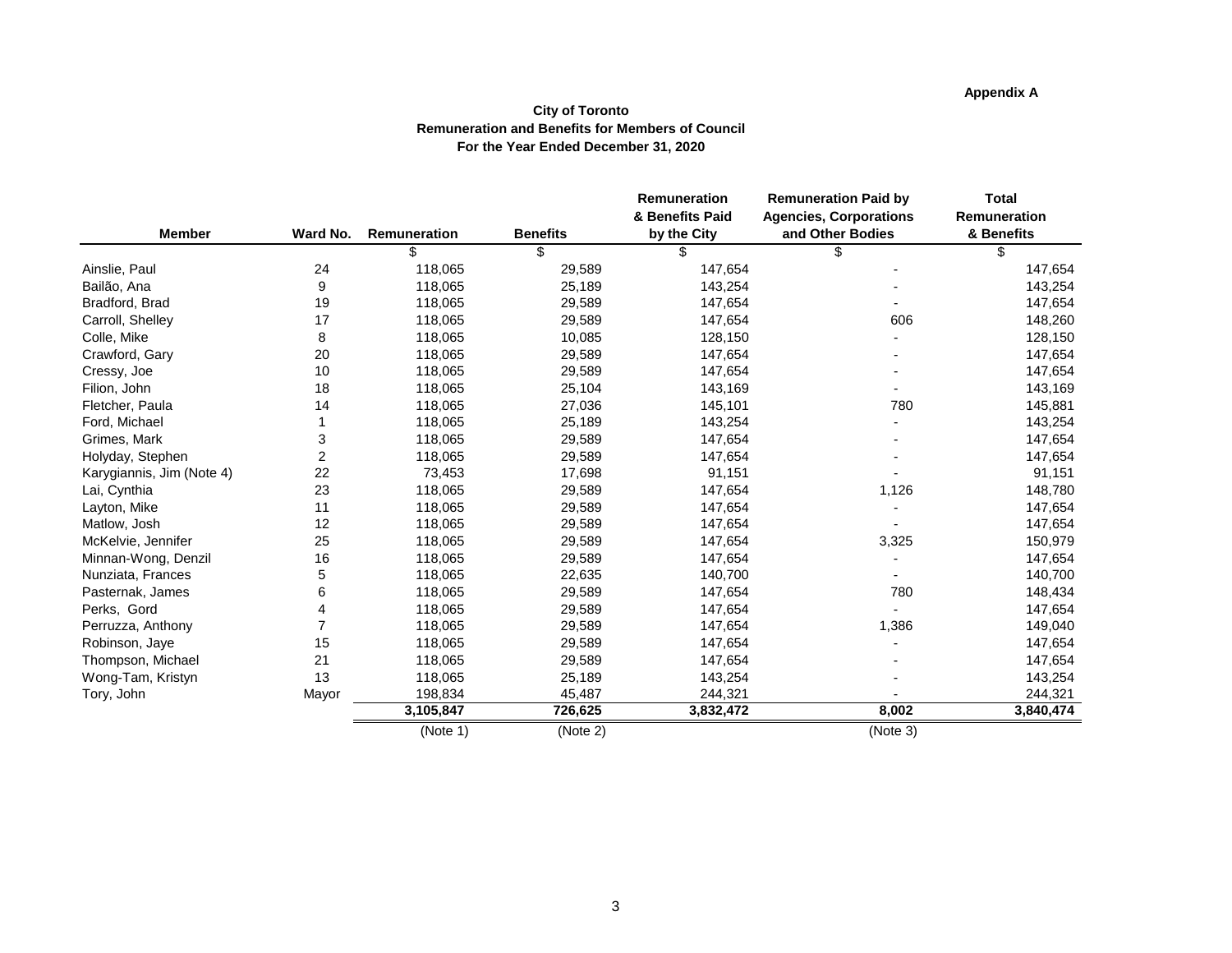# **Appendix A**

#### **City of Toronto Remuneration and Benefits for Members of Council For the Year Ended December 31, 2020**

|                           |                |              |                 | Remuneration    | <b>Remuneration Paid by</b>   | <b>Total</b> |
|---------------------------|----------------|--------------|-----------------|-----------------|-------------------------------|--------------|
|                           |                |              |                 | & Benefits Paid | <b>Agencies, Corporations</b> | Remuneration |
| <b>Member</b>             | Ward No.       | Remuneration | <b>Benefits</b> | by the City     | and Other Bodies              | & Benefits   |
|                           |                |              | \$              | \$              | \$                            | \$           |
| Ainslie, Paul             | 24             | 118,065      | 29,589          | 147,654         |                               | 147,654      |
| Bailão, Ana               | 9              | 118,065      | 25,189          | 143,254         |                               | 143,254      |
| Bradford, Brad            | 19             | 118,065      | 29,589          | 147,654         |                               | 147,654      |
| Carroll, Shelley          | 17             | 118,065      | 29,589          | 147,654         | 606                           | 148,260      |
| Colle, Mike               | 8              | 118,065      | 10,085          | 128,150         |                               | 128,150      |
| Crawford, Gary            | 20             | 118,065      | 29,589          | 147,654         |                               | 147,654      |
| Cressy, Joe               | 10             | 118,065      | 29,589          | 147,654         |                               | 147,654      |
| Filion, John              | 18             | 118,065      | 25,104          | 143,169         |                               | 143,169      |
| Fletcher, Paula           | 14             | 118,065      | 27,036          | 145,101         | 780                           | 145,881      |
| Ford, Michael             |                | 118,065      | 25,189          | 143,254         |                               | 143,254      |
| Grimes, Mark              | 3              | 118,065      | 29,589          | 147,654         |                               | 147,654      |
| Holyday, Stephen          | $\overline{2}$ | 118,065      | 29,589          | 147,654         |                               | 147,654      |
| Karygiannis, Jim (Note 4) | 22             | 73,453       | 17,698          | 91,151          |                               | 91,151       |
| Lai, Cynthia              | 23             | 118,065      | 29,589          | 147,654         | 1,126                         | 148,780      |
| Layton, Mike              | 11             | 118,065      | 29,589          | 147,654         |                               | 147,654      |
| Matlow, Josh              | 12             | 118,065      | 29,589          | 147,654         |                               | 147,654      |
| McKelvie, Jennifer        | 25             | 118,065      | 29,589          | 147,654         | 3,325                         | 150,979      |
| Minnan-Wong, Denzil       | 16             | 118,065      | 29,589          | 147,654         |                               | 147,654      |
| Nunziata, Frances         | 5              | 118,065      | 22,635          | 140,700         |                               | 140,700      |
| Pasternak, James          | 6              | 118,065      | 29,589          | 147,654         | 780                           | 148,434      |
| Perks, Gord               | 4              | 118,065      | 29,589          | 147,654         |                               | 147,654      |
| Perruzza, Anthony         | $\overline{7}$ | 118,065      | 29,589          | 147,654         | 1,386                         | 149,040      |
| Robinson, Jaye            | 15             | 118,065      | 29,589          | 147,654         |                               | 147,654      |
| Thompson, Michael         | 21             | 118,065      | 29,589          | 147,654         |                               | 147,654      |
| Wong-Tam, Kristyn         | 13             | 118,065      | 25,189          | 143,254         |                               | 143,254      |
| Tory, John                | Mayor          | 198,834      | 45,487          | 244,321         |                               | 244,321      |
|                           |                | 3,105,847    | 726,625         | 3,832,472       | 8,002                         | 3,840,474    |
|                           |                | (Note 1)     | (Note 2)        |                 | (Note 3)                      |              |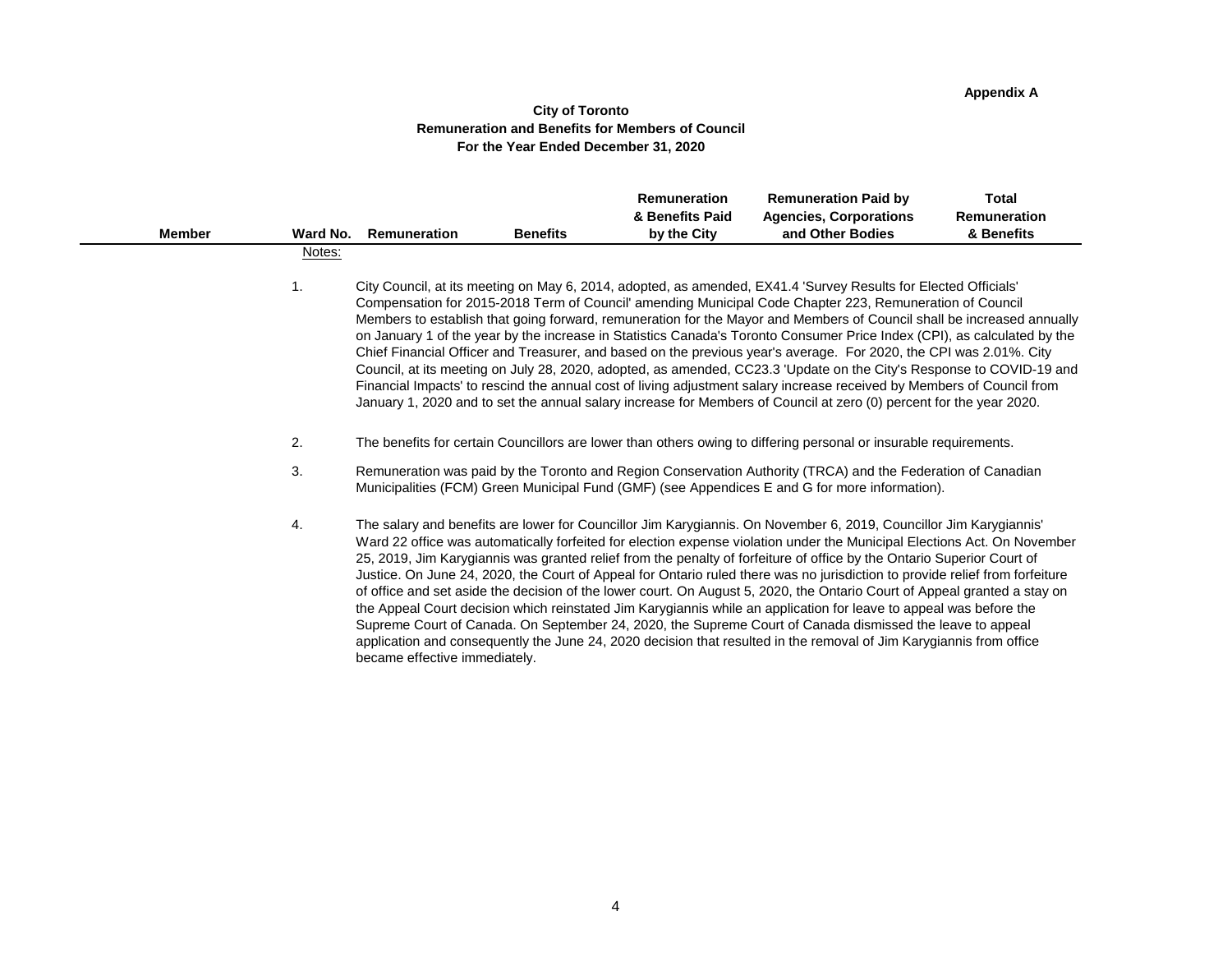# **Appendix A**

#### **City of Toronto Remuneration and Benefits for Members of Council For the Year Ended December 31, 2020**

| <b>Member</b> | Ward No. | <b>Remuneration</b>           | <b>Benefits</b> | <b>Remuneration</b><br>& Benefits Paid<br>by the City | <b>Remuneration Paid by</b><br><b>Agencies, Corporations</b><br>and Other Bodies                                                                                                                                                                                                                                                                                                                                                                                                                                                                                                                                                                                                                                                                                                                                                                                                                                                                                                                | <b>Total</b><br><b>Remuneration</b><br>& Benefits |
|---------------|----------|-------------------------------|-----------------|-------------------------------------------------------|-------------------------------------------------------------------------------------------------------------------------------------------------------------------------------------------------------------------------------------------------------------------------------------------------------------------------------------------------------------------------------------------------------------------------------------------------------------------------------------------------------------------------------------------------------------------------------------------------------------------------------------------------------------------------------------------------------------------------------------------------------------------------------------------------------------------------------------------------------------------------------------------------------------------------------------------------------------------------------------------------|---------------------------------------------------|
|               | Notes:   |                               |                 |                                                       |                                                                                                                                                                                                                                                                                                                                                                                                                                                                                                                                                                                                                                                                                                                                                                                                                                                                                                                                                                                                 |                                                   |
|               | 1.       |                               |                 |                                                       | City Council, at its meeting on May 6, 2014, adopted, as amended, EX41.4 'Survey Results for Elected Officials'<br>Compensation for 2015-2018 Term of Council' amending Municipal Code Chapter 223, Remuneration of Council<br>Members to establish that going forward, remuneration for the Mayor and Members of Council shall be increased annually<br>on January 1 of the year by the increase in Statistics Canada's Toronto Consumer Price Index (CPI), as calculated by the<br>Chief Financial Officer and Treasurer, and based on the previous year's average. For 2020, the CPI was 2.01%. City<br>Council, at its meeting on July 28, 2020, adopted, as amended, CC23.3 'Update on the City's Response to COVID-19 and<br>Financial Impacts' to rescind the annual cost of living adjustment salary increase received by Members of Council from<br>January 1, 2020 and to set the annual salary increase for Members of Council at zero (0) percent for the year 2020.                |                                                   |
|               | 2.       |                               |                 |                                                       | The benefits for certain Councillors are lower than others owing to differing personal or insurable requirements.                                                                                                                                                                                                                                                                                                                                                                                                                                                                                                                                                                                                                                                                                                                                                                                                                                                                               |                                                   |
|               | 3.       |                               |                 |                                                       | Remuneration was paid by the Toronto and Region Conservation Authority (TRCA) and the Federation of Canadian<br>Municipalities (FCM) Green Municipal Fund (GMF) (see Appendices E and G for more information).                                                                                                                                                                                                                                                                                                                                                                                                                                                                                                                                                                                                                                                                                                                                                                                  |                                                   |
|               | 4.       | became effective immediately. |                 |                                                       | The salary and benefits are lower for Councillor Jim Karygiannis. On November 6, 2019, Councillor Jim Karygiannis'<br>Ward 22 office was automatically forfeited for election expense violation under the Municipal Elections Act. On November<br>25, 2019, Jim Karygiannis was granted relief from the penalty of forfeiture of office by the Ontario Superior Court of<br>Justice. On June 24, 2020, the Court of Appeal for Ontario ruled there was no jurisdiction to provide relief from forfeiture<br>of office and set aside the decision of the lower court. On August 5, 2020, the Ontario Court of Appeal granted a stay on<br>the Appeal Court decision which reinstated Jim Karygiannis while an application for leave to appeal was before the<br>Supreme Court of Canada. On September 24, 2020, the Supreme Court of Canada dismissed the leave to appeal<br>application and consequently the June 24, 2020 decision that resulted in the removal of Jim Karygiannis from office |                                                   |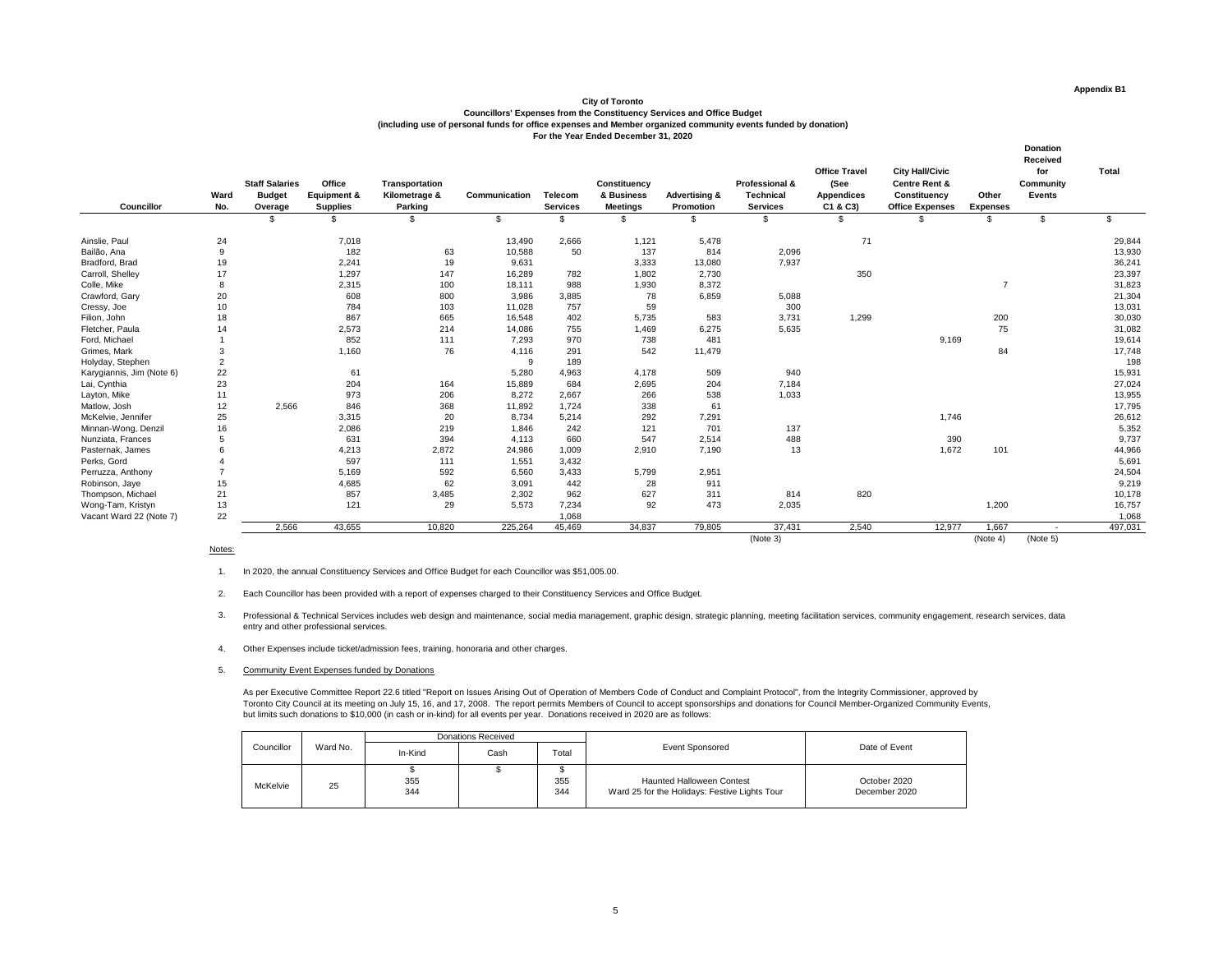| <b>Councillor</b>         | Ward<br>No.    | <b>Staff Salaries</b><br><b>Budget</b><br>Overage | <b>Office</b><br><b>Equipment &amp;</b><br><b>Supplies</b> | Transportation<br>Kilometrage &<br><b>Parking</b> | <b>Communication</b> | <b>Telecom</b><br><b>Services</b> | <b>Constituency</b><br>& Business<br><b>Meetings</b> | <b>Advertising &amp;</b><br><b>Promotion</b> | <b>Professional &amp;</b><br><b>Technical</b><br><b>Services</b> | <b>Office Travel</b><br>(See<br><b>Appendices</b><br>C1 & C3) | <b>City Hall/Civic</b><br><b>Centre Rent &amp;</b><br><b>Constituency</b><br><b>Office Expenses</b> | Other<br><b>Expenses</b> | <b>Donation</b><br><b>Received</b><br>for<br><b>Community</b><br><b>Events</b> | <b>Total</b>  |
|---------------------------|----------------|---------------------------------------------------|------------------------------------------------------------|---------------------------------------------------|----------------------|-----------------------------------|------------------------------------------------------|----------------------------------------------|------------------------------------------------------------------|---------------------------------------------------------------|-----------------------------------------------------------------------------------------------------|--------------------------|--------------------------------------------------------------------------------|---------------|
|                           |                | $\mathfrak{S}$                                    | \$                                                         | $\mathfrak{S}$                                    | $\sqrt[6]{2}$        | $\$\$                             | \$                                                   | $\mathfrak{S}$                               | $\mathfrak{S}$                                                   | $\mathfrak{S}$                                                | $\mathfrak{L}$                                                                                      | $\mathfrak{L}$           | $\mathfrak{S}$                                                                 | $\mathcal{S}$ |
| Ainslie, Paul             | 24             |                                                   | 7,018                                                      |                                                   | 13,490               | 2,666                             | 1,121                                                | 5,478                                        |                                                                  | 71                                                            |                                                                                                     |                          |                                                                                | 29,844        |
| Bailão, Ana               | 9              |                                                   | 182                                                        | 63                                                | 10,588               | 50                                | 137                                                  | 814                                          | 2,096                                                            |                                                               |                                                                                                     |                          |                                                                                | 13,930        |
| Bradford, Brad            | 19             |                                                   | 2,241                                                      | 19                                                | 9,631                |                                   | 3,333                                                | 13,080                                       | 7,937                                                            |                                                               |                                                                                                     |                          |                                                                                | 36,241        |
| Carroll, Shelley          | 17             |                                                   | 1,297                                                      | 147                                               | 16,289               | 782                               | 1,802                                                | 2,730                                        |                                                                  | 350                                                           |                                                                                                     |                          |                                                                                | 23,397        |
| Colle, Mike               | 8              |                                                   | 2,315                                                      | 100                                               | 18,111               | 988                               | 1,930                                                | 8,372                                        |                                                                  |                                                               |                                                                                                     | $\overline{7}$           |                                                                                | 31,823        |
| Crawford, Gary            | 20             |                                                   | 608                                                        | 800                                               | 3,986                | 3,885                             | 78                                                   | 6,859                                        | 5,088                                                            |                                                               |                                                                                                     |                          |                                                                                | 21,304        |
| Cressy, Joe               | 10             |                                                   | 784                                                        | 103                                               | 11,028               | 757                               | 59                                                   |                                              | 300                                                              |                                                               |                                                                                                     |                          |                                                                                | 13,031        |
| Filion, John              | 18             |                                                   | 867                                                        | 665                                               | 16,548               | 402                               | 5,735                                                | 583                                          | 3,731                                                            | 1,299                                                         |                                                                                                     | 200                      |                                                                                | 30,030        |
| Fletcher, Paula           | 14             |                                                   | 2,573                                                      | 214                                               | 14,086               | 755                               | 1,469                                                | 6,275                                        | 5,635                                                            |                                                               |                                                                                                     | 75                       |                                                                                | 31,082        |
| Ford, Michael             |                |                                                   | 852                                                        | 111                                               | 7,293                | 970                               | 738                                                  | 481                                          |                                                                  |                                                               | 9,169                                                                                               |                          |                                                                                | 19,614        |
| Grimes, Mark              | 3              |                                                   | 1,160                                                      | 76                                                | 4,116                | 291                               | 542                                                  | 11,479                                       |                                                                  |                                                               |                                                                                                     | 84                       |                                                                                | 17,748        |
| Holyday, Stephen          | $\overline{2}$ |                                                   |                                                            |                                                   | 9                    | 189                               |                                                      |                                              |                                                                  |                                                               |                                                                                                     |                          |                                                                                | 198           |
| Karygiannis, Jim (Note 6) | 22             |                                                   | 61                                                         |                                                   | 5,280                | 4,963                             | 4,178                                                | 509                                          | 940                                                              |                                                               |                                                                                                     |                          |                                                                                | 15,931        |
| Lai, Cynthia              | 23             |                                                   | 204                                                        | 164                                               | 15,889               | 684                               | 2,695                                                | 204                                          | 7,184                                                            |                                                               |                                                                                                     |                          |                                                                                | 27,024        |
| Layton, Mike              | 11             |                                                   | 973                                                        | 206                                               | 8,272                | 2,667                             | 266                                                  | 538                                          | 1,033                                                            |                                                               |                                                                                                     |                          |                                                                                | 13,955        |
| Matlow, Josh              | 12             | 2,566                                             | 846                                                        | 368                                               | 11,892               | 1,724                             | 338                                                  | 61                                           |                                                                  |                                                               |                                                                                                     |                          |                                                                                | 17,795        |
| McKelvie, Jennifer        | 25             |                                                   | 3,315                                                      | 20                                                | 8,734                | 5,214                             | 292                                                  | 7,291                                        |                                                                  |                                                               | 1,746                                                                                               |                          |                                                                                | 26,612        |
| Minnan-Wong, Denzil       | 16             |                                                   | 2,086                                                      | 219                                               | 1,846                | 242                               | 121                                                  | 701                                          | 137                                                              |                                                               |                                                                                                     |                          |                                                                                | 5,352         |
| Nunziata, Frances         | 5              |                                                   | 631                                                        | 394                                               | 4,113                | 660                               | 547                                                  | 2,514                                        | 488                                                              |                                                               | 390                                                                                                 |                          |                                                                                | 9,737         |
| Pasternak, James          |                |                                                   | 4,213                                                      | 2,872                                             | 24,986               | 1,009                             | 2,910                                                | 7,190                                        | 13                                                               |                                                               | 1,672                                                                                               | 101                      |                                                                                | 44,966        |
| Perks, Gord               |                |                                                   | 597                                                        | 111                                               | 1,551                | 3,432                             |                                                      |                                              |                                                                  |                                                               |                                                                                                     |                          |                                                                                | 5,691         |
| Perruzza, Anthony         |                |                                                   | 5,169                                                      | 592                                               | 6,560                | 3,433                             | 5,799                                                | 2,951                                        |                                                                  |                                                               |                                                                                                     |                          |                                                                                | 24,504        |
| Robinson, Jaye            | 15             |                                                   | 4,685                                                      | 62                                                | 3,091                | 442                               | 28                                                   | 911                                          |                                                                  |                                                               |                                                                                                     |                          |                                                                                | 9,219         |
| Thompson, Michael         | 21             |                                                   | 857                                                        | 3,485                                             | 2,302                | 962                               | 627                                                  | 311                                          | 814                                                              | 820                                                           |                                                                                                     |                          |                                                                                | 10,178        |
| Wong-Tam, Kristyn         | 13             |                                                   | 121                                                        | 29                                                | 5,573                | 7,234                             | 92                                                   | 473                                          | 2,035                                                            |                                                               |                                                                                                     | 1,200                    |                                                                                | 16,757        |
| Vacant Ward 22 (Note 7)   | 22             |                                                   |                                                            |                                                   |                      | 1,068                             |                                                      |                                              |                                                                  |                                                               |                                                                                                     |                          |                                                                                | 1,068         |
|                           |                | 2,566                                             | 43,655                                                     | 10,820                                            | 225,264              | 45,469                            | 34,837                                               | 79,805                                       | 37,431                                                           | 2,540                                                         | 12,977                                                                                              | 1,667                    | $\sim$                                                                         | 497,031       |
|                           |                |                                                   |                                                            |                                                   |                      |                                   |                                                      |                                              | (Note 3)                                                         |                                                               |                                                                                                     | (Note 4)                 | (Note 5)                                                                       |               |

#### Notes:

- 1. In 2020, the annual Constituency Services and Office Budget for each Councillor was \$51,005.00.
- 2. Each Councillor has been provided with a report of expenses charged to their Constituency Services and Office Budget.
- 3. Professional & Technical Services includes web design and maintenance, social media management, graphic design, strategic planning, meeting facilitation services, community engagement, research services, data entry and other professional services.
- 4. Other Expenses include ticket/admission fees, training, honoraria and other charges.
- 5. Community Event Expenses funded by Donations

As per Executive Committee Report 22.6 titled "Report on Issues Arising Out of Operation of Members Code of Conduct and Complaint Protocol", from the Integrity Commissioner, approved by Toronto City Council at its meeting on July 15, 16, and 17, 2008. The report permits Members of Council to accept sponsorships and donations for Council Member-Organized Community Events, but limits such donations to \$10,000 (in cash or in-kind) for all events per year. Donations received in 2020 are as follows:

#### **City of Toronto**

**Councillors' Expenses from the Constituency Services and Office Budget (including use of personal funds for office expenses and Member organized community events funded by donation) For the Year Ended December 31, 2020** 

|                 |          |            | <b>Donations Received</b> |            |                                                                                   |                               |  |
|-----------------|----------|------------|---------------------------|------------|-----------------------------------------------------------------------------------|-------------------------------|--|
| Councillor      | Ward No. | In-Kind    | Cash                      | Total      | <b>Event Sponsored</b>                                                            | Date of Event                 |  |
| <b>McKelvie</b> | 25       | 355<br>344 |                           | 355<br>344 | <b>Haunted Halloween Contest</b><br>Ward 25 for the Holidays: Festive Lights Tour | October 2020<br>December 2020 |  |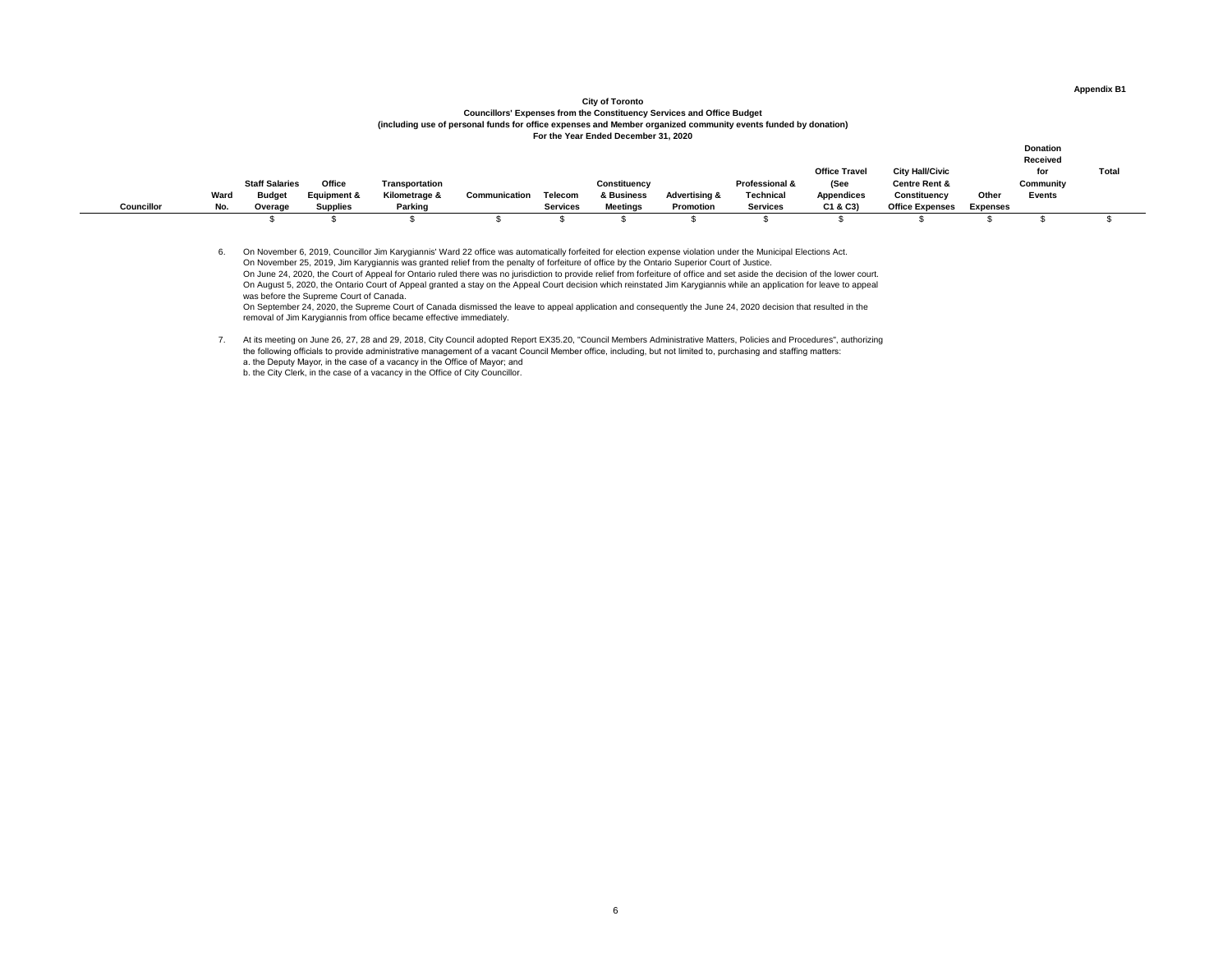## **City of Toronto Councillors' Expenses from the Constituency Services and Office Budget (including use of personal funds for office expenses and Member organized community events funded by donation) For the Year Ended December 31, 2020**

|                   |      |                       |                        |                |               |                 |                     |                          |                           |                               |                                                    |                 | <b>Donation</b><br><b>Received</b> |              |
|-------------------|------|-----------------------|------------------------|----------------|---------------|-----------------|---------------------|--------------------------|---------------------------|-------------------------------|----------------------------------------------------|-----------------|------------------------------------|--------------|
|                   |      | <b>Staff Salaries</b> | <b>Office</b>          | Transportation |               |                 | <b>Constituency</b> |                          | <b>Professional &amp;</b> | <b>Office Travel</b><br>(See  | <b>City Hall/Civic</b><br><b>Centre Rent &amp;</b> |                 | for<br><b>Community</b>            | <b>Total</b> |
| <b>Councillor</b> | Ward | <b>Budget</b>         | <b>Equipment &amp;</b> | Kilometrage &  | Communication | <b>Telecom</b>  | & Business          | <b>Advertising &amp;</b> | <b>Technical</b>          | <b>Appendices</b><br>C1 & C3) | <b>Constituency</b>                                | <b>Other</b>    | <b>Events</b>                      |              |
|                   | No.  | Overage               | <b>Supplies</b>        | <b>Parking</b> |               | <b>Services</b> | <b>Meetings</b>     | <b>Promotion</b>         | <b>Services</b>           |                               | <b>Office Expenses</b>                             | <b>Expenses</b> |                                    |              |

6. On November 6, 2019, Councillor Jim Karygiannis' Ward 22 office was automatically forfeited for election expense violation under the Municipal Elections Act. On November 25, 2019, Jim Karygiannis was granted relief from the penalty of forfeiture of office by the Ontario Superior Court of Justice. On June 24, 2020, the Court of Appeal for Ontario ruled there was no jurisdiction to provide relief from forfeiture of office and set aside the decision of the lower court. On August 5, 2020, the Ontario Court of Appeal granted a stay on the Appeal Court decision which reinstated Jim Karygiannis while an application for leave to appeal was before the Supreme Court of Canada.

On September 24, 2020, the Supreme Court of Canada dismissed the leave to appeal application and consequently the June 24, 2020 decision that resulted in the removal of Jim Karygiannis from office became effective immediately.

7. At its meeting on June 26, 27, 28 and 29, 2018, City Council adopted Report EX35.20, "Council Members Administrative Matters, Policies and Procedures", authorizing the following officials to provide administrative management of a vacant Council Member office, including, but not limited to, purchasing and staffing matters: a. the Deputy Mayor, in the case of a vacancy in the Office of Mayor; and

b. the City Clerk, in the case of a vacancy in the Office of City Councillor.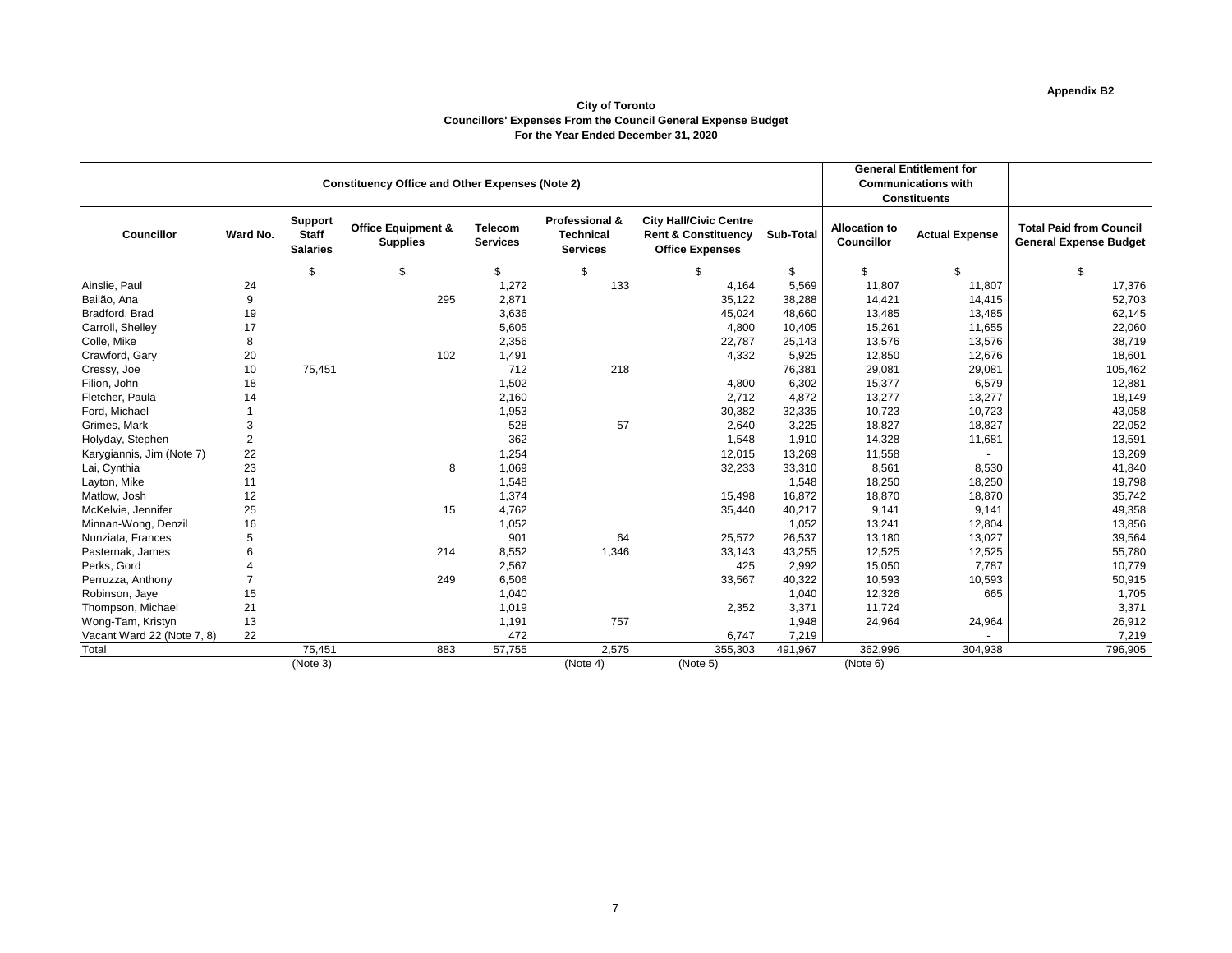# **Appendix B2**

#### **City of Toronto Councillors' Expenses From the Council General Expense Budget For the Year Ended December 31, 2020**

|                            |                |                                                   |                                                        |                                   | <b>General Entitlement for</b>                                   |                                                                                           |                  |                                           |                            |                                                                 |
|----------------------------|----------------|---------------------------------------------------|--------------------------------------------------------|-----------------------------------|------------------------------------------------------------------|-------------------------------------------------------------------------------------------|------------------|-------------------------------------------|----------------------------|-----------------------------------------------------------------|
|                            |                |                                                   | <b>Constituency Office and Other Expenses (Note 2)</b> |                                   |                                                                  |                                                                                           |                  |                                           | <b>Communications with</b> |                                                                 |
|                            |                |                                                   |                                                        |                                   |                                                                  |                                                                                           |                  |                                           | <b>Constituents</b>        |                                                                 |
| <b>Councillor</b>          | Ward No.       | <b>Support</b><br><b>Staff</b><br><b>Salaries</b> | <b>Office Equipment &amp;</b><br><b>Supplies</b>       | <b>Telecom</b><br><b>Services</b> | <b>Professional &amp;</b><br><b>Technical</b><br><b>Services</b> | <b>City Hall/Civic Centre</b><br><b>Rent &amp; Constituency</b><br><b>Office Expenses</b> | <b>Sub-Total</b> | <b>Allocation to</b><br><b>Councillor</b> | <b>Actual Expense</b>      | <b>Total Paid from Council</b><br><b>General Expense Budget</b> |
|                            |                | \$                                                | \$                                                     | $\mathfrak{S}$                    | \$                                                               | $\mathfrak{S}$                                                                            | $\mathfrak{S}$   | $\mathfrak{S}$                            | $\mathfrak{S}$             | \$                                                              |
| Ainslie, Paul              | 24             |                                                   |                                                        | 1,272                             | 133                                                              | 4,164                                                                                     | 5,569            | 11,807                                    | 11,807                     | 17,376                                                          |
| Bailão, Ana                | 9              |                                                   | 295                                                    | 2,871                             |                                                                  | 35,122                                                                                    | 38,288           | 14,421                                    | 14,415                     | 52,703                                                          |
| Bradford, Brad             | 19             |                                                   |                                                        | 3,636                             |                                                                  | 45,024                                                                                    | 48,660           | 13,485                                    | 13,485                     | 62,145                                                          |
| Carroll, Shelley           | 17             |                                                   |                                                        | 5,605                             |                                                                  | 4,800                                                                                     | 10,405           | 15,261                                    | 11,655                     | 22,060                                                          |
| Colle, Mike                | 8              |                                                   |                                                        | 2,356                             |                                                                  | 22,787                                                                                    | 25,143           | 13,576                                    | 13,576                     | 38,719                                                          |
| Crawford, Gary             | 20             |                                                   | 102                                                    | 1,491                             |                                                                  | 4,332                                                                                     | 5,925            | 12,850                                    | 12,676                     | 18,601                                                          |
| Cressy, Joe                | 10             | 75,451                                            |                                                        | 712                               | 218                                                              |                                                                                           | 76,381           | 29,081                                    | 29,081                     | 105,462                                                         |
| Filion, John               | 18             |                                                   |                                                        | 1,502                             |                                                                  | 4,800                                                                                     | 6,302            | 15,377                                    | 6,579                      | 12,881                                                          |
| Fletcher, Paula            | 14             |                                                   |                                                        | 2,160                             |                                                                  | 2,712                                                                                     | 4,872            | 13,277                                    | 13,277                     | 18,149                                                          |
| Ford, Michael              |                |                                                   |                                                        | 1,953                             |                                                                  | 30,382                                                                                    | 32,335           | 10,723                                    | 10,723                     | 43,058                                                          |
| Grimes, Mark               | 3              |                                                   |                                                        | 528                               | 57                                                               | 2,640                                                                                     | 3,225            | 18,827                                    | 18,827                     | 22,052                                                          |
| Holyday, Stephen           | $\overline{2}$ |                                                   |                                                        | 362                               |                                                                  | 1,548                                                                                     | 1,910            | 14,328                                    | 11,681                     | 13,591                                                          |
| Karygiannis, Jim (Note 7)  | 22             |                                                   |                                                        | 1,254                             |                                                                  | 12,015                                                                                    | 13,269           | 11,558                                    |                            | 13,269                                                          |
| Lai, Cynthia               | 23             |                                                   | 8                                                      | 1,069                             |                                                                  | 32,233                                                                                    | 33,310           | 8,561                                     | 8,530                      | 41,840                                                          |
| Layton, Mike               | 11             |                                                   |                                                        | 1,548                             |                                                                  |                                                                                           | 1,548            | 18,250                                    | 18,250                     | 19,798                                                          |
| Matlow, Josh               | 12             |                                                   |                                                        | 1,374                             |                                                                  | 15,498                                                                                    | 16,872           | 18,870                                    | 18,870                     | 35,742                                                          |
| McKelvie, Jennifer         | 25             |                                                   | 15                                                     | 4,762                             |                                                                  | 35,440                                                                                    | 40,217           | 9,141                                     | 9,141                      | 49,358                                                          |
| Minnan-Wong, Denzil        | 16             |                                                   |                                                        | 1,052                             |                                                                  |                                                                                           | 1,052            | 13,241                                    | 12,804                     | 13,856                                                          |
| Nunziata, Frances          | 5              |                                                   |                                                        | 901                               | 64                                                               | 25,572                                                                                    | 26,537           | 13,180                                    | 13,027                     | 39,564                                                          |
| Pasternak, James           | 6              |                                                   | 214                                                    | 8,552                             | 1,346                                                            | 33,143                                                                                    | 43,255           | 12,525                                    | 12,525                     | 55,780                                                          |
| Perks, Gord                |                |                                                   |                                                        | 2,567                             |                                                                  | 425                                                                                       | 2,992            | 15,050                                    | 7,787                      | 10,779                                                          |
| Perruzza, Anthony          | $\overline{7}$ |                                                   | 249                                                    | 6,506                             |                                                                  | 33,567                                                                                    | 40,322           | 10,593                                    | 10,593                     | 50,915                                                          |
| Robinson, Jaye             | 15             |                                                   |                                                        | 1,040                             |                                                                  |                                                                                           | 1,040            | 12,326                                    | 665                        | 1,705                                                           |
| Thompson, Michael          | 21             |                                                   |                                                        | 1,019                             |                                                                  | 2,352                                                                                     | 3,371            | 11,724                                    |                            | 3,371                                                           |
| Wong-Tam, Kristyn          | 13             |                                                   |                                                        | 1,191                             | 757                                                              |                                                                                           | 1,948            | 24,964                                    | 24,964                     | 26,912                                                          |
| Vacant Ward 22 (Note 7, 8) | 22             |                                                   |                                                        | 472                               |                                                                  | 6,747                                                                                     | 7,219            |                                           |                            | 7,219                                                           |
| Total                      |                | 75,451                                            | 883                                                    | 57,755                            | 2,575                                                            | 355,303                                                                                   | 491,967          | 362,996                                   | 304,938                    | 796,905                                                         |
|                            |                | (Note 3)                                          |                                                        |                                   | (Note 4)                                                         | (Note 5)                                                                                  |                  | (Note 6)                                  |                            |                                                                 |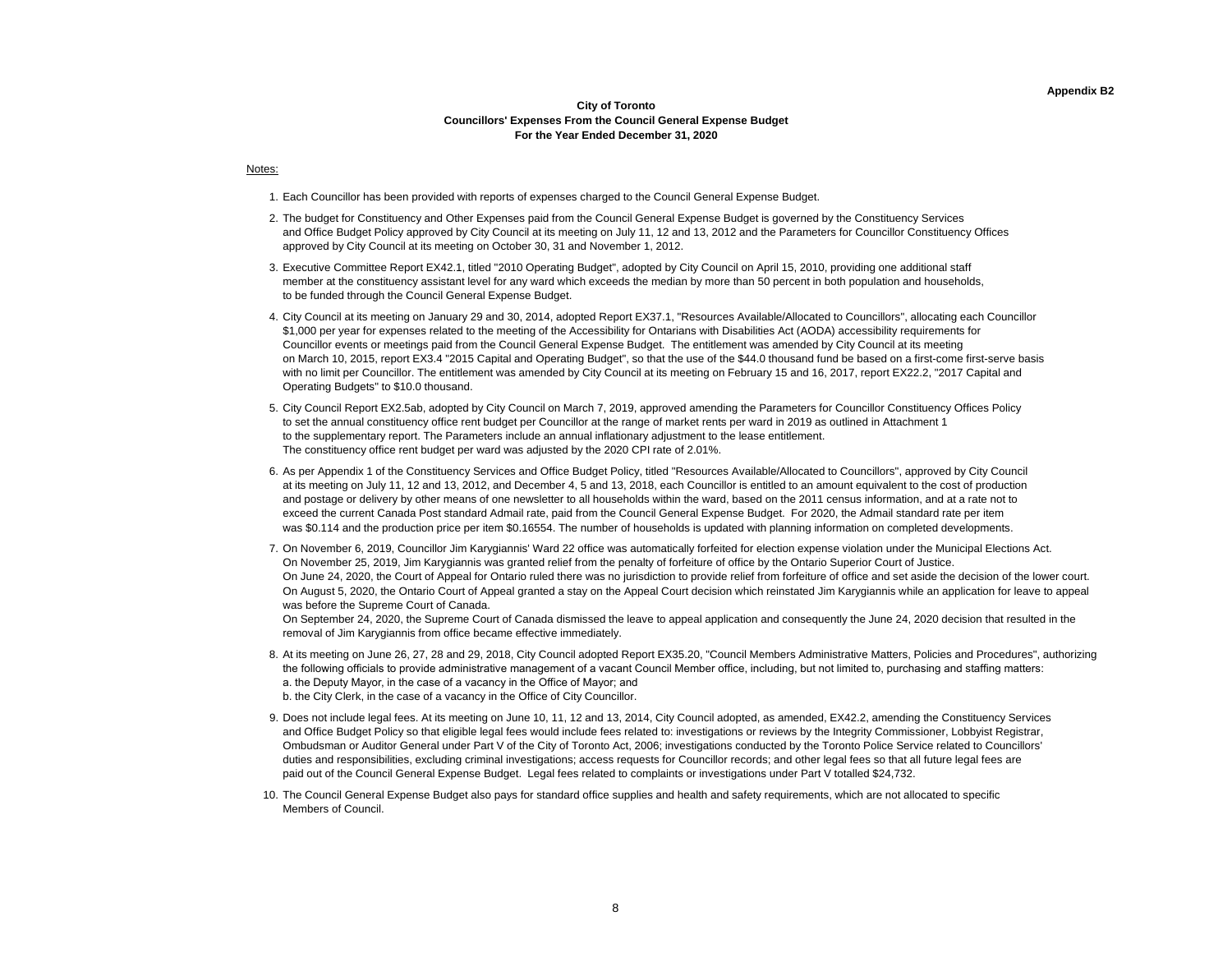#### **Appendix B2**

#### **City of Toronto Councillors' Expenses From the Council General Expense Budget For the Year Ended December 31, 2020**

#### Notes:

- 1. Each Councillor has been provided with reports of expenses charged to the Council General Expense Budget.
- 2. The budget for Constituency and Other Expenses paid from the Council General Expense Budget is governed by the Constituency Services and Office Budget Policy approved by City Council at its meeting on July 11, 12 and 13, 2012 and the Parameters for Councillor Constituency Offices approved by City Council at its meeting on October 30, 31 and November 1, 2012.
- 3. Executive Committee Report EX42.1, titled "2010 Operating Budget", adopted by City Council on April 15, 2010, providing one additional staff member at the constituency assistant level for any ward which exceeds the median by more than 50 percent in both population and households, to be funded through the Council General Expense Budget.
- 4. City Council at its meeting on January 29 and 30, 2014, adopted Report EX37.1, "Resources Available/Allocated to Councillors", allocating each Councillor \$1,000 per year for expenses related to the meeting of the Accessibility for Ontarians with Disabilities Act (AODA) accessibility requirements for Councillor events or meetings paid from the Council General Expense Budget. The entitlement was amended by City Council at its meeting on March 10, 2015, report EX3.4 "2015 Capital and Operating Budget", so that the use of the \$44.0 thousand fund be based on a first-come first-serve basis with no limit per Councillor. The entitlement was amended by City Council at its meeting on February 15 and 16, 2017, report EX22.2, "2017 Capital and Operating Budgets" to \$10.0 thousand.
- 5. City Council Report EX2.5ab, adopted by City Council on March 7, 2019, approved amending the Parameters for Councillor Constituency Offices Policy to set the annual constituency office rent budget per Councillor at the range of market rents per ward in 2019 as outlined in Attachment 1 to the supplementary report. The Parameters include an annual inflationary adjustment to the lease entitlement. The constituency office rent budget per ward was adjusted by the 2020 CPI rate of 2.01%.
- 6. As per Appendix 1 of the Constituency Services and Office Budget Policy, titled "Resources Available/Allocated to Councillors", approved by City Council at its meeting on July 11, 12 and 13, 2012, and December 4, 5 and 13, 2018, each Councillor is entitled to an amount equivalent to the cost of production and postage or delivery by other means of one newsletter to all households within the ward, based on the 2011 census information, and at a rate not to exceed the current Canada Post standard Admail rate, paid from the Council General Expense Budget. For 2020, the Admail standard rate per item was \$0.114 and the production price per item \$0.16554. The number of households is updated with planning information on completed developments.
- 7. On November 6, 2019, Councillor Jim Karygiannis' Ward 22 office was automatically forfeited for election expense violation under the Municipal Elections Act. On November 25, 2019, Jim Karygiannis was granted relief from the penalty of forfeiture of office by the Ontario Superior Court of Justice. On June 24, 2020, the Court of Appeal for Ontario ruled there was no jurisdiction to provide relief from forfeiture of office and set aside the decision of the lower court. On August 5, 2020, the Ontario Court of Appeal granted a stay on the Appeal Court decision which reinstated Jim Karygiannis while an application for leave to appeal was before the Supreme Court of Canada.

On September 24, 2020, the Supreme Court of Canada dismissed the leave to appeal application and consequently the June 24, 2020 decision that resulted in the removal of Jim Karygiannis from office became effective immediately.

- 8. At its meeting on June 26, 27, 28 and 29, 2018, City Council adopted Report EX35.20, "Council Members Administrative Matters, Policies and Procedures", authorizing the following officials to provide administrative management of a vacant Council Member office, including, but not limited to, purchasing and staffing matters: a. the Deputy Mayor, in the case of a vacancy in the Office of Mayor; and b. the City Clerk, in the case of a vacancy in the Office of City Councillor.
- 9. Does not include legal fees. At its meeting on June 10, 11, 12 and 13, 2014, City Council adopted, as amended, EX42.2, amending the Constituency Services and Office Budget Policy so that eligible legal fees would include fees related to: investigations or reviews by the Integrity Commissioner, Lobbyist Registrar, Ombudsman or Auditor General under Part V of the City of Toronto Act, 2006; investigations conducted by the Toronto Police Service related to Councillors' duties and responsibilities, excluding criminal investigations; access requests for Councillor records; and other legal fees so that all future legal fees are paid out of the Council General Expense Budget. Legal fees related to complaints or investigations under Part V totalled \$24,732.
- 10. The Council General Expense Budget also pays for standard office supplies and health and safety requirements, which are not allocated to specific Members of Council.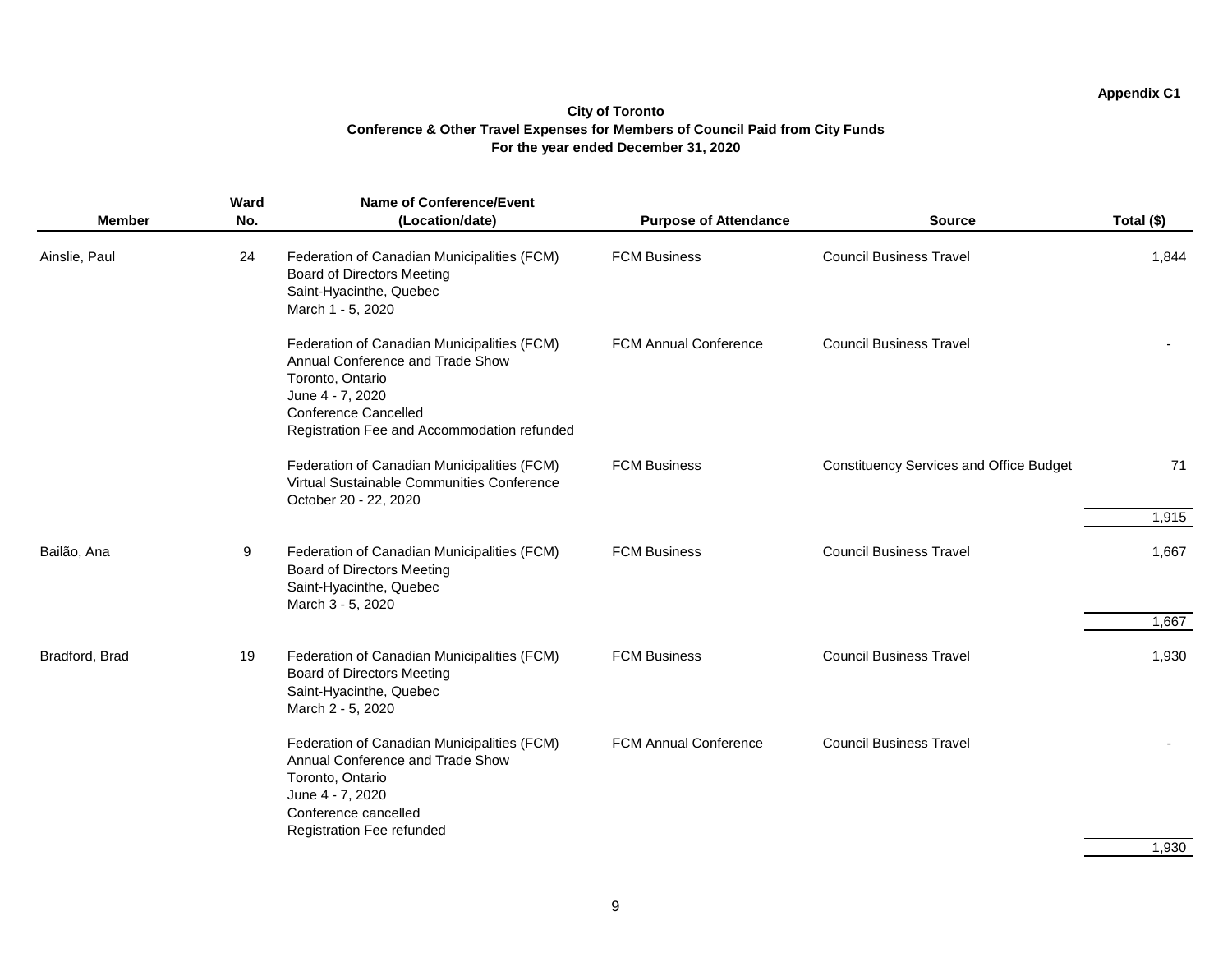|                | <b>Ward</b> | <b>Name of Conference/Event</b>                                                                                                                                                                       |                              |                                                |                |
|----------------|-------------|-------------------------------------------------------------------------------------------------------------------------------------------------------------------------------------------------------|------------------------------|------------------------------------------------|----------------|
| <b>Member</b>  | No.         | (Location/date)                                                                                                                                                                                       | <b>Purpose of Attendance</b> | <b>Source</b>                                  | Total (\$)     |
| Ainslie, Paul  | 24          | Federation of Canadian Municipalities (FCM)<br><b>Board of Directors Meeting</b><br>Saint-Hyacinthe, Quebec<br>March 1 - 5, 2020                                                                      | <b>FCM Business</b>          | <b>Council Business Travel</b>                 | 1,844          |
|                |             | Federation of Canadian Municipalities (FCM)<br>Annual Conference and Trade Show<br>Toronto, Ontario<br>June 4 - 7, 2020<br><b>Conference Cancelled</b><br>Registration Fee and Accommodation refunded | <b>FCM Annual Conference</b> | <b>Council Business Travel</b>                 |                |
|                |             | Federation of Canadian Municipalities (FCM)<br>Virtual Sustainable Communities Conference<br>October 20 - 22, 2020                                                                                    | <b>FCM Business</b>          | <b>Constituency Services and Office Budget</b> | 71             |
|                |             |                                                                                                                                                                                                       |                              |                                                | 1,915          |
| Bailão, Ana    | 9           | Federation of Canadian Municipalities (FCM)<br><b>Board of Directors Meeting</b><br>Saint-Hyacinthe, Quebec<br>March 3 - 5, 2020                                                                      | <b>FCM Business</b>          | <b>Council Business Travel</b>                 | 1,667<br>1,667 |
| Bradford, Brad | 19          | Federation of Canadian Municipalities (FCM)<br><b>Board of Directors Meeting</b><br>Saint-Hyacinthe, Quebec<br>March 2 - 5, 2020                                                                      | <b>FCM Business</b>          | <b>Council Business Travel</b>                 | 1,930          |
|                |             | Federation of Canadian Municipalities (FCM)<br>Annual Conference and Trade Show<br>Toronto, Ontario<br>June 4 - 7, 2020<br>Conference cancelled<br><b>Registration Fee refunded</b>                   | <b>FCM Annual Conference</b> | <b>Council Business Travel</b>                 |                |
|                |             |                                                                                                                                                                                                       |                              |                                                | 1,930          |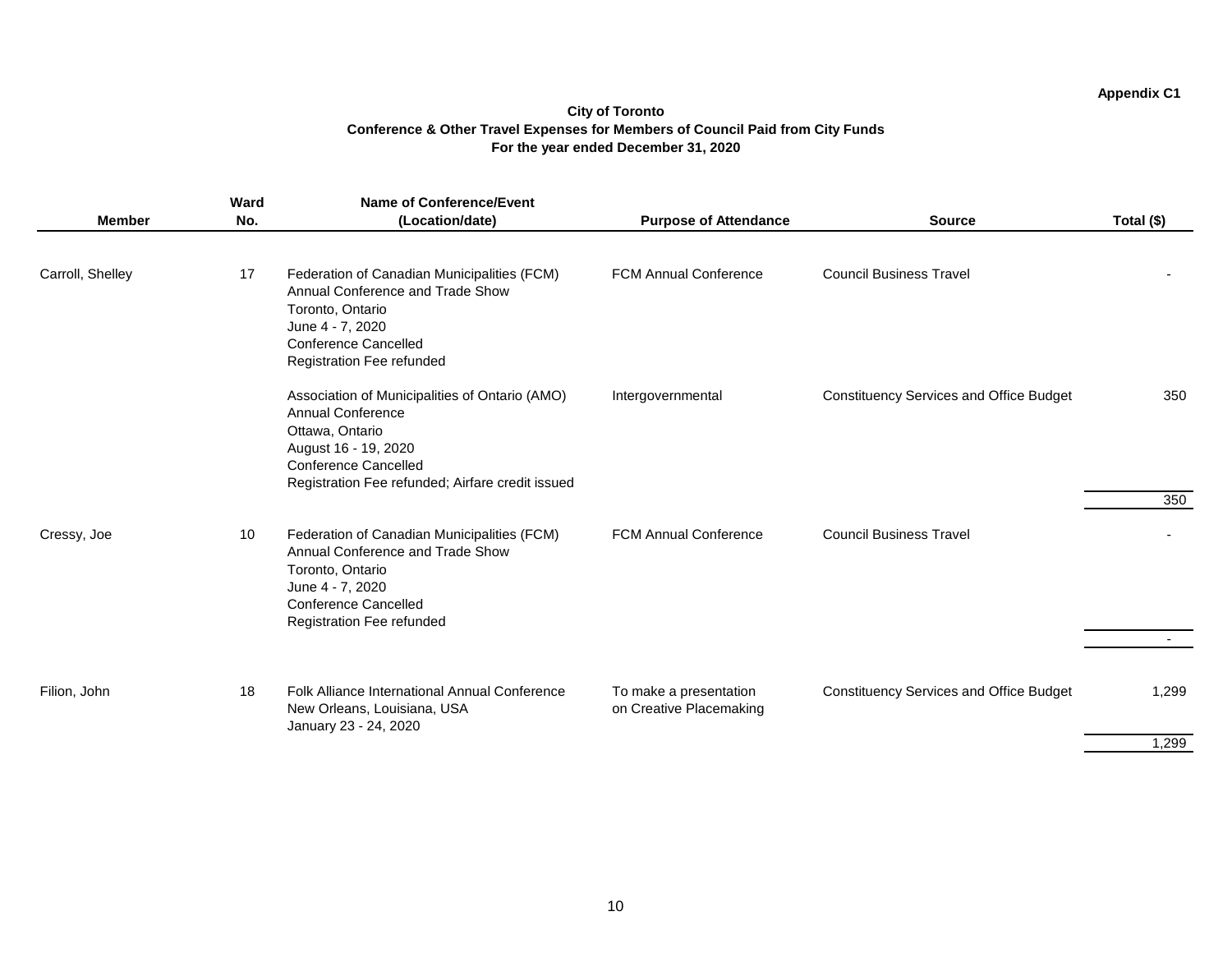| <b>Member</b>    | Ward<br>No. | <b>Name of Conference/Event</b><br>(Location/date)                                                                                                                                                       | <b>Purpose of Attendance</b>                      | <b>Source</b>                                  | Total (\$) |
|------------------|-------------|----------------------------------------------------------------------------------------------------------------------------------------------------------------------------------------------------------|---------------------------------------------------|------------------------------------------------|------------|
| Carroll, Shelley | 17          | Federation of Canadian Municipalities (FCM)<br>Annual Conference and Trade Show<br>Toronto, Ontario<br>June 4 - 7, 2020<br><b>Conference Cancelled</b><br><b>Registration Fee refunded</b>               | <b>FCM Annual Conference</b>                      | <b>Council Business Travel</b>                 |            |
|                  |             | Association of Municipalities of Ontario (AMO)<br><b>Annual Conference</b><br>Ottawa, Ontario<br>August 16 - 19, 2020<br><b>Conference Cancelled</b><br>Registration Fee refunded; Airfare credit issued | Intergovernmental                                 | <b>Constituency Services and Office Budget</b> | 350        |
|                  |             |                                                                                                                                                                                                          |                                                   |                                                | 350        |
| Cressy, Joe      | 10          | Federation of Canadian Municipalities (FCM)<br>Annual Conference and Trade Show<br>Toronto, Ontario<br>June 4 - 7, 2020<br><b>Conference Cancelled</b><br><b>Registration Fee refunded</b>               | <b>FCM Annual Conference</b>                      | <b>Council Business Travel</b>                 |            |
|                  |             |                                                                                                                                                                                                          |                                                   |                                                |            |
| Filion, John     | 18          | Folk Alliance International Annual Conference<br>New Orleans, Louisiana, USA<br>January 23 - 24, 2020                                                                                                    | To make a presentation<br>on Creative Placemaking | <b>Constituency Services and Office Budget</b> | 1,299      |
|                  |             |                                                                                                                                                                                                          |                                                   |                                                | 1,299      |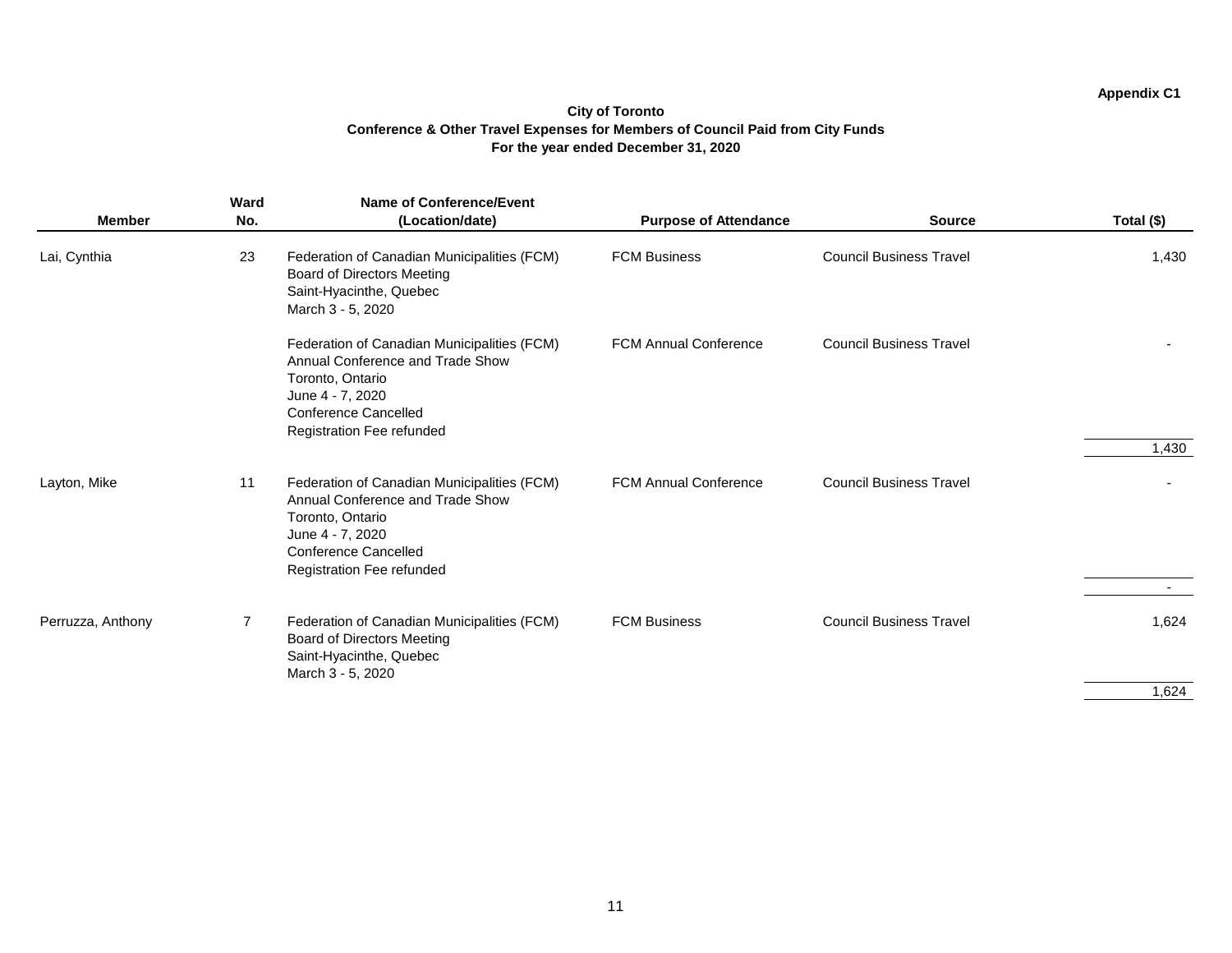| <b>Member</b>     | Ward<br>No.    | <b>Name of Conference/Event</b><br>(Location/date)                                                                                                                                         | <b>Purpose of Attendance</b> | <b>Source</b>                  | Total (\$) |
|-------------------|----------------|--------------------------------------------------------------------------------------------------------------------------------------------------------------------------------------------|------------------------------|--------------------------------|------------|
| Lai, Cynthia      | 23             | Federation of Canadian Municipalities (FCM)<br><b>Board of Directors Meeting</b><br>Saint-Hyacinthe, Quebec<br>March 3 - 5, 2020                                                           | <b>FCM Business</b>          | <b>Council Business Travel</b> | 1,430      |
|                   |                | Federation of Canadian Municipalities (FCM)<br>Annual Conference and Trade Show<br>Toronto, Ontario<br>June 4 - 7, 2020<br><b>Conference Cancelled</b><br><b>Registration Fee refunded</b> | <b>FCM Annual Conference</b> | <b>Council Business Travel</b> | 1,430      |
| Layton, Mike      | 11             | Federation of Canadian Municipalities (FCM)<br>Annual Conference and Trade Show<br>Toronto, Ontario<br>June 4 - 7, 2020<br><b>Conference Cancelled</b><br>Registration Fee refunded        | <b>FCM Annual Conference</b> | <b>Council Business Travel</b> |            |
| Perruzza, Anthony | $\overline{7}$ | Federation of Canadian Municipalities (FCM)<br><b>Board of Directors Meeting</b><br>Saint-Hyacinthe, Quebec<br>March 3 - 5, 2020                                                           | <b>FCM Business</b>          | <b>Council Business Travel</b> | 1,624      |
|                   |                |                                                                                                                                                                                            |                              |                                | 1,624      |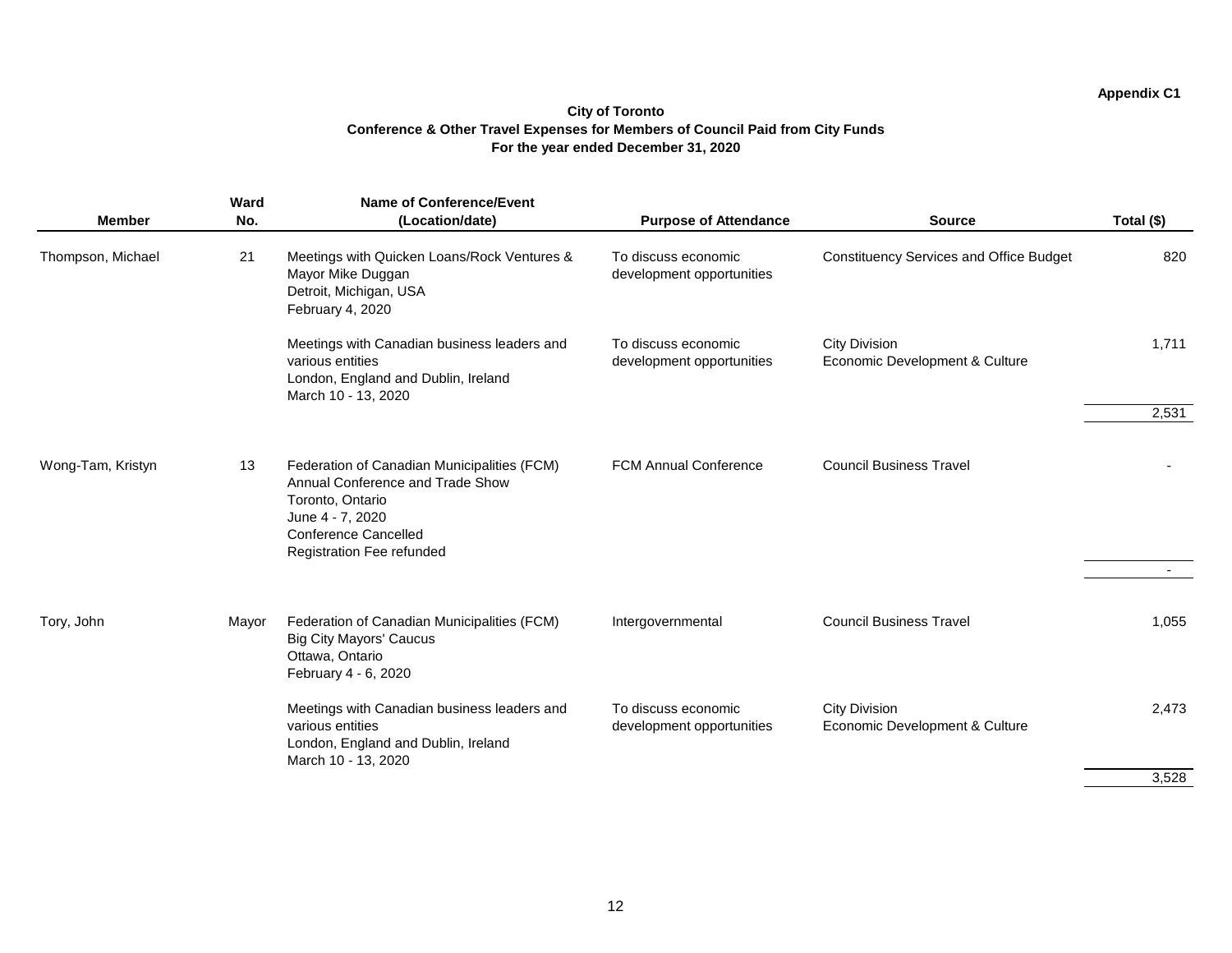$\sim$ 

|                   | <b>Ward</b> | <b>Name of Conference/Event</b>                                                                                                                                                     |                                                  |                                                        |            |
|-------------------|-------------|-------------------------------------------------------------------------------------------------------------------------------------------------------------------------------------|--------------------------------------------------|--------------------------------------------------------|------------|
| <b>Member</b>     | No.         | (Location/date)                                                                                                                                                                     | <b>Purpose of Attendance</b>                     | <b>Source</b>                                          | Total (\$) |
| Thompson, Michael | 21          | Meetings with Quicken Loans/Rock Ventures &<br>Mayor Mike Duggan<br>Detroit, Michigan, USA<br>February 4, 2020                                                                      | To discuss economic<br>development opportunities | <b>Constituency Services and Office Budget</b>         | 820        |
|                   |             | Meetings with Canadian business leaders and<br>various entities<br>London, England and Dublin, Ireland<br>March 10 - 13, 2020                                                       | To discuss economic<br>development opportunities | <b>City Division</b><br>Economic Development & Culture | 1,711      |
|                   |             |                                                                                                                                                                                     |                                                  |                                                        | 2,531      |
| Wong-Tam, Kristyn | 13          | Federation of Canadian Municipalities (FCM)<br>Annual Conference and Trade Show<br>Toronto, Ontario<br>June 4 - 7, 2020<br><b>Conference Cancelled</b><br>Registration Fee refunded | <b>FCM Annual Conference</b>                     | <b>Council Business Travel</b>                         |            |
|                   |             |                                                                                                                                                                                     |                                                  |                                                        |            |
| Tory, John        | Mayor       | Federation of Canadian Municipalities (FCM)<br><b>Big City Mayors' Caucus</b><br>Ottawa, Ontario<br>February 4 - 6, 2020                                                            | Intergovernmental                                | <b>Council Business Travel</b>                         | 1,055      |
|                   |             | Meetings with Canadian business leaders and<br>various entities<br>London, England and Dublin, Ireland<br>March 10 - 13, 2020                                                       | To discuss economic<br>development opportunities | <b>City Division</b><br>Economic Development & Culture | 2,473      |
|                   |             |                                                                                                                                                                                     |                                                  |                                                        | 3,528      |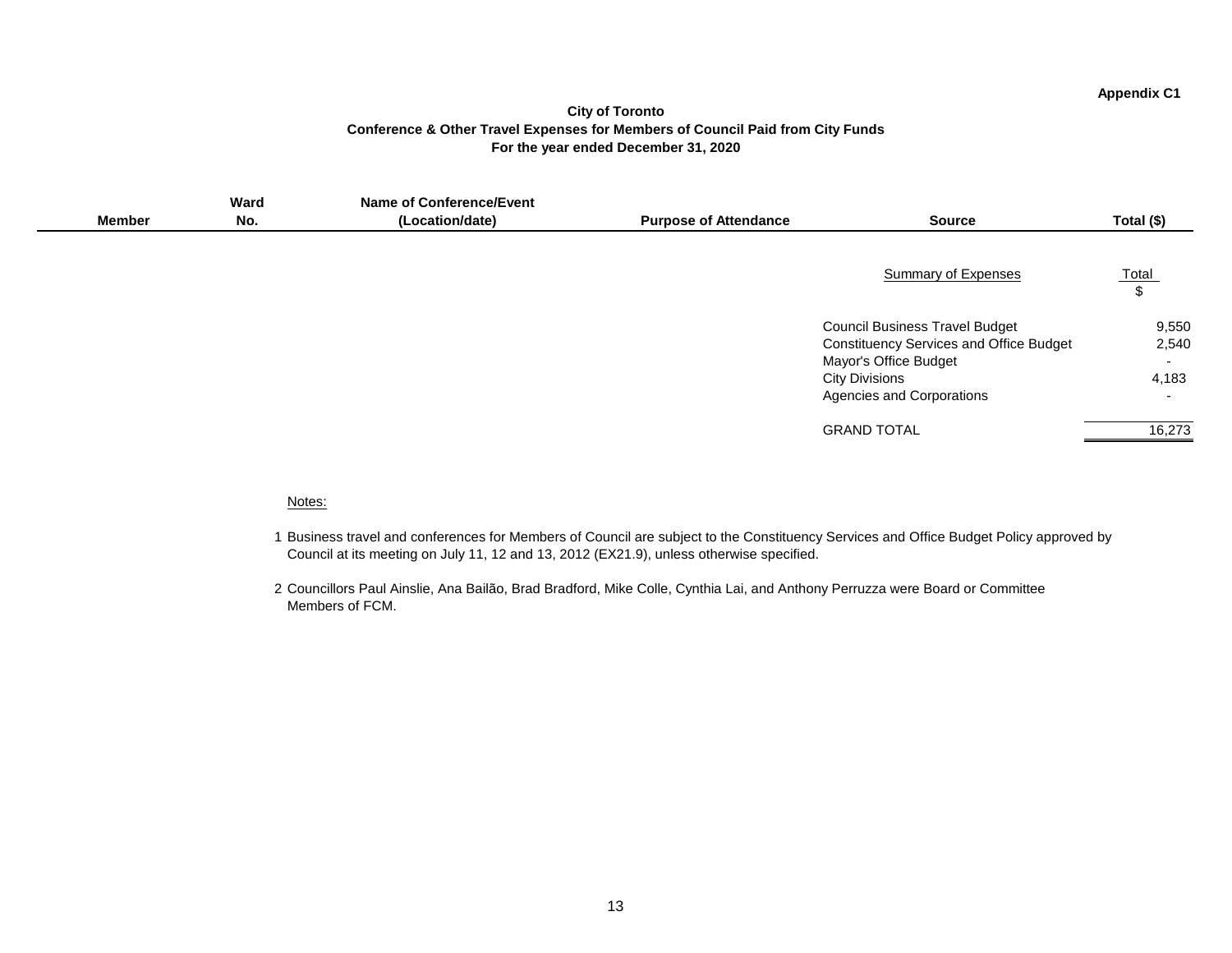#### **City of Toronto Conference & Other Travel Expenses for Members of Council Paid from City Funds For the year ended December 31, 2020**

|               | Ward | <b>Name of Conference/Event</b> |                              |                                                |                          |
|---------------|------|---------------------------------|------------------------------|------------------------------------------------|--------------------------|
| <b>Member</b> | No.  | (Location/date)                 | <b>Purpose of Attendance</b> | <b>Source</b>                                  | Total (\$)               |
|               |      |                                 |                              |                                                |                          |
|               |      |                                 |                              | <b>Summary of Expenses</b>                     | Total                    |
|               |      |                                 |                              |                                                | \$                       |
|               |      |                                 |                              |                                                |                          |
|               |      |                                 |                              | <b>Council Business Travel Budget</b>          | 9,550                    |
|               |      |                                 |                              | <b>Constituency Services and Office Budget</b> | 2,540                    |
|               |      |                                 |                              | <b>Mayor's Office Budget</b>                   | $\overline{\phantom{0}}$ |
|               |      |                                 |                              | <b>City Divisions</b>                          | 4,183                    |
|               |      |                                 |                              | <b>Agencies and Corporations</b>               |                          |
|               |      |                                 |                              | <b>GRAND TOTAL</b>                             | 16,273                   |
|               |      |                                 |                              |                                                |                          |

#### Notes:

- 1 Business travel and conferences for Members of Council are subject to the Constituency Services and Office Budget Policy approved by Council at its meeting on July 11, 12 and 13, 2012 (EX21.9), unless otherwise specified.
- 2 Councillors Paul Ainslie, Ana Bailão, Brad Bradford, Mike Colle, Cynthia Lai, and Anthony Perruzza were Board or Committee Members of FCM.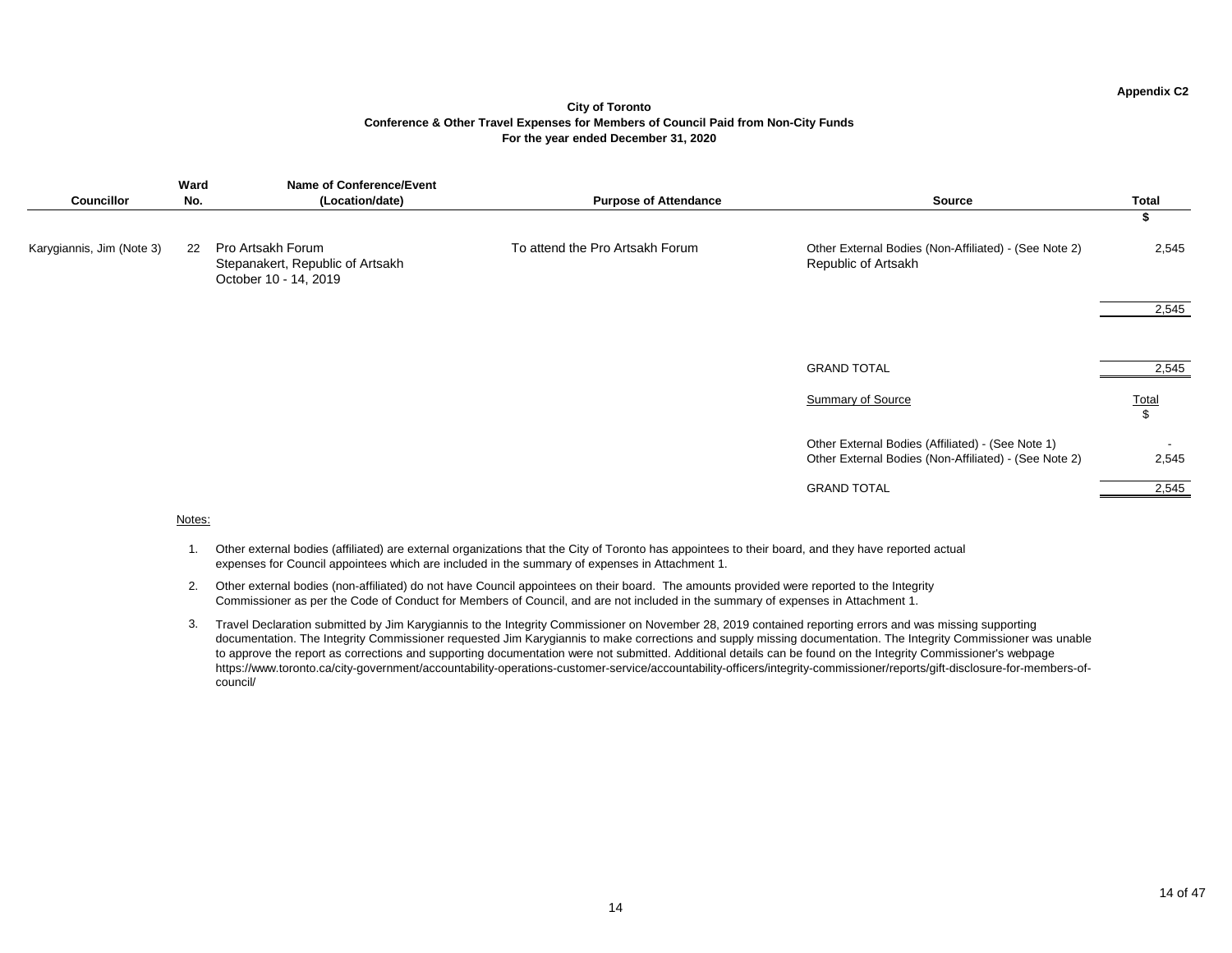#### **City of Toronto Conference & Other Travel Expenses for Members of Council Paid from Non-City Funds For the year ended December 31, 2020**

| <b>Councillor</b>         | Ward<br>No. | <b>Name of Conference/Event</b><br>(Location/date)                             | <b>Purpose of Attendance</b>    | <b>Source</b>                                                                                              | <b>Total</b>            |
|---------------------------|-------------|--------------------------------------------------------------------------------|---------------------------------|------------------------------------------------------------------------------------------------------------|-------------------------|
|                           |             |                                                                                |                                 |                                                                                                            | D.                      |
| Karygiannis, Jim (Note 3) | 22          | Pro Artsakh Forum<br>Stepanakert, Republic of Artsakh<br>October 10 - 14, 2019 | To attend the Pro Artsakh Forum | Other External Bodies (Non-Affiliated) - (See Note 2)<br><b>Republic of Artsakh</b>                        | 2,545                   |
|                           |             |                                                                                |                                 |                                                                                                            | 2,545                   |
|                           |             |                                                                                |                                 |                                                                                                            |                         |
|                           |             |                                                                                |                                 |                                                                                                            |                         |
|                           |             |                                                                                |                                 | <b>GRAND TOTAL</b>                                                                                         | 2,545                   |
|                           |             |                                                                                |                                 |                                                                                                            |                         |
|                           |             |                                                                                |                                 | <b>Summary of Source</b>                                                                                   | $rac{\text{Total}}{\$}$ |
|                           |             |                                                                                |                                 |                                                                                                            |                         |
|                           |             |                                                                                |                                 | Other External Bodies (Affiliated) - (See Note 1)<br>Other External Bodies (Non-Affiliated) - (See Note 2) | 2,545                   |
|                           |             |                                                                                |                                 |                                                                                                            |                         |
|                           |             |                                                                                |                                 | <b>GRAND TOTAL</b>                                                                                         | 2,545                   |

#### Notes:

- 1. Other external bodies (affiliated) are external organizations that the City of Toronto has appointees to their board, and they have reported actual expenses for Council appointees which are included in the summary of expenses in Attachment 1.
- 2. Other external bodies (non-affiliated) do not have Council appointees on their board. The amounts provided were reported to the Integrity Commissioner as per the Code of Conduct for Members of Council, and are not included in the summary of expenses in Attachment 1.
- 3. Travel Declaration submitted by Jim Karygiannis to the Integrity Commissioner on November 28, 2019 contained reporting errors and was missing supporting documentation. The Integrity Commissioner requested Jim Karygiannis to make corrections and supply missing documentation. The Integrity Commissioner was unable to approve the report as corrections and supporting documentation were not submitted. Additional details can be found on the Integrity Commissioner's webpage https://www.toronto.ca/city-government/accountability-operations-customer-service/accountability-officers/integrity-commissioner/reports/gift-disclosure-for-members-ofcouncil/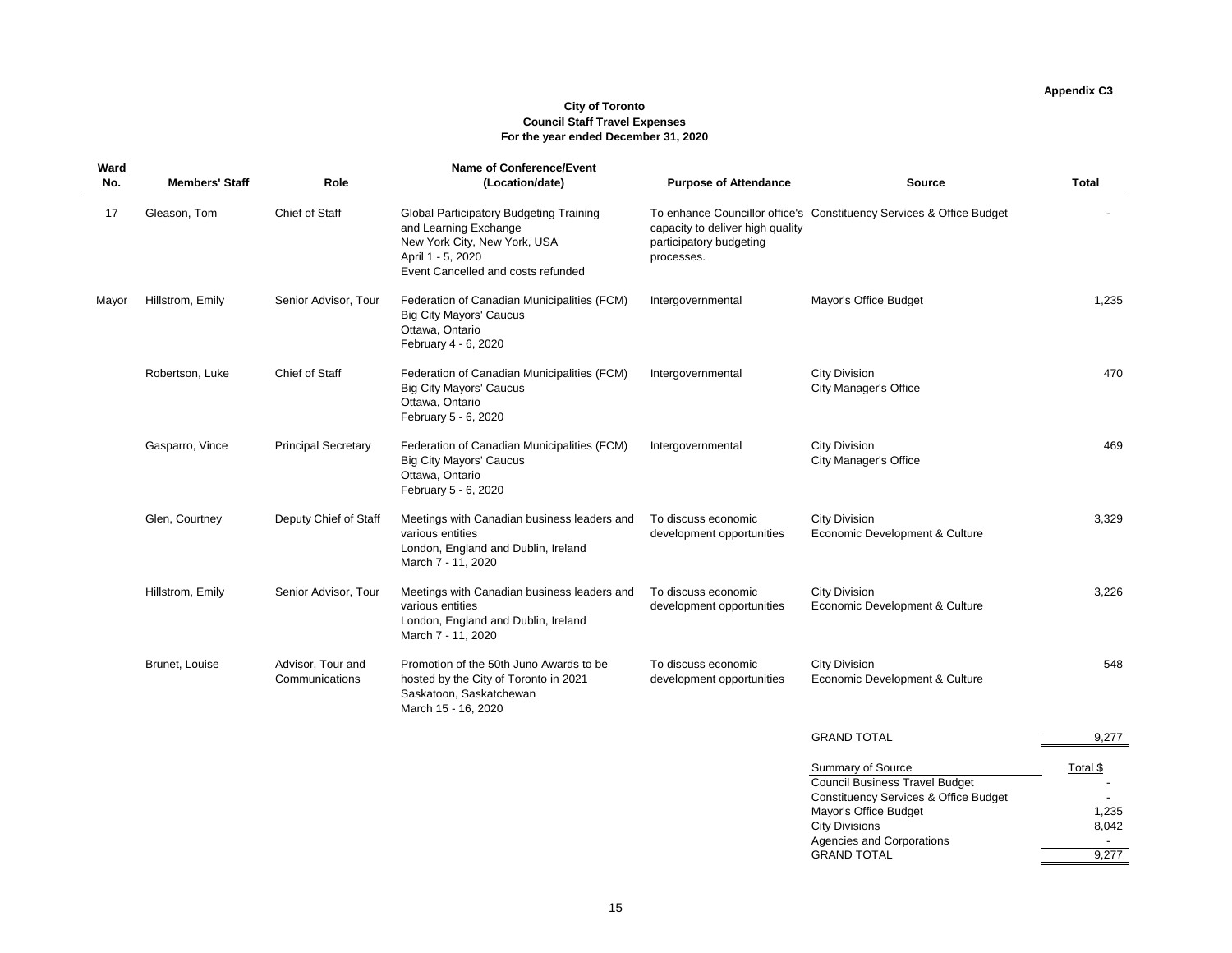# **City of Toronto Council Staff Travel Expenses For the year ended December 31, 2020**

| <b>Ward</b><br>No. | <b>Members' Staff</b> | Role                                | <b>Name of Conference/Event</b><br>(Location/date)                                                                                                                 | <b>Purpose of Attendance</b>                                              | <b>Source</b>                                                                                                                                                                                                              | <b>Total</b>                        |
|--------------------|-----------------------|-------------------------------------|--------------------------------------------------------------------------------------------------------------------------------------------------------------------|---------------------------------------------------------------------------|----------------------------------------------------------------------------------------------------------------------------------------------------------------------------------------------------------------------------|-------------------------------------|
| 17                 | Gleason, Tom          | Chief of Staff                      | <b>Global Participatory Budgeting Training</b><br>and Learning Exchange<br>New York City, New York, USA<br>April 1 - 5, 2020<br>Event Cancelled and costs refunded | capacity to deliver high quality<br>participatory budgeting<br>processes. | To enhance Councillor office's Constituency Services & Office Budget                                                                                                                                                       |                                     |
| Mayor              | Hillstrom, Emily      | Senior Advisor, Tour                | Federation of Canadian Municipalities (FCM)<br><b>Big City Mayors' Caucus</b><br>Ottawa, Ontario<br>February 4 - 6, 2020                                           | Intergovernmental                                                         | Mayor's Office Budget                                                                                                                                                                                                      | 1,235                               |
|                    | Robertson, Luke       | <b>Chief of Staff</b>               | Federation of Canadian Municipalities (FCM)<br><b>Big City Mayors' Caucus</b><br>Ottawa, Ontario<br>February 5 - 6, 2020                                           | Intergovernmental                                                         | <b>City Division</b><br><b>City Manager's Office</b>                                                                                                                                                                       | 470                                 |
|                    | Gasparro, Vince       | <b>Principal Secretary</b>          | Federation of Canadian Municipalities (FCM)<br><b>Big City Mayors' Caucus</b><br>Ottawa, Ontario<br>February 5 - 6, 2020                                           | Intergovernmental                                                         | <b>City Division</b><br><b>City Manager's Office</b>                                                                                                                                                                       | 469                                 |
|                    | Glen, Courtney        | Deputy Chief of Staff               | Meetings with Canadian business leaders and<br>various entities<br>London, England and Dublin, Ireland<br>March 7 - 11, 2020                                       | To discuss economic<br>development opportunities                          | <b>City Division</b><br>Economic Development & Culture                                                                                                                                                                     | 3,329                               |
|                    | Hillstrom, Emily      | Senior Advisor, Tour                | Meetings with Canadian business leaders and<br>various entities<br>London, England and Dublin, Ireland<br>March 7 - 11, 2020                                       | To discuss economic<br>development opportunities                          | <b>City Division</b><br>Economic Development & Culture                                                                                                                                                                     | 3,226                               |
|                    | Brunet, Louise        | Advisor, Tour and<br>Communications | Promotion of the 50th Juno Awards to be<br>hosted by the City of Toronto in 2021<br>Saskatoon, Saskatchewan<br>March 15 - 16, 2020                                 | To discuss economic<br>development opportunities                          | <b>City Division</b><br>Economic Development & Culture                                                                                                                                                                     | 548                                 |
|                    |                       |                                     |                                                                                                                                                                    |                                                                           | <b>GRAND TOTAL</b>                                                                                                                                                                                                         | 9,277                               |
|                    |                       |                                     |                                                                                                                                                                    |                                                                           | <b>Summary of Source</b><br><b>Council Business Travel Budget</b><br><b>Constituency Services &amp; Office Budget</b><br>Mayor's Office Budget<br><b>City Divisions</b><br>Agencies and Corporations<br><b>GRAND TOTAL</b> | Total \$<br>1,235<br>8,042<br>9,277 |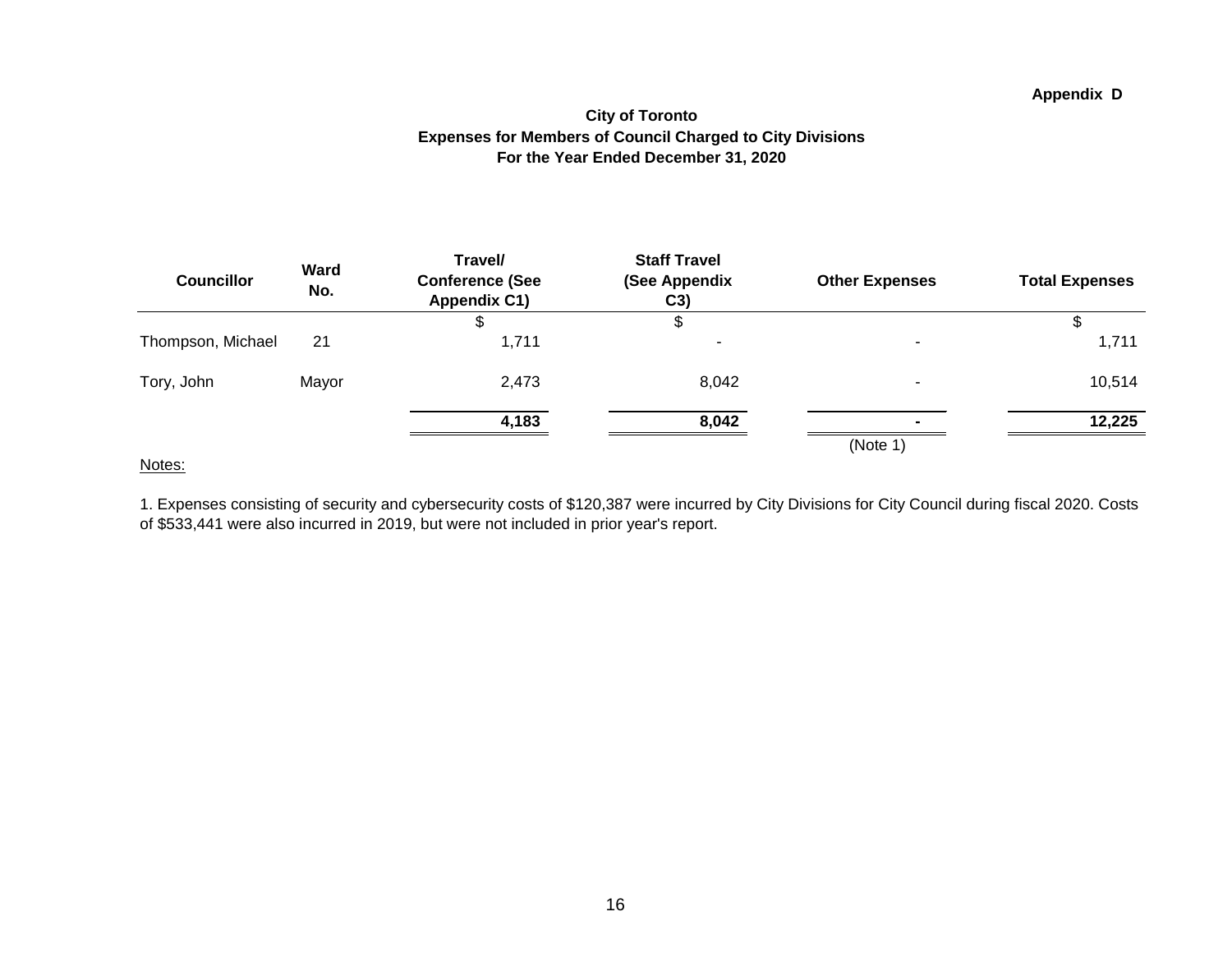#### **Appendix D**

#### **City of Toronto Expenses for Members of Council Charged to City Divisions For the Year Ended December 31, 2020**

| <b>Councillor</b> | <b>Ward</b><br>No. | Travel/<br><b>Conference (See</b><br><b>Appendix C1)</b> | <b>Staff Travel</b><br>(See Appendix<br>C3) | <b>Other Expenses</b> | <b>Total Expenses</b> |
|-------------------|--------------------|----------------------------------------------------------|---------------------------------------------|-----------------------|-----------------------|
|                   |                    |                                                          | Φ                                           |                       |                       |
| Thompson, Michael | 21                 | 1,711                                                    |                                             |                       | 1,711                 |
| Tory, John        | Mayor              | 2,473                                                    | 8,042                                       |                       | 10,514                |
|                   |                    | 4,183                                                    | 8,042                                       |                       | 12,225                |
|                   |                    |                                                          |                                             | (Note 1)              |                       |

#### Notes:

1. Expenses consisting of security and cybersecurity costs of \$120,387 were incurred by City Divisions for City Council during fiscal 2020. Costs of \$533,441 were also incurred in 2019, but were not included in prior year's report.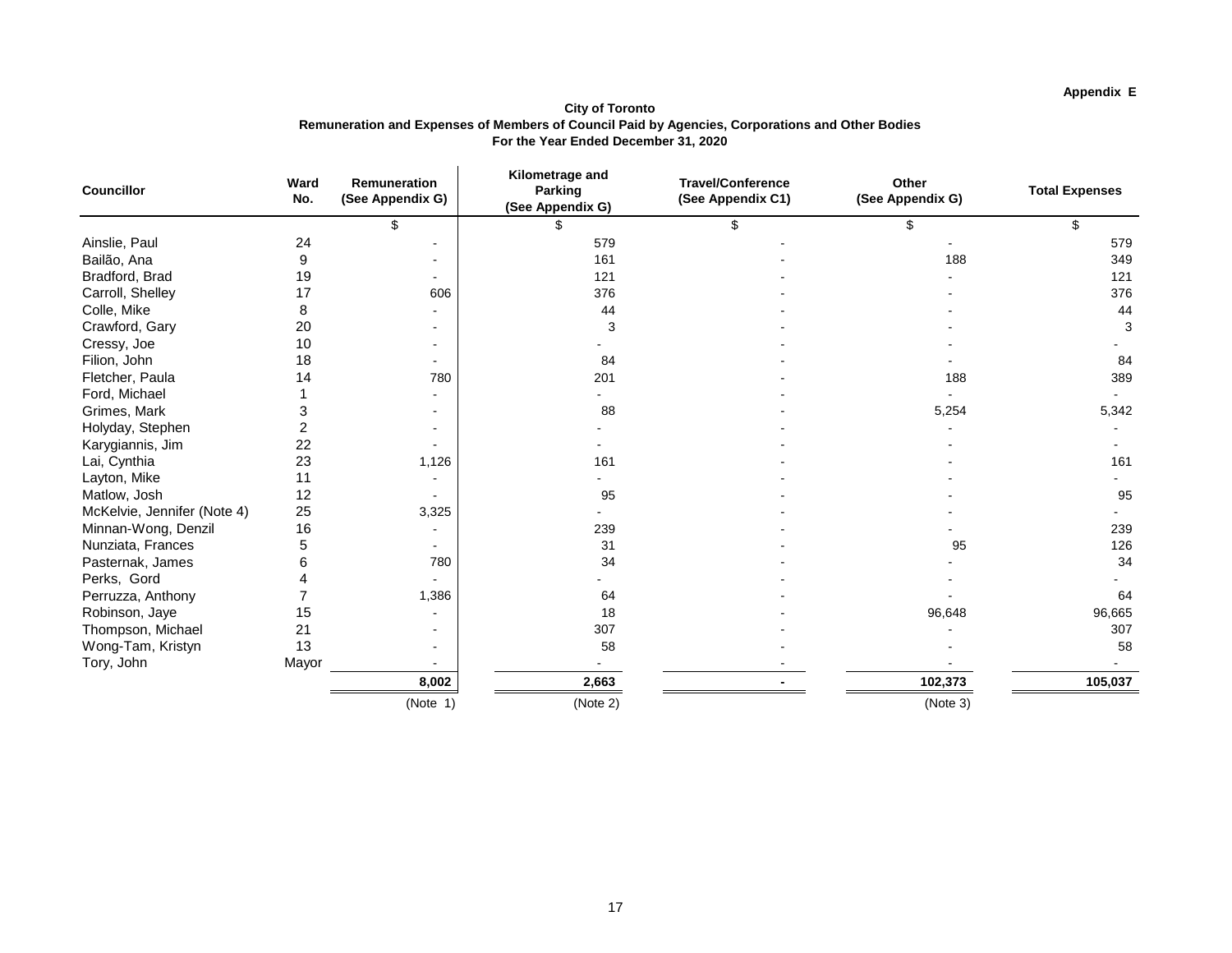# **Appendix E**

**City of Toronto Remuneration and Expenses of Members of Council Paid by Agencies, Corporations and Other Bodies For the Year Ended December 31, 2020**

| <b>Councillor</b>           | Ward<br>No. | <b>Remuneration</b><br>(See Appendix G) | Kilometrage and<br><b>Parking</b><br>(See Appendix G) | <b>Travel/Conference</b><br>(See Appendix C1) | <b>Other</b><br>(See Appendix G) | <b>Total Expenses</b> |
|-----------------------------|-------------|-----------------------------------------|-------------------------------------------------------|-----------------------------------------------|----------------------------------|-----------------------|
|                             |             | \$                                      |                                                       | \$                                            | \$                               | \$                    |
| Ainslie, Paul               | 24          |                                         | 579                                                   |                                               |                                  | 579                   |
| Bailão, Ana                 | 9           |                                         | 161                                                   |                                               | 188                              | 349                   |
| Bradford, Brad              | 19          |                                         | 121                                                   |                                               |                                  | 121                   |
| Carroll, Shelley            | 17          | 606                                     | 376                                                   |                                               |                                  | 376                   |
| Colle, Mike                 | 8           |                                         | 44                                                    |                                               |                                  | 44                    |
| Crawford, Gary              | 20          |                                         | 3                                                     |                                               |                                  | 3                     |
| Cressy, Joe                 | 10          |                                         |                                                       |                                               |                                  |                       |
| Filion, John                | 18          |                                         | 84                                                    |                                               |                                  | 84                    |
| Fletcher, Paula             | 14          | 780                                     | 201                                                   |                                               | 188                              | 389                   |
| Ford, Michael               |             |                                         |                                                       |                                               |                                  |                       |
| Grimes, Mark                | 3           |                                         | 88                                                    |                                               | 5,254                            | 5,342                 |
| Holyday, Stephen            | 2           |                                         |                                                       |                                               |                                  |                       |
| Karygiannis, Jim            | 22          |                                         |                                                       |                                               |                                  |                       |
| Lai, Cynthia                | 23          | 1,126                                   | 161                                                   |                                               |                                  | 161                   |
| Layton, Mike                | 11          |                                         |                                                       |                                               |                                  |                       |
| Matlow, Josh                | 12          |                                         | 95                                                    |                                               |                                  | 95                    |
| McKelvie, Jennifer (Note 4) | 25          | 3,325                                   |                                                       |                                               |                                  |                       |
| Minnan-Wong, Denzil         | 16          |                                         | 239                                                   |                                               |                                  | 239                   |
| Nunziata, Frances           | 5           |                                         | 31                                                    |                                               | 95                               | 126                   |
| Pasternak, James            |             | 780                                     | 34                                                    |                                               |                                  | 34                    |
| Perks, Gord                 |             |                                         |                                                       |                                               |                                  |                       |
| Perruzza, Anthony           |             | 1,386                                   | 64                                                    |                                               |                                  | 64                    |
| Robinson, Jaye              | 15          |                                         | 18                                                    |                                               | 96,648                           | 96,665                |
| Thompson, Michael           | 21          |                                         | 307                                                   |                                               |                                  | 307                   |
| Wong-Tam, Kristyn           | 13          |                                         | 58                                                    |                                               |                                  | 58                    |
| Tory, John                  | Mayor       |                                         |                                                       |                                               |                                  |                       |
|                             |             | 8,002                                   | 2,663                                                 |                                               | 102,373                          | 105,037               |
|                             |             | (Note 1)                                | (Note 2)                                              |                                               | (Note 3)                         |                       |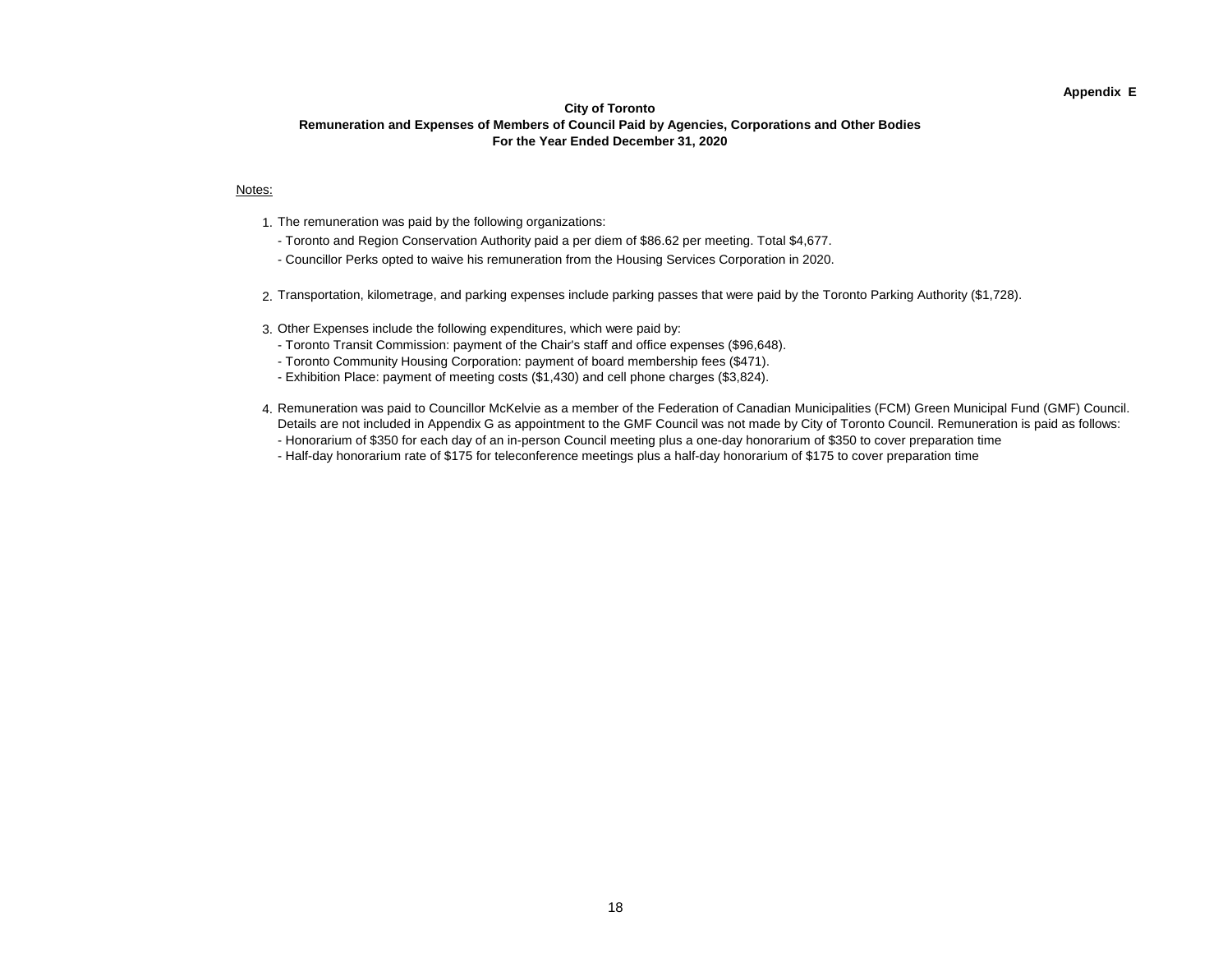#### **Appendix E**

#### **City of Toronto Remuneration and Expenses of Members of Council Paid by Agencies, Corporations and Other Bodies For the Year Ended December 31, 2020**

#### Notes:

- 1. The remuneration was paid by the following organizations:
- Toronto and Region Conservation Authority paid a per diem of \$86.62 per meeting. Total \$4,677.
- Councillor Perks opted to waive his remuneration from the Housing Services Corporation in 2020.
- 2. Transportation, kilometrage, and parking expenses include parking passes that were paid by the Toronto Parking Authority (\$1,728).
- 3. Other Expenses include the following expenditures, which were paid by:
	- Toronto Transit Commission: payment of the Chair's staff and office expenses (\$96,648).
	- Toronto Community Housing Corporation: payment of board membership fees (\$471).
	- Exhibition Place: payment of meeting costs (\$1,430) and cell phone charges (\$3,824).
- 4. Remuneration was paid to Councillor McKelvie as a member of the Federation of Canadian Municipalities (FCM) Green Municipal Fund (GMF) Council. Details are not included in Appendix G as appointment to the GMF Council was not made by City of Toronto Council. Remuneration is paid as follows:
	- Honorarium of \$350 for each day of an in-person Council meeting plus a one-day honorarium of \$350 to cover preparation time
	- Half-day honorarium rate of \$175 for teleconference meetings plus a half-day honorarium of \$175 to cover preparation time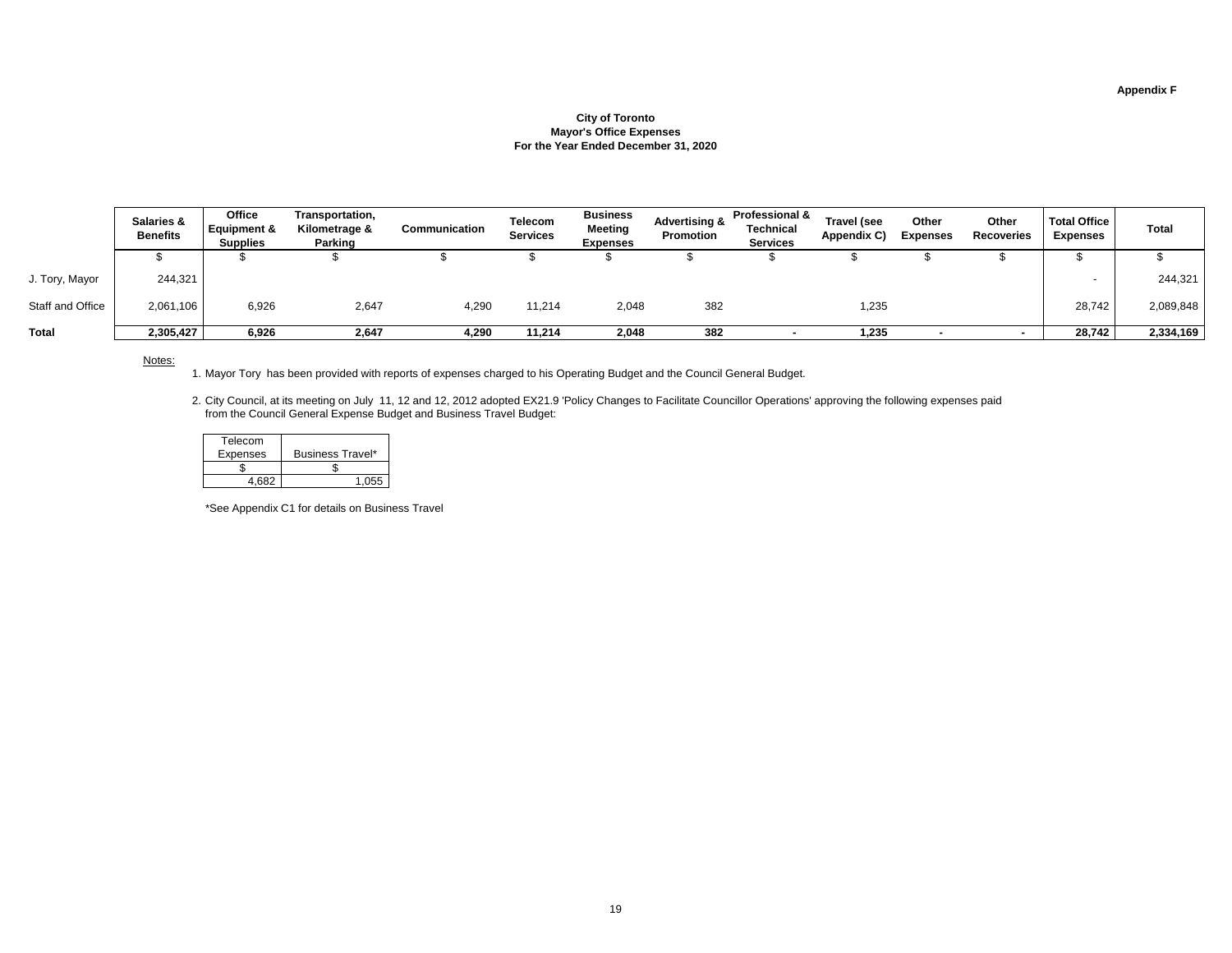|                  | <b>Salaries &amp;</b><br><b>Benefits</b> | <b>Office</b><br><b>Equipment &amp;</b><br><b>Supplies</b> | Transportation,<br>Kilometrage &<br><b>Parking</b> | <b>Communication</b> | <b>Telecom</b><br><b>Services</b> | <b>Business</b><br><b>Meeting</b><br><b>Expenses</b> | <b>Advertising &amp;</b><br><b>Promotion</b> | <b>Professional &amp;</b><br><b>Technical</b><br><b>Services</b> | <b>Travel (see</b><br>Appendix C) | <b>Other</b><br><b>Expenses</b> | <b>Other</b><br><b>Recoveries</b> | <b>Total Office</b><br><b>Expenses</b> | <b>Total</b> |
|------------------|------------------------------------------|------------------------------------------------------------|----------------------------------------------------|----------------------|-----------------------------------|------------------------------------------------------|----------------------------------------------|------------------------------------------------------------------|-----------------------------------|---------------------------------|-----------------------------------|----------------------------------------|--------------|
|                  |                                          |                                                            |                                                    |                      |                                   |                                                      |                                              |                                                                  |                                   |                                 |                                   |                                        |              |
| J. Tory, Mayor   | 244,321                                  |                                                            |                                                    |                      |                                   |                                                      |                                              |                                                                  |                                   |                                 |                                   |                                        | 244,321      |
| Staff and Office | 2,061,106                                | 6,926                                                      | 2,647                                              | 4,290                | 11,214                            | 2,048                                                | 382                                          |                                                                  | 1,235                             |                                 |                                   | 28,742                                 | 2,089,848    |
| <b>Total</b>     | 2,305,427                                | 6,926                                                      | 2,647                                              | 4,290                | 11,214                            | 2,048                                                | 382                                          |                                                                  | 1,235                             |                                 |                                   | 28,742                                 | 2,334,169    |

Notes:

1. Mayor Tory has been provided with reports of expenses charged to his Operating Budget and the Council General Budget.

1. Mayor Tory has been provided with reports of expenses charged to his Operating Budget and the Council General Budget.<br>2. City Council, at its meeting on July 11, 12 and 12, 2012 adopted EX21.9 'Policy Changes to Facil from the Council General Expense Budget and Business Travel Budget:

# **Appendix F**

## **City of Toronto Mayor's Office Expenses For the Year Ended December 31, 2020**

| Telecom         |                         |
|-----------------|-------------------------|
| <b>Expenses</b> | <b>Business Travel*</b> |
|                 |                         |
|                 |                         |

\*See Appendix C1 for details on Business Travel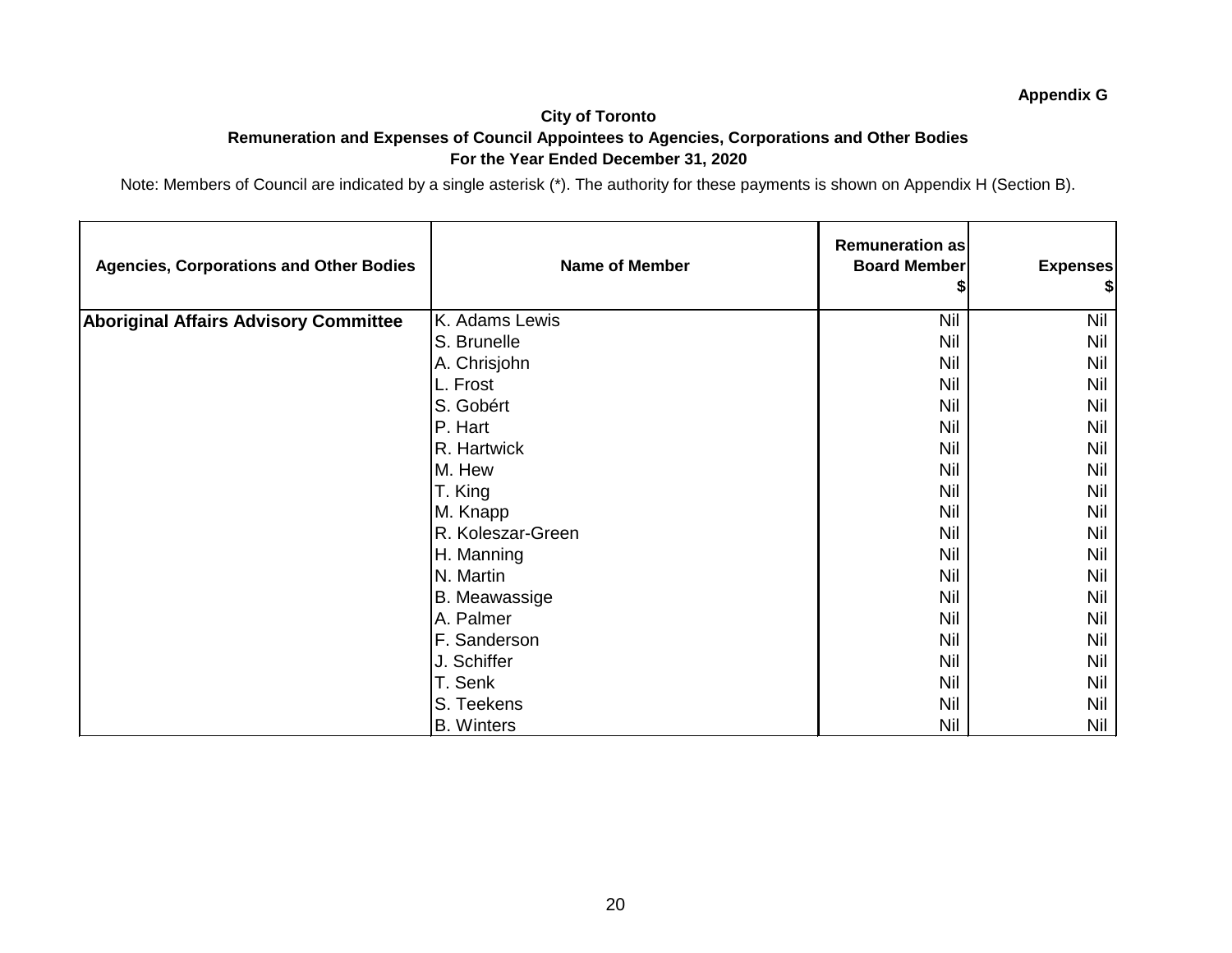#### **City of Toronto Remuneration and Expenses of Council Appointees to Agencies, Corporations and Other Bodies For the Year Ended December 31, 2020**

| <b>Agencies, Corporations and Other Bodies</b> | <b>Name of Member</b> | Remuneration as<br><b>Board Member</b> | <b>Expenses</b><br>\$ |
|------------------------------------------------|-----------------------|----------------------------------------|-----------------------|
| <b>Aboriginal Affairs Advisory Committee</b>   | K. Adams Lewis        | <b>Nil</b>                             | <b>Nil</b>            |
|                                                | S. Brunelle           | <b>Nil</b>                             | Nil                   |
|                                                | A. Chrisjohn          | <b>Nil</b>                             | <b>Nil</b>            |
|                                                | L. Frost              | Nil                                    | <b>Nil</b>            |
|                                                | S. Gobért             | Nil                                    | <b>Nil</b>            |
|                                                | P. Hart               | Nil                                    | Nil                   |
|                                                | R. Hartwick           | Nil                                    | <b>Nil</b>            |
|                                                | M. Hew                | Nil                                    | <b>Nil</b>            |
|                                                | T. King               | <b>Nil</b>                             | <b>Nil</b>            |
|                                                | M. Knapp              | <b>Nil</b>                             | <b>Nil</b>            |
|                                                | R. Koleszar-Green     | <b>Nil</b>                             | <b>Nil</b>            |
|                                                | H. Manning            | Nil                                    | <b>Nil</b>            |
|                                                | N. Martin             | Nil                                    | Nil                   |
|                                                | <b>B.</b> Meawassige  | <b>Nil</b>                             | <b>Nil</b>            |
|                                                | A. Palmer             | <b>Nil</b>                             | <b>Nil</b>            |
|                                                | F. Sanderson          | <b>Nil</b>                             | <b>Nil</b>            |
|                                                | J. Schiffer           | <b>Nil</b>                             | Nil                   |
|                                                | T. Senk               | <b>Nil</b>                             | <b>Nil</b>            |
|                                                | S. Teekens            | <b>Nil</b>                             | <b>Nil</b>            |
|                                                | <b>B.</b> Winters     | Nil                                    | Nil                   |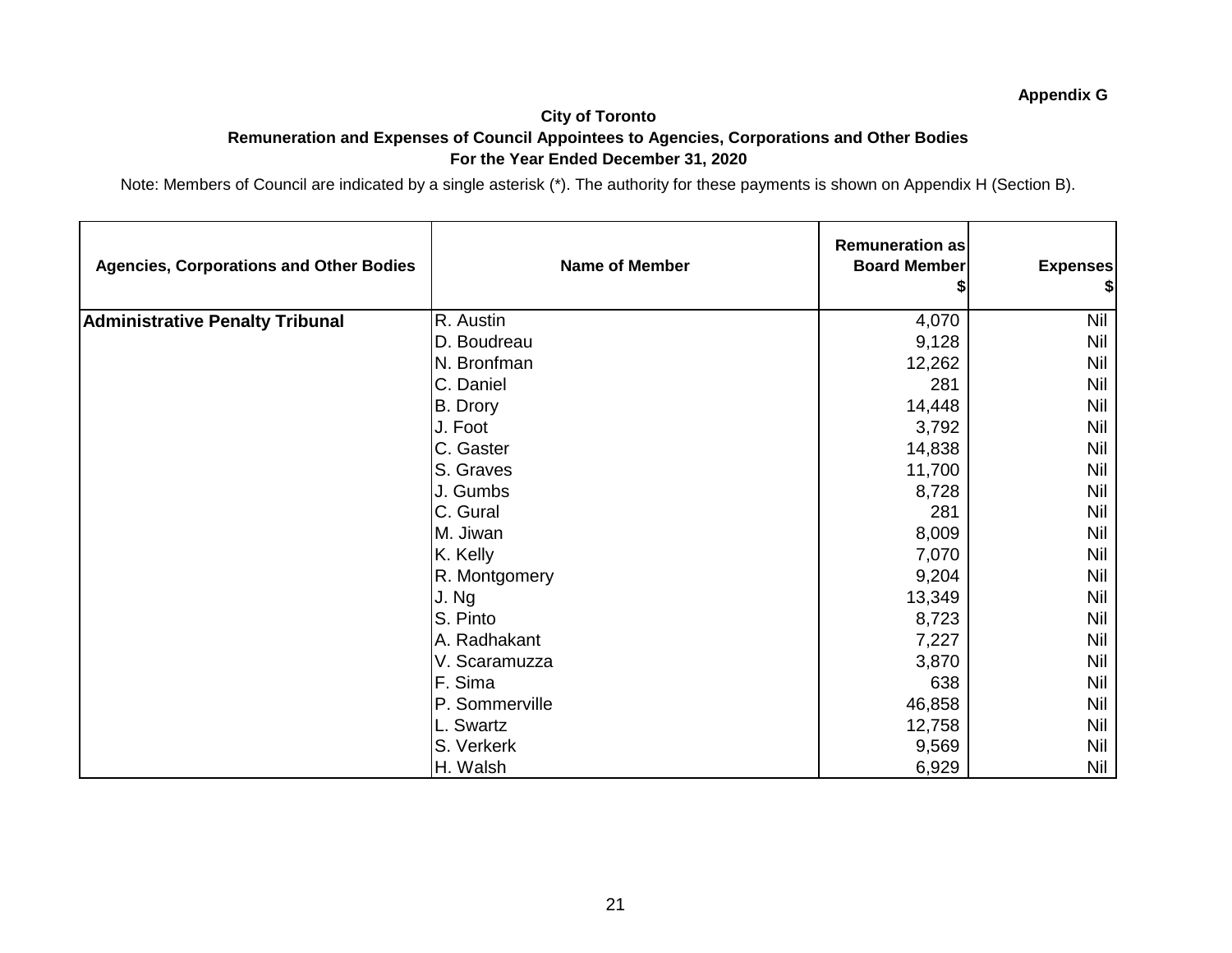#### **City of Toronto Remuneration and Expenses of Council Appointees to Agencies, Corporations and Other Bodies For the Year Ended December 31, 2020**

| <b>Agencies, Corporations and Other Bodies</b> | <b>Name of Member</b> | <b>Remuneration as</b><br><b>Board Member</b> | <b>Expenses</b><br>\$ |
|------------------------------------------------|-----------------------|-----------------------------------------------|-----------------------|
| <b>Administrative Penalty Tribunal</b>         | R. Austin             | 4,070                                         | <b>Nil</b>            |
|                                                | D. Boudreau           | 9,128                                         | Nil                   |
|                                                | N. Bronfman           | 12,262                                        | Nil                   |
|                                                | C. Daniel             | 281                                           | Nil                   |
|                                                | B. Drory              | 14,448                                        | <b>Nil</b>            |
|                                                | J. Foot               | 3,792                                         | Nil                   |
|                                                | C. Gaster             | 14,838                                        | Nil                   |
|                                                | S. Graves             | 11,700                                        | Nil                   |
|                                                | J. Gumbs              | 8,728                                         | Nil                   |
|                                                | C. Gural              | 281                                           | Nil                   |
|                                                | M. Jiwan              | 8,009                                         | Nil                   |
|                                                | K. Kelly              | 7,070                                         | <b>Nil</b>            |
|                                                | R. Montgomery         | 9,204                                         | Nil                   |
|                                                | J. Ng                 | 13,349                                        | <b>Nil</b>            |
|                                                | S. Pinto              | 8,723                                         | Nil                   |
|                                                | A. Radhakant          | 7,227                                         | <b>Nil</b>            |
|                                                | V. Scaramuzza         | 3,870                                         | Nil                   |
|                                                | F. Sima               | 638                                           | <b>Nil</b>            |
|                                                | P. Sommerville        | 46,858                                        | <b>Nil</b>            |
|                                                | L. Swartz             | 12,758                                        | <b>Nil</b>            |
|                                                | S. Verkerk            | 9,569                                         | <b>Nil</b>            |
|                                                | H. Walsh              | 6,929                                         | Nil                   |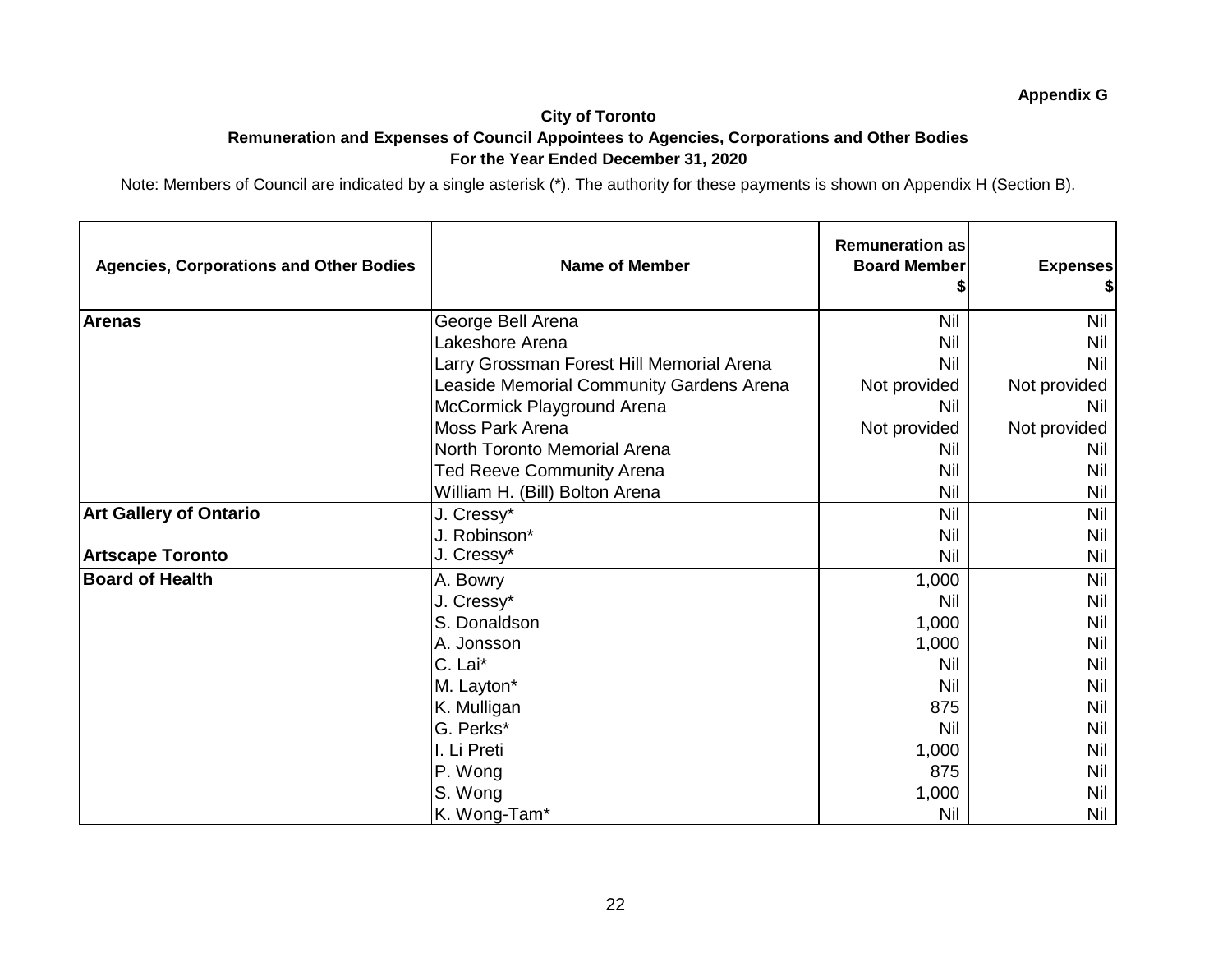#### **City of Toronto Remuneration and Expenses of Council Appointees to Agencies, Corporations and Other Bodies For the Year Ended December 31, 2020**

| <b>Agencies, Corporations and Other Bodies</b> | <b>Name of Member</b>                     | <b>Remuneration as</b><br><b>Board Member</b> | <b>Expenses</b> |
|------------------------------------------------|-------------------------------------------|-----------------------------------------------|-----------------|
| <b>Arenas</b>                                  | George Bell Arena                         | <b>Nil</b>                                    | <b>Nil</b>      |
|                                                | Lakeshore Arena                           | Nil                                           | <b>Nil</b>      |
|                                                | Larry Grossman Forest Hill Memorial Arena | Nil                                           | Nil             |
|                                                | Leaside Memorial Community Gardens Arena  | Not provided                                  | Not provided    |
|                                                | McCormick Playground Arena                | Nil                                           | Nil             |
|                                                | <b>Moss Park Arena</b>                    | Not provided                                  | Not provided    |
|                                                | North Toronto Memorial Arena              | Nil                                           | Nil             |
|                                                | <b>Ted Reeve Community Arena</b>          | Nil                                           | Nil             |
|                                                | William H. (Bill) Bolton Arena            | Nil                                           | Nil             |
| <b>Art Gallery of Ontario</b>                  | J. Cressy*                                | Nil                                           | <b>Nil</b>      |
|                                                | J. Robinson*                              | Nil                                           | <b>Nil</b>      |
| <b>Artscape Toronto</b>                        | J. Cressy*                                | <b>Nil</b>                                    | <b>Nil</b>      |
| <b>Board of Health</b>                         | A. Bowry                                  | 1,000                                         | Nil             |
|                                                | J. Cressy*                                | Nil                                           | <b>Nil</b>      |
|                                                | S. Donaldson                              | 1,000                                         | Nil             |
|                                                | A. Jonsson                                | 1,000                                         | <b>Nil</b>      |
|                                                | C. Lai*                                   | Nil                                           | <b>Nil</b>      |
|                                                | M. Layton*                                | Nil                                           | Nil             |
|                                                | K. Mulligan                               | 875                                           | Nil             |
|                                                | G. Perks*                                 | Nil                                           | <b>Nil</b>      |
|                                                | I. Li Preti                               | 1,000                                         | Nil             |
|                                                | P. Wong                                   | 875                                           | <b>Nil</b>      |
|                                                | S. Wong                                   | 1,000                                         | Nil             |
|                                                | K. Wong-Tam*                              | <b>Nil</b>                                    | Nil             |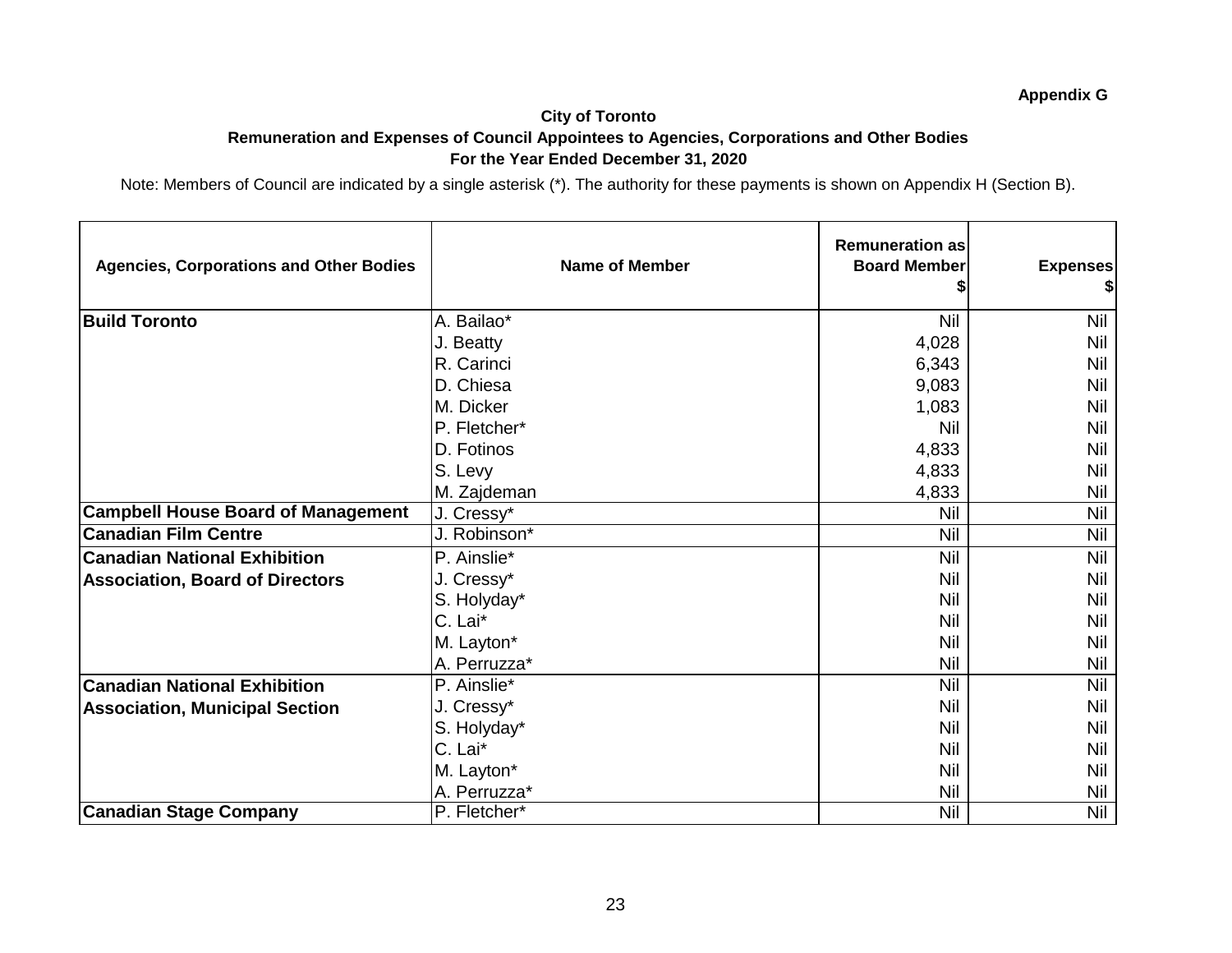## **City of Toronto Remuneration and Expenses of Council Appointees to Agencies, Corporations and Other Bodies For the Year Ended December 31, 2020**

| <b>Agencies, Corporations and Other Bodies</b> | <b>Name of Member</b> | <b>Remuneration as</b><br><b>Board Member</b> | <b>Expenses</b><br>\$ |
|------------------------------------------------|-----------------------|-----------------------------------------------|-----------------------|
| <b>Build Toronto</b>                           | A. Bailao*            | <b>Nil</b>                                    | Nil                   |
|                                                | J. Beatty             | 4,028                                         | Nil                   |
|                                                | R. Carinci            | 6,343                                         | <b>Nil</b>            |
|                                                | D. Chiesa             | 9,083                                         | Nil                   |
|                                                | M. Dicker             | 1,083                                         | Nil                   |
|                                                | P. Fletcher*          | Nil                                           | <b>Nil</b>            |
|                                                | D. Fotinos            | 4,833                                         | Nil                   |
|                                                | S. Levy               | 4,833                                         | Nil                   |
|                                                | M. Zajdeman           | 4,833                                         | Nil                   |
| <b>Campbell House Board of Management</b>      | J. Cressy*            | Nil                                           | Nil                   |
| <b>Canadian Film Centre</b>                    | J. Robinson*          | Nil                                           | <b>Nil</b>            |
| <b>Canadian National Exhibition</b>            | P. Ainslie*           | Nil                                           | <b>Nil</b>            |
| <b>Association, Board of Directors</b>         | J. Cressy*            | Nil                                           | Nil                   |
|                                                | S. Holyday*           | Nil                                           | Nil                   |
|                                                | C. Lai*               | Nil                                           | Nil                   |
|                                                | M. Layton*            | Nil                                           | Nil                   |
|                                                | A. Perruzza*          | Nil                                           | Nil                   |
| <b>Canadian National Exhibition</b>            | P. Ainslie*           | Nil                                           | <b>Nil</b>            |
| <b>Association, Municipal Section</b>          | J. Cressy*            | Nil                                           | Nil                   |
|                                                | S. Holyday*           | Nil                                           | Nil                   |
|                                                | C. Lai*               | Nil                                           | Nil                   |
|                                                | M. Layton*            | Nil                                           | Nil                   |
|                                                | A. Perruzza*          | Nil                                           | <b>Nil</b>            |
| <b>Canadian Stage Company</b>                  | P. Fletcher*          | Nil                                           | Nil                   |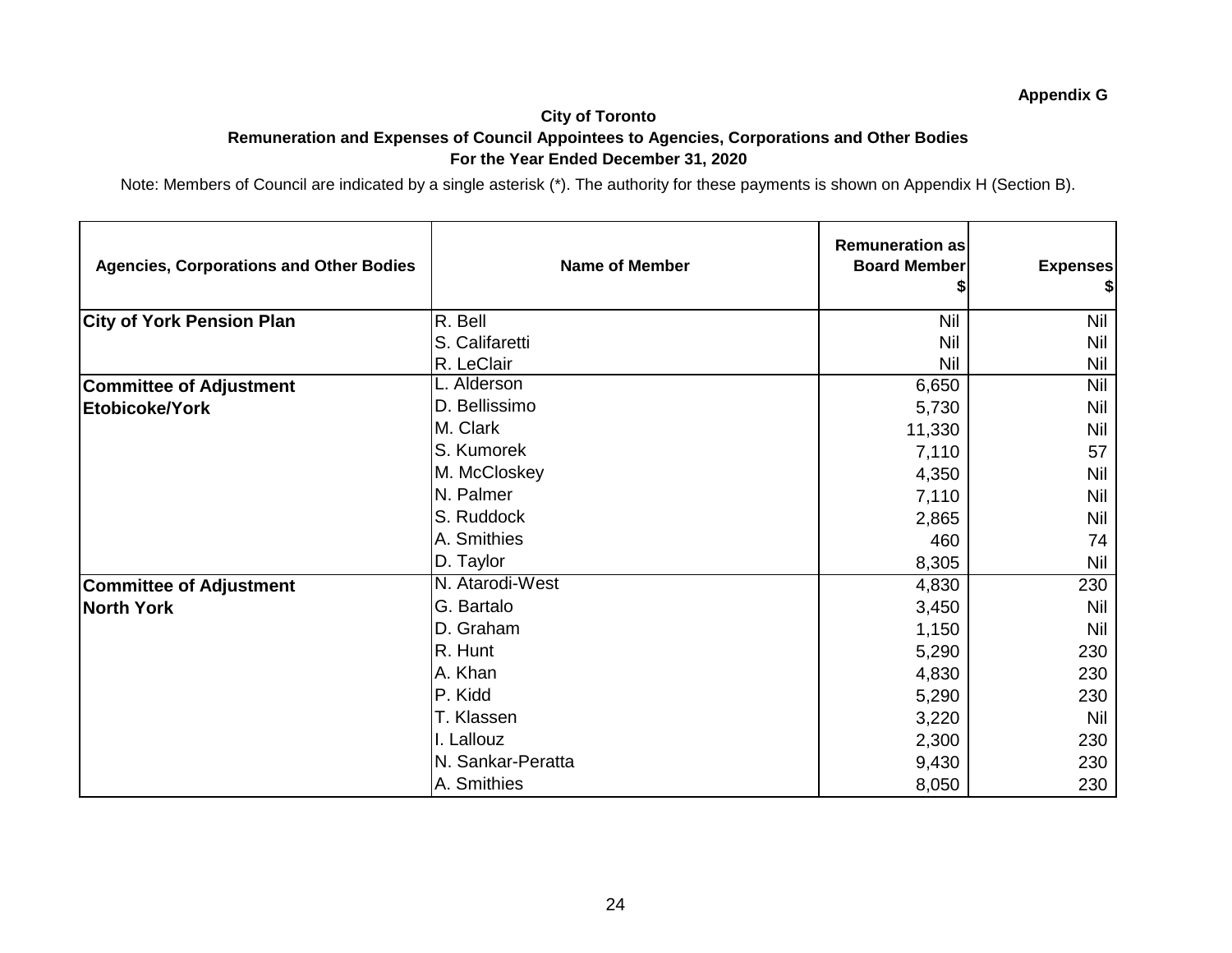## **City of Toronto Remuneration and Expenses of Council Appointees to Agencies, Corporations and Other Bodies For the Year Ended December 31, 2020**

| <b>Agencies, Corporations and Other Bodies</b> | <b>Name of Member</b> | <b>Remuneration as</b><br><b>Board Member</b> | <b>Expenses</b><br>\$ |
|------------------------------------------------|-----------------------|-----------------------------------------------|-----------------------|
| <b>City of York Pension Plan</b>               | R. Bell               | <b>Nil</b>                                    | <b>Nil</b>            |
|                                                | S. Califaretti        | <b>Nil</b>                                    | Nil                   |
|                                                | R. LeClair            | Nil                                           | Nil                   |
| <b>Committee of Adjustment</b>                 | L. Alderson           | 6,650                                         | <b>Nil</b>            |
| Etobicoke/York                                 | D. Bellissimo         | 5,730                                         | Nil                   |
|                                                | M. Clark              | 11,330                                        | Nil                   |
|                                                | S. Kumorek            | 7,110                                         | 57                    |
|                                                | M. McCloskey          | 4,350                                         | Nil                   |
|                                                | N. Palmer             | 7,110                                         | Nil                   |
|                                                | S. Ruddock            | 2,865                                         | <b>Nil</b>            |
|                                                | A. Smithies           | 460                                           | 74                    |
|                                                | D. Taylor             | 8,305                                         | Nil                   |
| <b>Committee of Adjustment</b>                 | N. Atarodi-West       | 4,830                                         | 230                   |
| <b>North York</b>                              | G. Bartalo            | 3,450                                         | <b>Nil</b>            |
|                                                | D. Graham             | 1,150                                         | Nil                   |
|                                                | R. Hunt               | 5,290                                         | 230                   |
|                                                | A. Khan               | 4,830                                         | 230                   |
|                                                | P. Kidd               | 5,290                                         | 230                   |
|                                                | T. Klassen            | 3,220                                         | <b>Nil</b>            |
|                                                | I. Lallouz            | 2,300                                         | 230                   |
|                                                | N. Sankar-Peratta     | 9,430                                         | 230                   |
|                                                | A. Smithies           | 8,050                                         | 230                   |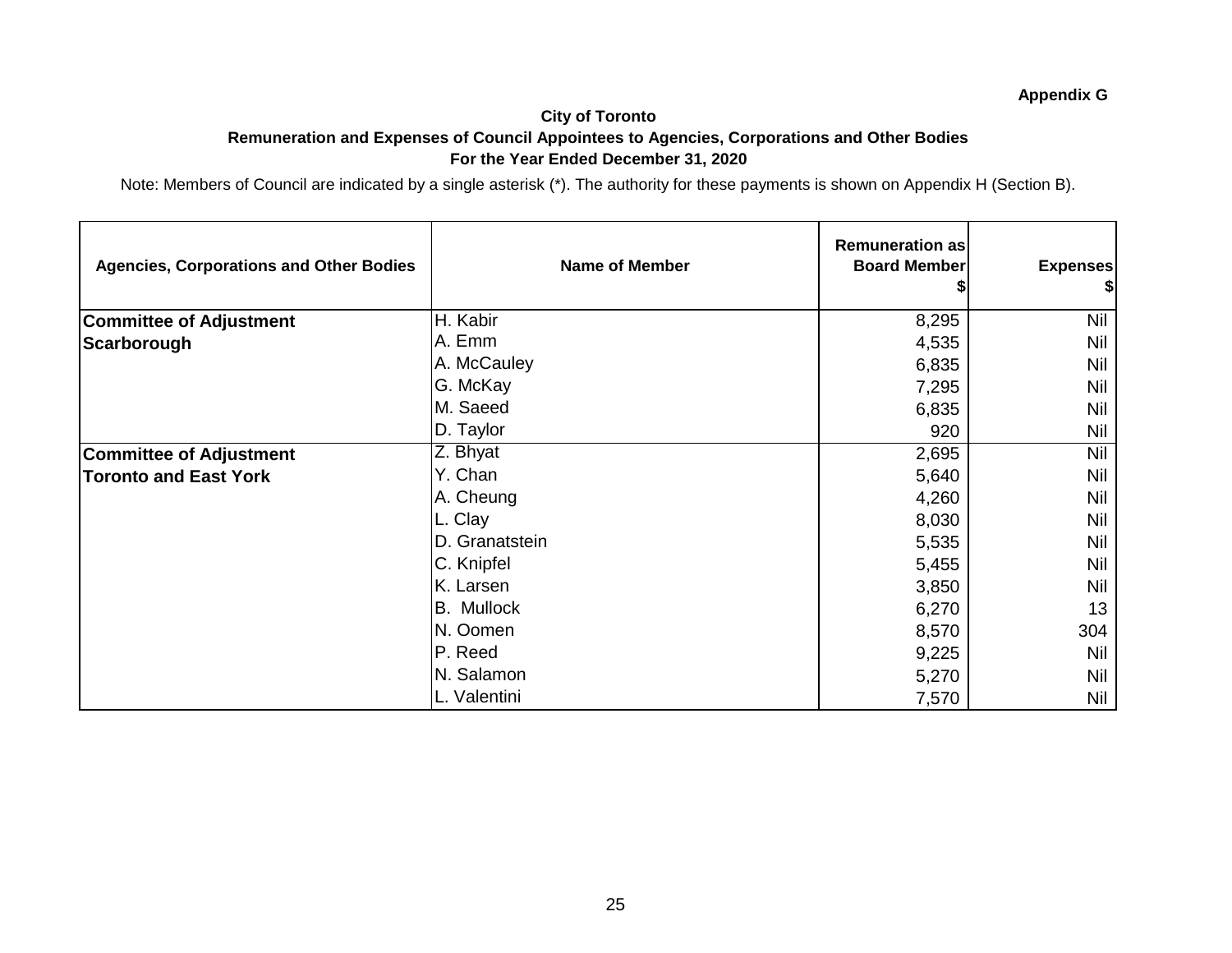#### **City of Toronto Remuneration and Expenses of Council Appointees to Agencies, Corporations and Other Bodies For the Year Ended December 31, 2020**

| <b>Agencies, Corporations and Other Bodies</b> | <b>Name of Member</b> | <b>Remuneration as</b><br><b>Board Member</b> | <b>Expenses</b><br>\$ |
|------------------------------------------------|-----------------------|-----------------------------------------------|-----------------------|
| <b>Committee of Adjustment</b>                 | H. Kabir              | 8,295                                         | <b>Nil</b>            |
| Scarborough                                    | A. Emm                | 4,535                                         | Nil                   |
|                                                | A. McCauley           | 6,835                                         | Nil                   |
|                                                | G. McKay              | 7,295                                         | Nil                   |
|                                                | M. Saeed              | 6,835                                         | Nil                   |
|                                                | D. Taylor             | 920                                           | <b>Nil</b>            |
| <b>Committee of Adjustment</b>                 | Z. Bhyat              | 2,695                                         | Nil                   |
| <b>Toronto and East York</b>                   | Y. Chan               | 5,640                                         | Nil                   |
|                                                | A. Cheung             | 4,260                                         | Nil                   |
|                                                | L. Clay               | 8,030                                         | Nil                   |
|                                                | D. Granatstein        | 5,535                                         | Nil                   |
|                                                | C. Knipfel            | 5,455                                         | Nil                   |
|                                                | K. Larsen             | 3,850                                         | <b>Nil</b>            |
|                                                | <b>B.</b> Mullock     | 6,270                                         | 13                    |
|                                                | N. Oomen              | 8,570                                         | 304                   |
|                                                | P. Reed               | 9,225                                         | <b>Nil</b>            |
|                                                | N. Salamon            | 5,270                                         | Nil                   |
|                                                | L. Valentini          | 7,570                                         | Nil                   |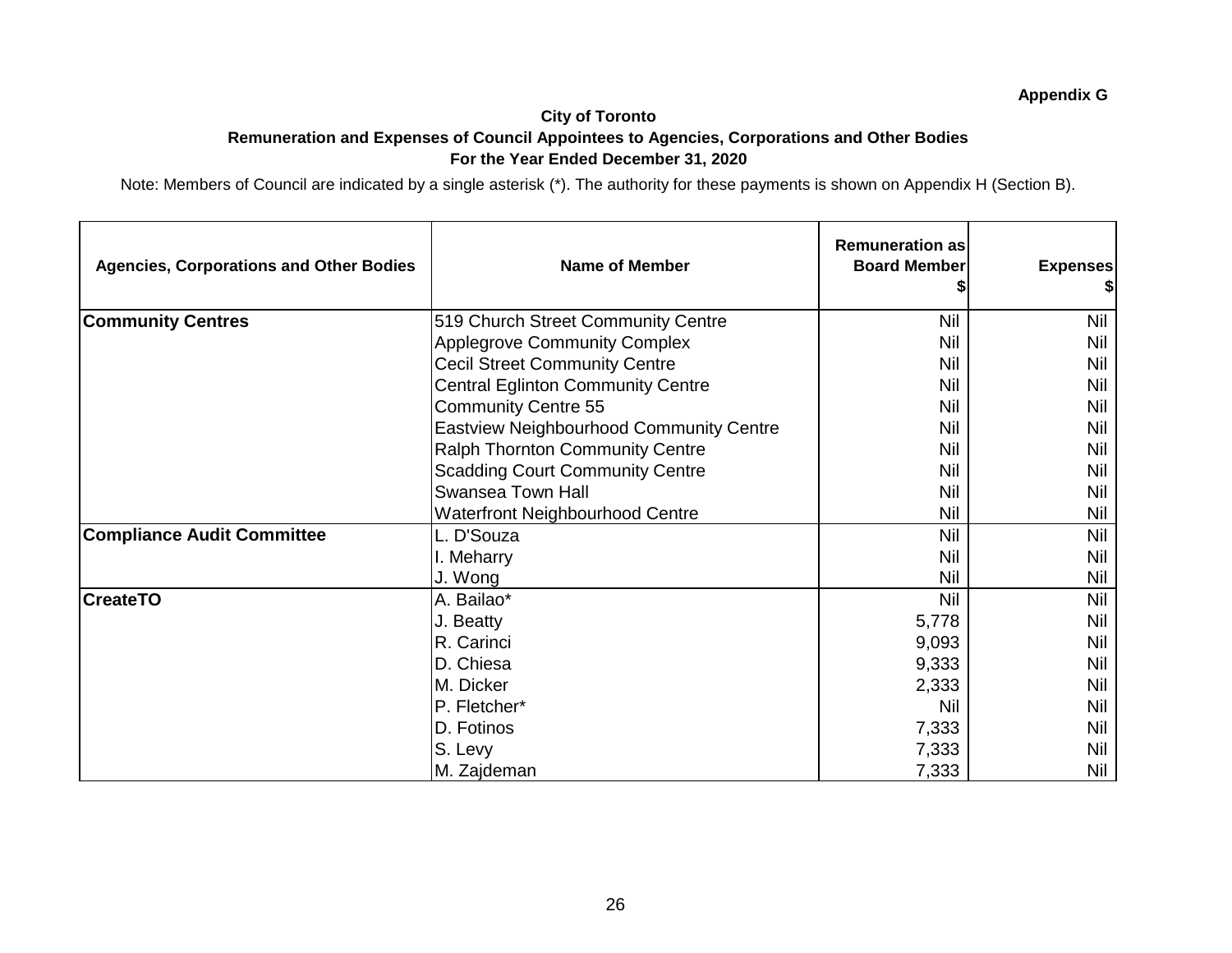#### **City of Toronto Remuneration and Expenses of Council Appointees to Agencies, Corporations and Other Bodies For the Year Ended December 31, 2020**

| <b>Agencies, Corporations and Other Bodies</b> | <b>Name of Member</b>                          | <b>Remuneration as</b><br><b>Board Member</b> | <b>Expenses</b> |
|------------------------------------------------|------------------------------------------------|-----------------------------------------------|-----------------|
| <b>Community Centres</b>                       | 519 Church Street Community Centre             | Nil                                           | Nil             |
|                                                | <b>Applegrove Community Complex</b>            | Nil                                           | Nil             |
|                                                | <b>Cecil Street Community Centre</b>           | <b>Nil</b>                                    | Nil             |
|                                                | <b>Central Eglinton Community Centre</b>       | Nil                                           | Nil             |
|                                                | <b>Community Centre 55</b>                     | Nil                                           | Nil             |
|                                                | <b>Eastview Neighbourhood Community Centre</b> | Nil                                           | Nil             |
|                                                | Ralph Thornton Community Centre                | Nil                                           | <b>Nil</b>      |
|                                                | <b>Scadding Court Community Centre</b>         | Nil                                           | Nil             |
|                                                | <b>Swansea Town Hall</b>                       | Nil                                           | Nil             |
|                                                | <b>Waterfront Neighbourhood Centre</b>         | <b>Nil</b>                                    | Nil             |
| <b>Compliance Audit Committee</b>              | L. D'Souza                                     | <b>Nil</b>                                    | <b>Nil</b>      |
|                                                | I. Meharry                                     | Nil                                           | <b>Nil</b>      |
|                                                | J. Wong                                        | Nil                                           | Nil             |
| <b>CreateTO</b>                                | A. Bailao*                                     | <b>Nil</b>                                    | <b>Nil</b>      |
|                                                | J. Beatty                                      | 5,778                                         | Nil             |
|                                                | R. Carinci                                     | 9,093                                         | <b>Nil</b>      |
|                                                | D. Chiesa                                      | 9,333                                         | Nil             |
|                                                | M. Dicker                                      | 2,333                                         | Nil             |
|                                                | P. Fletcher*                                   | <b>Nil</b>                                    | <b>Nil</b>      |
|                                                | D. Fotinos                                     | 7,333                                         | Nil             |
|                                                | S. Levy                                        | 7,333                                         | Nil             |
|                                                | M. Zajdeman                                    | 7,333                                         | Nil             |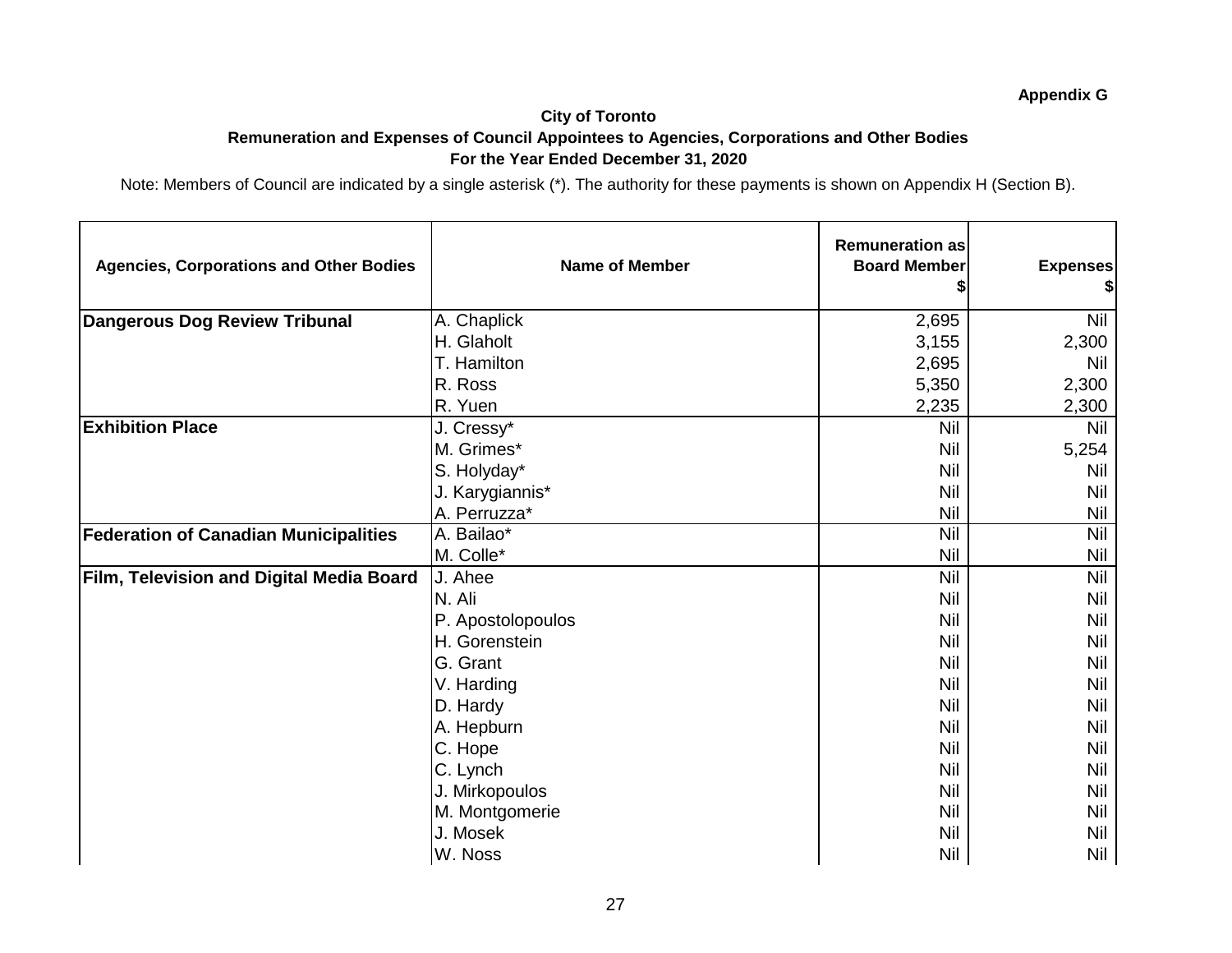#### **City of Toronto Remuneration and Expenses of Council Appointees to Agencies, Corporations and Other Bodies For the Year Ended December 31, 2020**

| <b>Agencies, Corporations and Other Bodies</b> | <b>Name of Member</b> | <b>Remuneration as</b><br><b>Board Member</b> | <b>Expenses</b><br>\$ |
|------------------------------------------------|-----------------------|-----------------------------------------------|-----------------------|
| <b>Dangerous Dog Review Tribunal</b>           | A. Chaplick           | 2,695                                         | <b>Nil</b>            |
|                                                | H. Glaholt            | 3,155                                         | 2,300                 |
|                                                | T. Hamilton           | 2,695                                         | Nil                   |
|                                                | R. Ross               | 5,350                                         | 2,300                 |
|                                                | R. Yuen               | 2,235                                         | 2,300                 |
| <b>Exhibition Place</b>                        | J. Cressy*            | <b>Nil</b>                                    | <b>Nil</b>            |
|                                                | M. Grimes*            | <b>Nil</b>                                    | 5,254                 |
|                                                | S. Holyday*           | <b>Nil</b>                                    | Nil                   |
|                                                | J. Karygiannis*       | <b>Nil</b>                                    | Nil                   |
|                                                | A. Perruzza*          | <b>Nil</b>                                    | <b>Nil</b>            |
| <b>Federation of Canadian Municipalities</b>   | A. Bailao*            | <b>Nil</b>                                    | <b>Nil</b>            |
|                                                | M. Colle*             | <b>Nil</b>                                    | <b>Nil</b>            |
| Film, Television and Digital Media Board       | J. Ahee               | <b>Nil</b>                                    | <b>Nil</b>            |
|                                                | N. Ali                | Nil                                           | <b>Nil</b>            |
|                                                | P. Apostolopoulos     | <b>Nil</b>                                    | <b>Nil</b>            |
|                                                | H. Gorenstein         | <b>Nil</b>                                    | <b>Nil</b>            |
|                                                | G. Grant              | <b>Nil</b>                                    | <b>Nil</b>            |
|                                                | V. Harding            | <b>Nil</b>                                    | <b>Nil</b>            |
|                                                | D. Hardy              | <b>Nil</b>                                    | <b>Nil</b>            |
|                                                | A. Hepburn            | <b>Nil</b>                                    | <b>Nil</b>            |
|                                                | C. Hope               | <b>Nil</b>                                    | Nil                   |
|                                                | C. Lynch              | <b>Nil</b>                                    | Nil                   |
|                                                | J. Mirkopoulos        | <b>Nil</b>                                    | <b>Nil</b>            |
|                                                | M. Montgomerie        | <b>Nil</b>                                    | Nil                   |
|                                                | J. Mosek              | <b>Nil</b>                                    | Nil                   |
|                                                | W. Noss               | <b>Nil</b>                                    | Nil                   |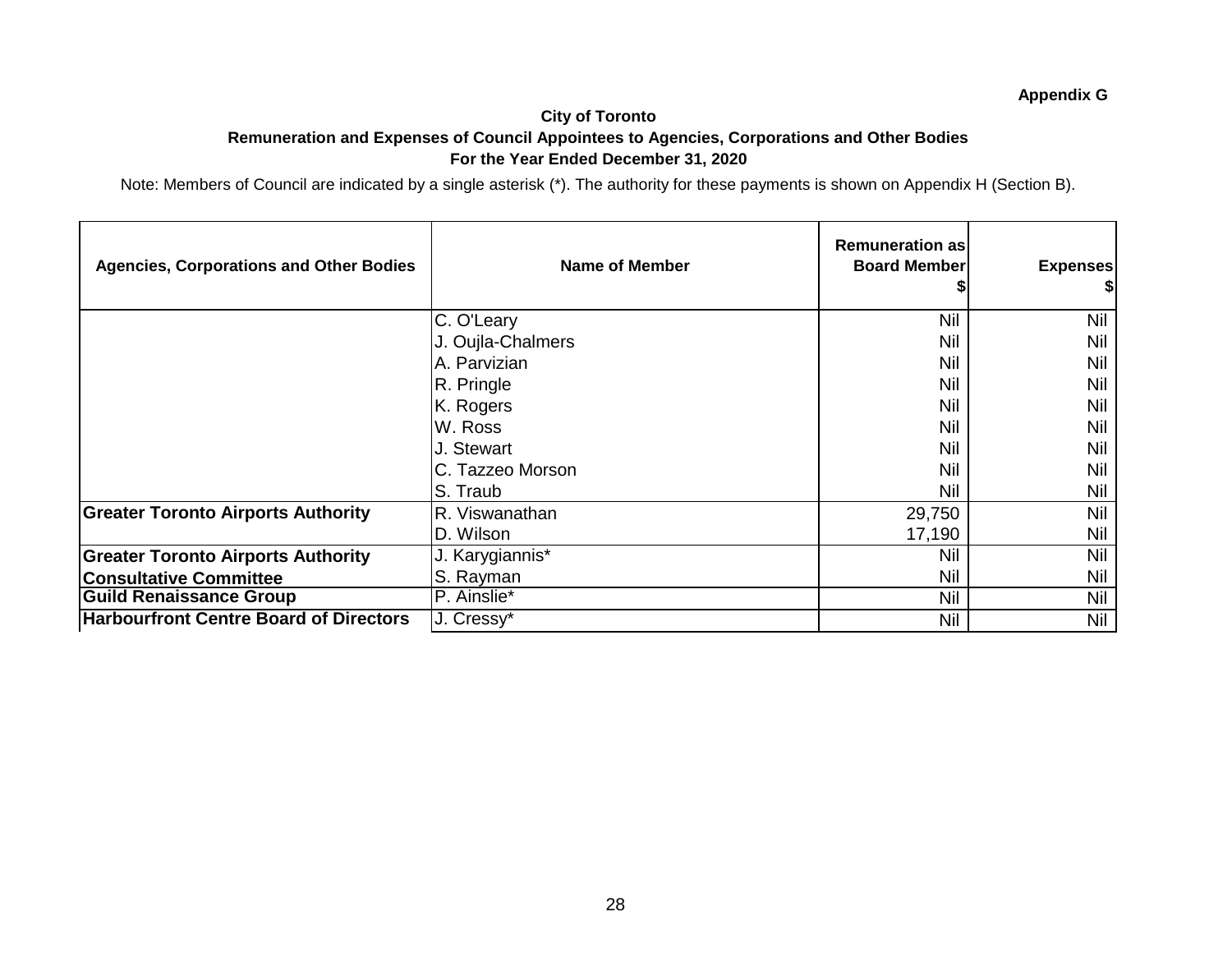#### **City of Toronto Remuneration and Expenses of Council Appointees to Agencies, Corporations and Other Bodies For the Year Ended December 31, 2020**

| <b>Agencies, Corporations and Other Bodies</b> | <b>Name of Member</b>    | <b>Remuneration as</b><br><b>Board Member</b> | <b>Expenses</b> |
|------------------------------------------------|--------------------------|-----------------------------------------------|-----------------|
|                                                | C. O'Leary               | <b>Nil</b>                                    | Nil             |
|                                                | J. Oujla-Chalmers        | Nil                                           | Nil             |
|                                                | A. Parvizian             | Nil                                           | Nil             |
|                                                | R. Pringle               | Nil                                           | Nil             |
|                                                | K. Rogers                | Nil                                           | Nil             |
|                                                | W. Ross                  | Nil                                           | Nil             |
|                                                | J. Stewart               | Nil                                           | Nil             |
|                                                | C. Tazzeo Morson         | Nil                                           | Nil             |
|                                                | S. Traub                 | Nil                                           | Nil             |
| <b>Greater Toronto Airports Authority</b>      | R. Viswanathan           | 29,750                                        | Nil             |
|                                                | D. Wilson                | 17,190                                        | Nil             |
| <b>Greater Toronto Airports Authority</b>      | J. Karygiannis*          | Nil                                           | Nil             |
| <b>Consultative Committee</b>                  | S. Rayman                | <b>Nil</b>                                    | Nil             |
| <b>Guild Renaissance Group</b>                 | P. Ainslie*              | Nil                                           | Nil             |
| <b>Harbourfront Centre Board of Directors</b>  | $\overline{J}$ . Cressy* | <b>Nil</b>                                    | Nil             |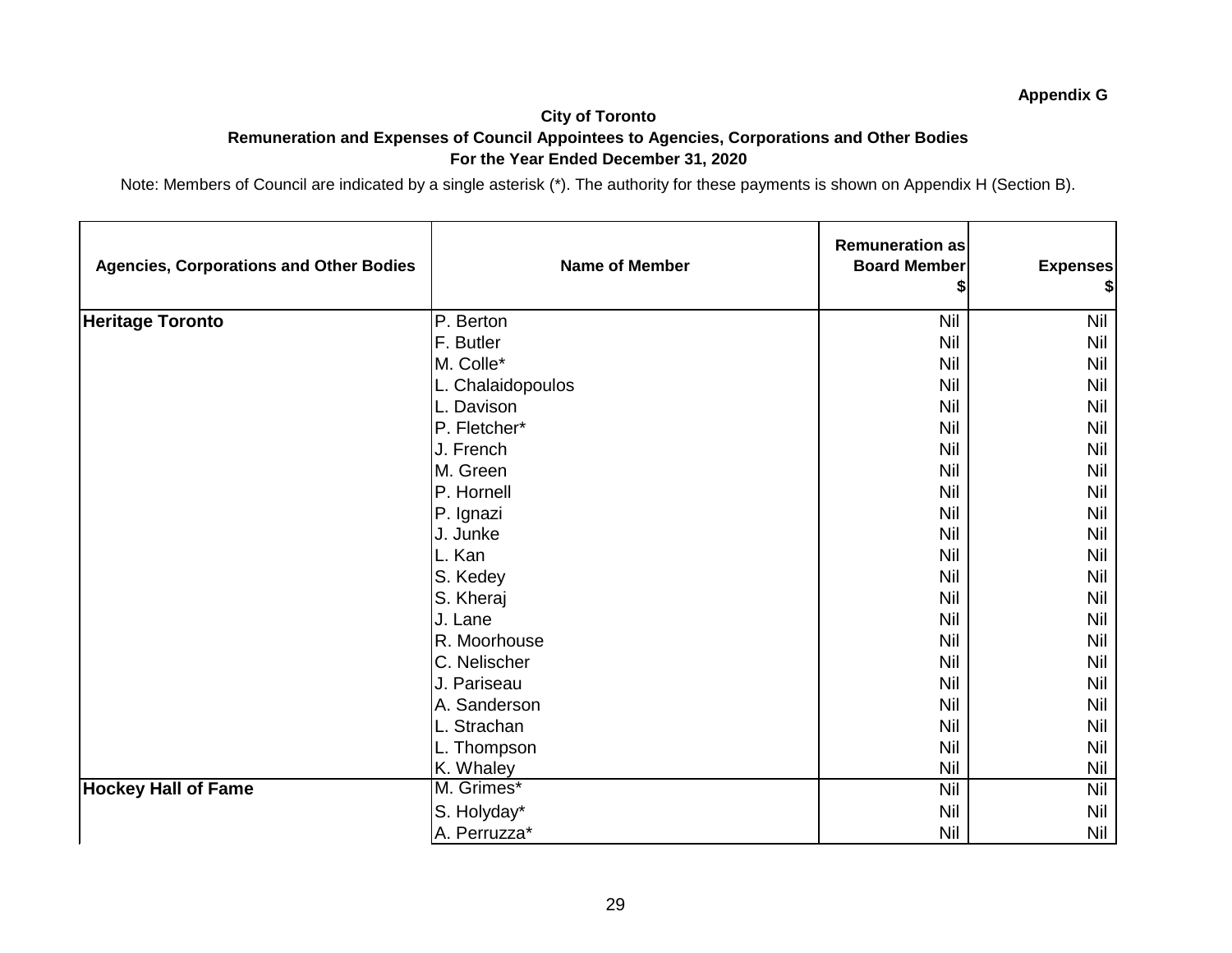## **City of Toronto Remuneration and Expenses of Council Appointees to Agencies, Corporations and Other Bodies For the Year Ended December 31, 2020**

| <b>Agencies, Corporations and Other Bodies</b> | <b>Name of Member</b> | <b>Remuneration as</b><br><b>Board Member</b> | <b>Expenses</b> |
|------------------------------------------------|-----------------------|-----------------------------------------------|-----------------|
| <b>Heritage Toronto</b>                        | P. Berton             | Nil                                           | Nil             |
|                                                | F. Butler             | Nil                                           | <b>Nil</b>      |
|                                                | M. Colle*             | Nil                                           | <b>Nil</b>      |
|                                                | L. Chalaidopoulos     | Nil                                           | Nil             |
|                                                | L. Davison            | Nil                                           | Nil             |
|                                                | P. Fletcher*          | Nil                                           | Nil             |
|                                                | J. French             | Nil                                           | Nil             |
|                                                | M. Green              | Nil                                           | <b>Nil</b>      |
|                                                | P. Hornell            | Nil                                           | Nil             |
|                                                | P. Ignazi             | Nil                                           | Nil             |
|                                                | J. Junke              | Nil                                           | Nil             |
|                                                | L. Kan                | Nil                                           | Nil             |
|                                                | S. Kedey              | Nil                                           | Nil             |
|                                                | S. Kheraj             | Nil                                           | Nil             |
|                                                | J. Lane               | Nil                                           | <b>Nil</b>      |
|                                                | R. Moorhouse          | Nil                                           | Nil             |
|                                                | C. Nelischer          | Nil                                           | Nil             |
|                                                | J. Pariseau           | <b>Nil</b>                                    | Nil             |
|                                                | A. Sanderson          | <b>Nil</b>                                    | Nil             |
|                                                | L. Strachan           | Nil                                           | Nil             |
|                                                | L. Thompson           | Nil                                           | Nil             |
|                                                | K. Whaley             | Nil                                           | Nil             |
| <b>Hockey Hall of Fame</b>                     | M. Grimes*            | Nil                                           | <b>Nil</b>      |
|                                                | S. Holyday*           | Nil                                           | <b>Nil</b>      |
|                                                | A. Perruzza*          | <b>Nil</b>                                    | <b>Nil</b>      |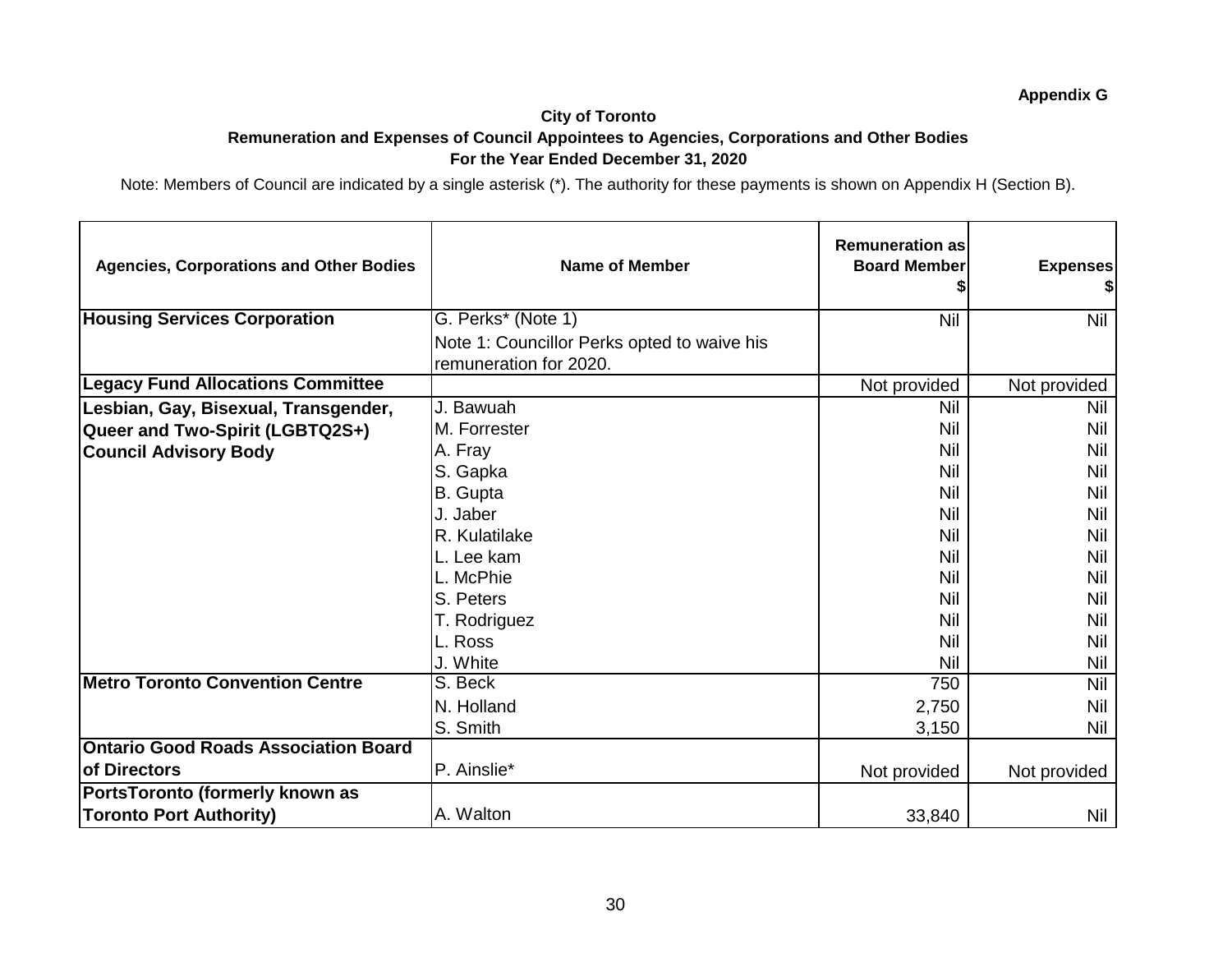## **City of Toronto Remuneration and Expenses of Council Appointees to Agencies, Corporations and Other Bodies For the Year Ended December 31, 2020**

| <b>Agencies, Corporations and Other Bodies</b> | <b>Name of Member</b>                                                 | <b>Remuneration as</b><br><b>Board Member</b> | <b>Expenses</b><br>\$I |
|------------------------------------------------|-----------------------------------------------------------------------|-----------------------------------------------|------------------------|
| <b>Housing Services Corporation</b>            | G. Perks* (Note 1)                                                    | <b>Nil</b>                                    | <b>Nil</b>             |
|                                                | Note 1: Councillor Perks opted to waive his<br>remuneration for 2020. |                                               |                        |
| <b>Legacy Fund Allocations Committee</b>       |                                                                       | Not provided                                  | Not provided           |
| Lesbian, Gay, Bisexual, Transgender,           | J. Bawuah                                                             | <b>Nil</b>                                    | Nil                    |
| Queer and Two-Spirit (LGBTQ2S+)                | M. Forrester                                                          | <b>Nil</b>                                    | Nil                    |
| <b>Council Advisory Body</b>                   | A. Fray                                                               | <b>Nil</b>                                    | Nil                    |
|                                                | S. Gapka                                                              | <b>Nil</b>                                    | Nil                    |
|                                                | B. Gupta                                                              | <b>Nil</b>                                    | Nil                    |
|                                                | J. Jaber                                                              | <b>Nil</b>                                    | Nil                    |
|                                                | R. Kulatilake                                                         | Nil                                           | <b>Nil</b>             |
|                                                | L. Lee kam                                                            | <b>Nil</b>                                    | Nil                    |
|                                                | L. McPhie                                                             | Nil                                           | Nil                    |
|                                                | S. Peters                                                             | <b>Nil</b>                                    | <b>Nil</b>             |
|                                                | T. Rodriguez                                                          | Nil                                           | Nil                    |
|                                                | L. Ross                                                               | <b>Nil</b>                                    | <b>Nil</b>             |
|                                                | J. White                                                              | <b>Nil</b>                                    | Nil                    |
| <b>Metro Toronto Convention Centre</b>         | S. Beck                                                               | 750                                           | Nil                    |
|                                                | N. Holland                                                            | 2,750                                         | Nil                    |
|                                                | S. Smith                                                              | 3,150                                         | <b>Nil</b>             |
| <b>Ontario Good Roads Association Board</b>    |                                                                       |                                               |                        |
| <b>of Directors</b>                            | P. Ainslie*                                                           | Not provided                                  | Not provided           |
| PortsToronto (formerly known as                |                                                                       |                                               |                        |
| <b>Toronto Port Authority)</b>                 | A. Walton                                                             | 33,840                                        | Nil                    |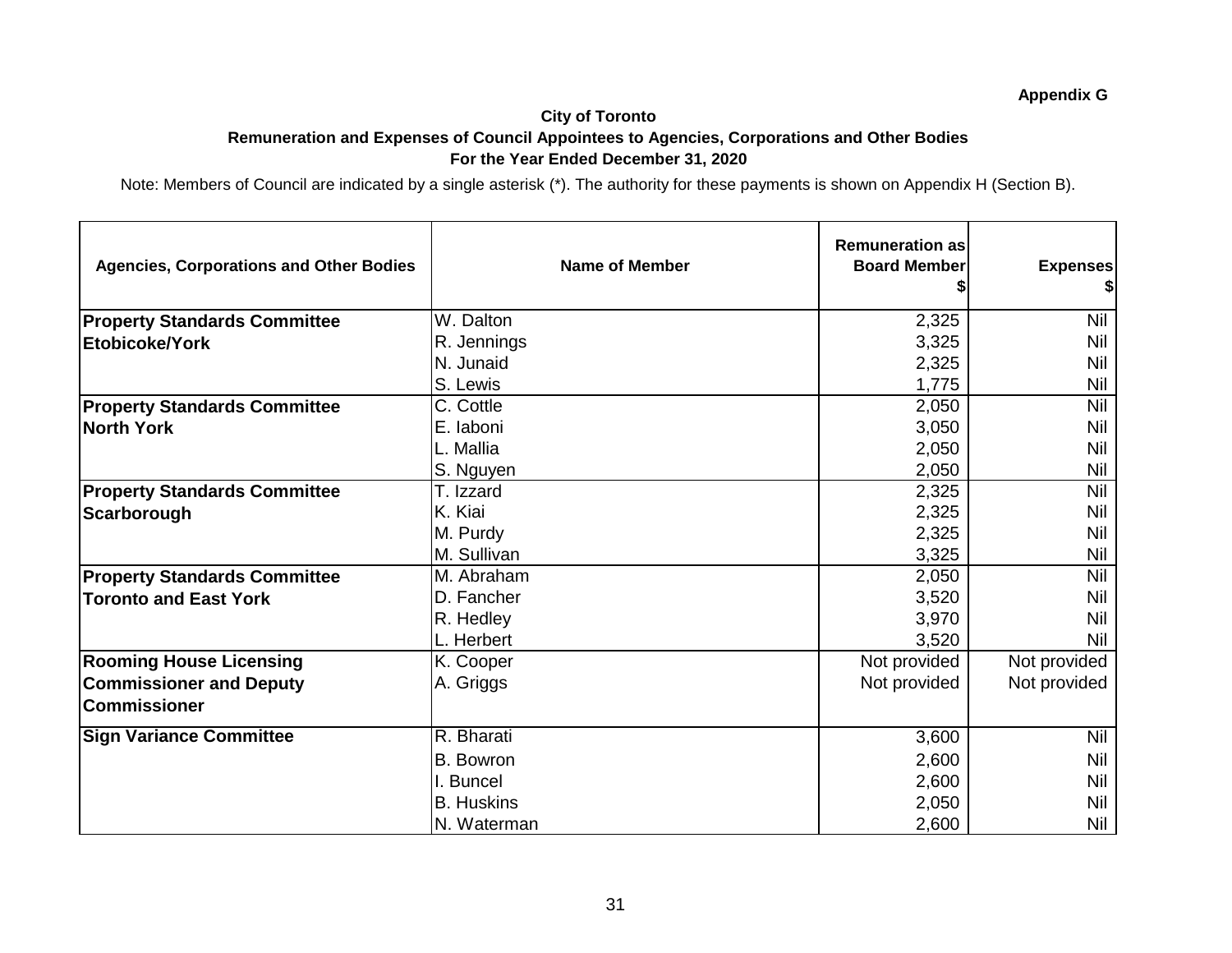## **City of Toronto Remuneration and Expenses of Council Appointees to Agencies, Corporations and Other Bodies For the Year Ended December 31, 2020**

| <b>Agencies, Corporations and Other Bodies</b>        | <b>Name of Member</b> | <b>Remuneration as</b><br><b>Board Member</b> | <b>Expenses</b><br>\$ |
|-------------------------------------------------------|-----------------------|-----------------------------------------------|-----------------------|
| <b>Property Standards Committee</b>                   | W. Dalton             | 2,325                                         | <b>Nil</b>            |
| Etobicoke/York                                        | R. Jennings           | 3,325                                         | Nil                   |
|                                                       | N. Junaid             | 2,325                                         | Nil                   |
|                                                       | S. Lewis              | 1,775                                         | <b>Nil</b>            |
| <b>Property Standards Committee</b>                   | C. Cottle             | 2,050                                         | Nil                   |
| <b>North York</b>                                     | E. laboni             | 3,050                                         | Nil                   |
|                                                       | L. Mallia             | 2,050                                         | Nil                   |
|                                                       | S. Nguyen             | 2,050                                         | Nil                   |
| <b>Property Standards Committee</b>                   | T. Izzard             | 2,325                                         | <b>Nil</b>            |
| Scarborough                                           | K. Kiai               | 2,325                                         | Nil                   |
|                                                       | M. Purdy              | 2,325                                         | Nil                   |
|                                                       | M. Sullivan           | 3,325                                         | Nil                   |
| <b>Property Standards Committee</b>                   | M. Abraham            | 2,050                                         | <b>Nil</b>            |
| <b>Toronto and East York</b>                          | D. Fancher            | 3,520                                         | Nil                   |
|                                                       | R. Hedley             | 3,970                                         | Nil                   |
|                                                       | L. Herbert            | 3,520                                         | Nil                   |
| <b>Rooming House Licensing</b>                        | K. Cooper             | Not provided                                  | Not provided          |
| <b>Commissioner and Deputy</b><br><b>Commissioner</b> | A. Griggs             | Not provided                                  | Not provided          |
| <b>Sign Variance Committee</b>                        | R. Bharati            | 3,600                                         | Nil                   |
|                                                       | <b>B.</b> Bowron      | 2,600                                         | Nil                   |
|                                                       | I. Buncel             | 2,600                                         | Nil                   |
|                                                       | <b>B.</b> Huskins     | 2,050                                         | Nil                   |
|                                                       | N. Waterman           | 2,600                                         | Nil                   |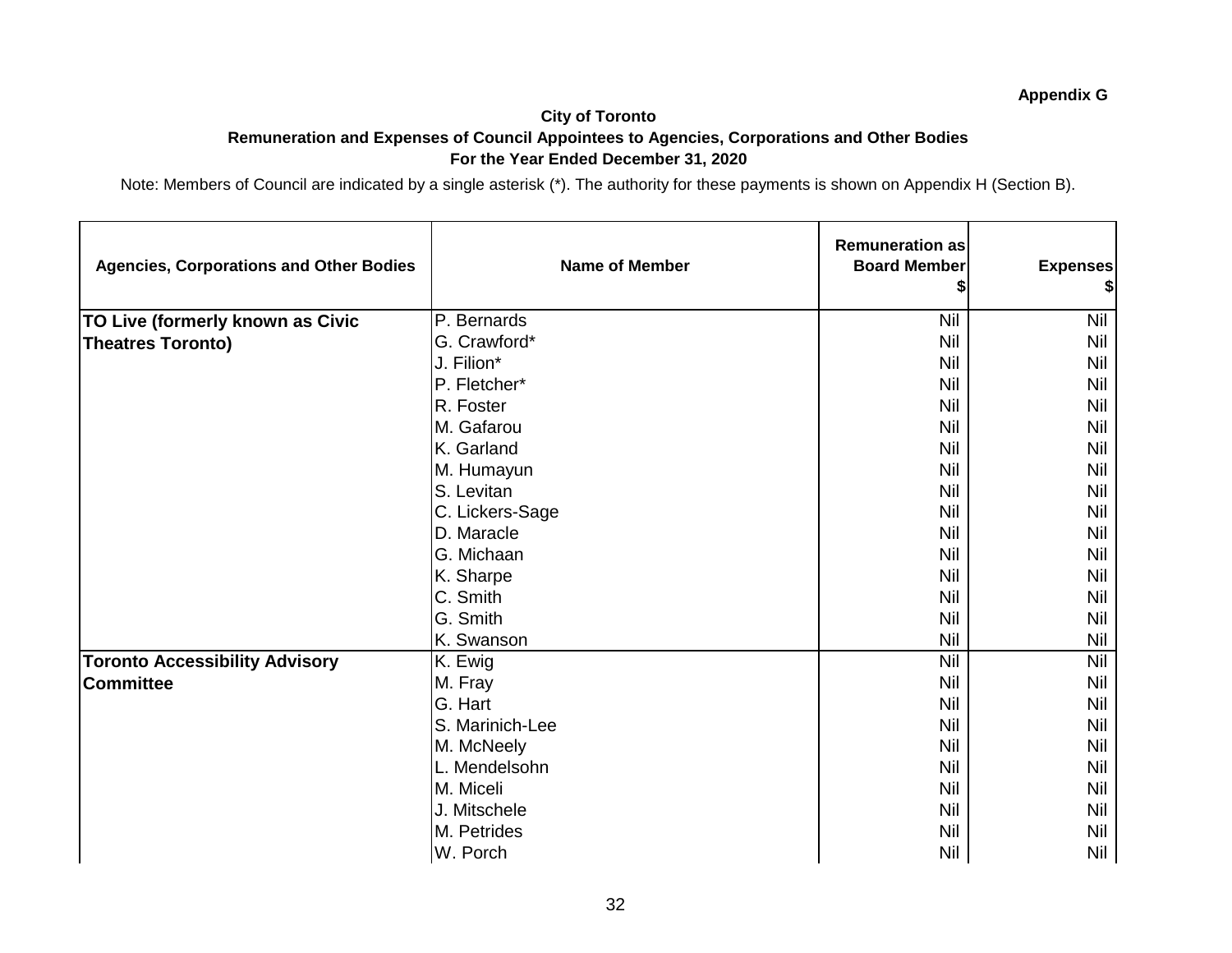#### **City of Toronto Remuneration and Expenses of Council Appointees to Agencies, Corporations and Other Bodies For the Year Ended December 31, 2020**

| <b>Agencies, Corporations and Other Bodies</b> | <b>Name of Member</b>     | <b>Remuneration as</b><br><b>Board Member</b> | <b>Expenses</b><br>\$ |
|------------------------------------------------|---------------------------|-----------------------------------------------|-----------------------|
| TO Live (formerly known as Civic               | $\overline{P}$ . Bernards | <b>Nil</b>                                    | <b>Nil</b>            |
| <b>Theatres Toronto)</b>                       | G. Crawford*              | Nil                                           | <b>Nil</b>            |
|                                                | J. Filion*                | <b>Nil</b>                                    | Nil                   |
|                                                | P. Fletcher*              | <b>Nil</b>                                    | <b>Nil</b>            |
|                                                | R. Foster                 | <b>Nil</b>                                    | <b>Nil</b>            |
|                                                | M. Gafarou                | <b>Nil</b>                                    | <b>Nil</b>            |
|                                                | K. Garland                | <b>Nil</b>                                    | <b>Nil</b>            |
|                                                | M. Humayun                | <b>Nil</b>                                    | <b>Nil</b>            |
|                                                | S. Levitan                | <b>Nil</b>                                    | <b>Nil</b>            |
|                                                | C. Lickers-Sage           | <b>Nil</b>                                    | <b>Nil</b>            |
|                                                | D. Maracle                | <b>Nil</b>                                    | <b>Nil</b>            |
|                                                | G. Michaan                | <b>Nil</b>                                    | <b>Nil</b>            |
|                                                | K. Sharpe                 | <b>Nil</b>                                    | <b>Nil</b>            |
|                                                | C. Smith                  | <b>Nil</b>                                    | <b>Nil</b>            |
|                                                | G. Smith                  | <b>Nil</b>                                    | Nil                   |
|                                                | K. Swanson                | <b>Nil</b>                                    | <b>Nil</b>            |
| <b>Toronto Accessibility Advisory</b>          | K. Ewig                   | <b>Nil</b>                                    | <b>Nil</b>            |
| <b>Committee</b>                               | M. Fray                   | <b>Nil</b>                                    | <b>Nil</b>            |
|                                                | G. Hart                   | <b>Nil</b>                                    | <b>Nil</b>            |
|                                                | S. Marinich-Lee           | <b>Nil</b>                                    | <b>Nil</b>            |
|                                                | M. McNeely                | <b>Nil</b>                                    | <b>Nil</b>            |
|                                                | L. Mendelsohn             | <b>Nil</b>                                    | Nil                   |
|                                                | M. Miceli                 | <b>Nil</b>                                    | <b>Nil</b>            |
|                                                | J. Mitschele              | <b>Nil</b>                                    | Nil                   |
|                                                | M. Petrides               | <b>Nil</b>                                    | Nil                   |
|                                                | W. Porch                  | <b>Nil</b>                                    | Nil                   |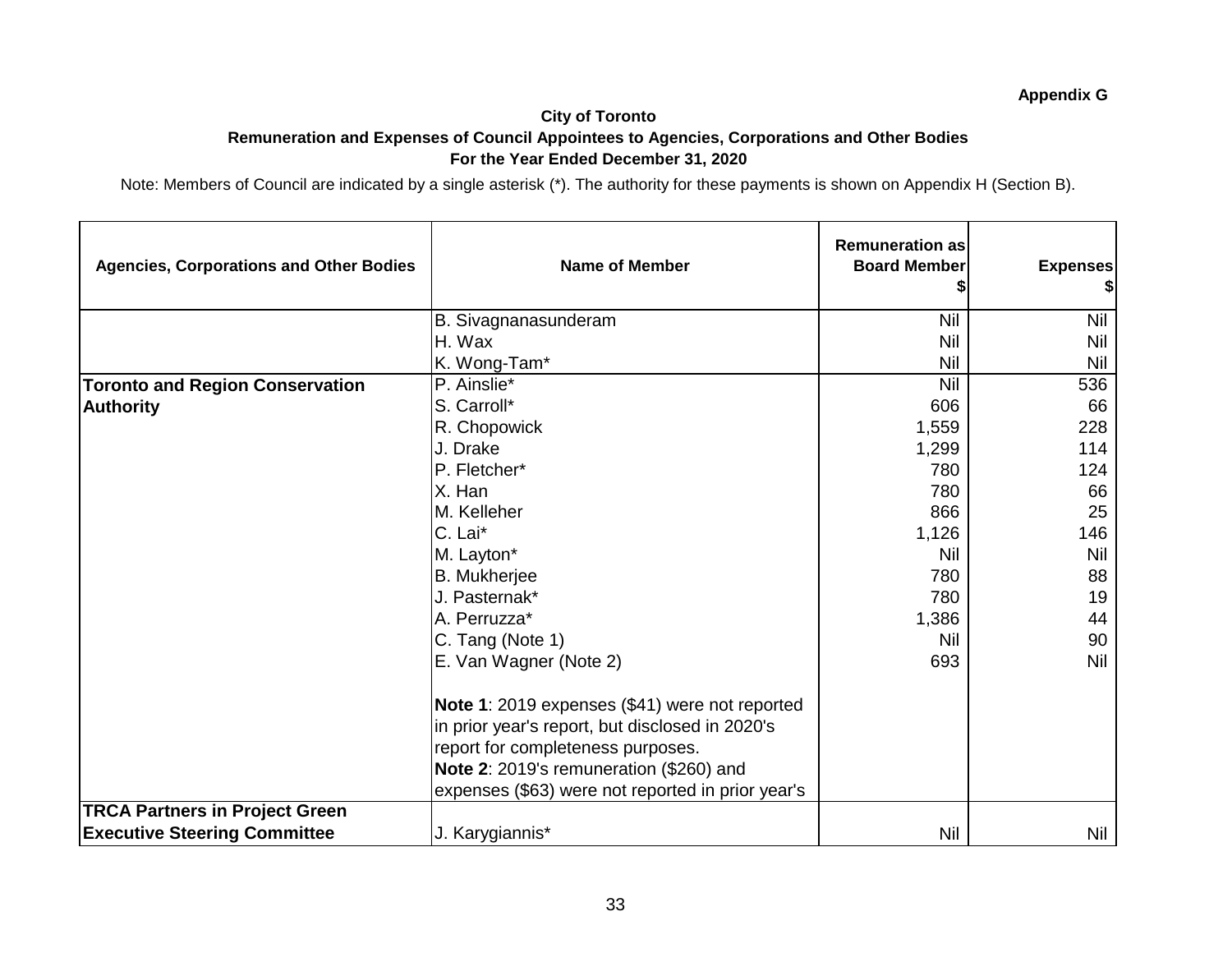#### **Appendix G City of Toronto Remuneration and Expenses of Council Appointees to Agencies, Corporations and Other Bodies For the Year Ended December 31, 2020**

| <b>Agencies, Corporations and Other Bodies</b> | <b>Name of Member</b>                             | <b>Remuneration as</b><br><b>Board Member</b> | <b>Expenses</b> |
|------------------------------------------------|---------------------------------------------------|-----------------------------------------------|-----------------|
|                                                | B. Sivagnanasunderam                              | Nil                                           | <b>Nil</b>      |
|                                                | H. Wax                                            | Nil                                           | Nil             |
|                                                | K. Wong-Tam*                                      | <b>Nil</b>                                    | Nil             |
| <b>Toronto and Region Conservation</b>         | P. Ainslie*                                       | Nil                                           | 536             |
| <b>Authority</b>                               | S. Carroll*                                       | 606                                           | 66              |
|                                                | R. Chopowick                                      | 1,559                                         | 228             |
|                                                | J. Drake                                          | 1,299                                         | 114             |
|                                                | P. Fletcher*                                      | 780                                           | 124             |
|                                                | X. Han                                            | 780                                           | 66              |
|                                                | M. Kelleher                                       | 866                                           | 25              |
|                                                | C. Lai*                                           | 1,126                                         | 146             |
|                                                | M. Layton*                                        | Nil                                           | Nil             |
|                                                | <b>B.</b> Mukherjee                               | 780                                           | 88              |
|                                                | J. Pasternak*                                     | 780                                           | 19              |
|                                                | A. Perruzza*                                      | 1,386                                         | 44              |
|                                                | C. Tang (Note 1)                                  | Nil                                           | 90              |
|                                                | E. Van Wagner (Note 2)                            | 693                                           | <b>Nil</b>      |
|                                                | Note 1: 2019 expenses (\$41) were not reported    |                                               |                 |
|                                                | in prior year's report, but disclosed in 2020's   |                                               |                 |
|                                                | report for completeness purposes.                 |                                               |                 |
|                                                | Note 2: 2019's remuneration (\$260) and           |                                               |                 |
|                                                | expenses (\$63) were not reported in prior year's |                                               |                 |
| <b>TRCA Partners in Project Green</b>          |                                                   |                                               |                 |
| <b>Executive Steering Committee</b>            | J. Karygiannis*                                   | <b>Nil</b>                                    | Nil             |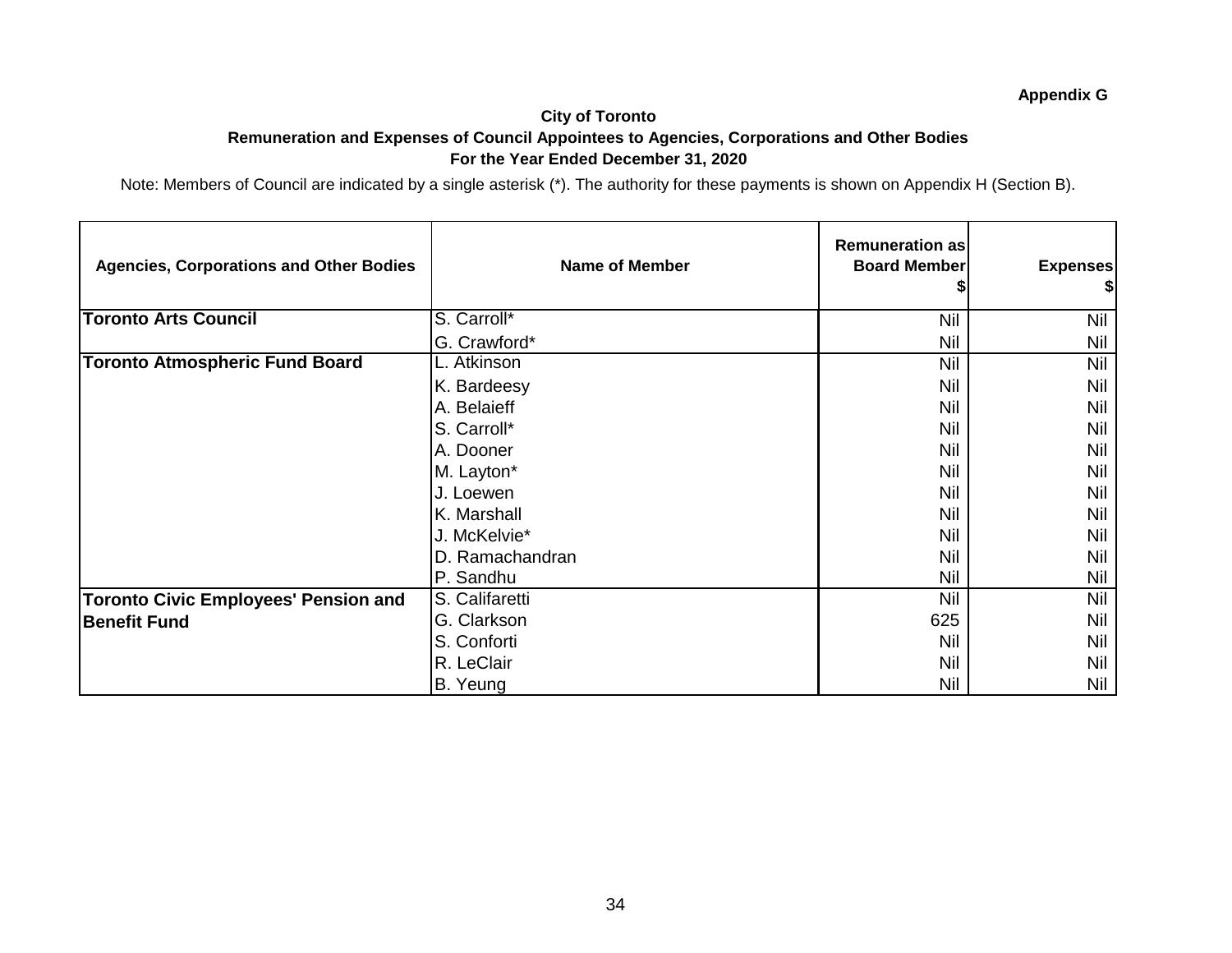#### **City of Toronto Remuneration and Expenses of Council Appointees to Agencies, Corporations and Other Bodies For the Year Ended December 31, 2020**

| <b>Agencies, Corporations and Other Bodies</b> | <b>Name of Member</b> | <b>Remuneration as</b><br><b>Board Member</b> | <b>Expenses</b><br>\$I |
|------------------------------------------------|-----------------------|-----------------------------------------------|------------------------|
| <b>Toronto Arts Council</b>                    | S. Carroll*           | Nil                                           | Nil                    |
|                                                | G. Crawford*          | <b>Nil</b>                                    | Nil                    |
| <b>Toronto Atmospheric Fund Board</b>          | L. Atkinson           | Nil                                           | <b>Nil</b>             |
|                                                | K. Bardeesy           | Nil                                           | Nil                    |
|                                                | A. Belaieff           | Nil                                           | Nil                    |
|                                                | S. Carroll*           | Nil                                           | Nil                    |
|                                                | A. Dooner             | Nil                                           | Nil                    |
|                                                | M. Layton*            | Nil                                           | Nil                    |
|                                                | J. Loewen             | Nil                                           | Nil                    |
|                                                | K. Marshall           | Nil                                           | Nil                    |
|                                                | J. McKelvie*          | Nil                                           | Nil                    |
|                                                | D. Ramachandran       | Nil                                           | Nil                    |
|                                                | P. Sandhu             | Nil                                           | Nil                    |
| <b>Toronto Civic Employees' Pension and</b>    | S. Califaretti        | <b>Nil</b>                                    | Nil                    |
| <b>Benefit Fund</b>                            | G. Clarkson           | 625                                           | Nil                    |
|                                                | S. Conforti           | Nil                                           | Nil                    |
|                                                | R. LeClair            | Nil                                           | Nil                    |
|                                                | B. Yeung              | Nil                                           | Nil                    |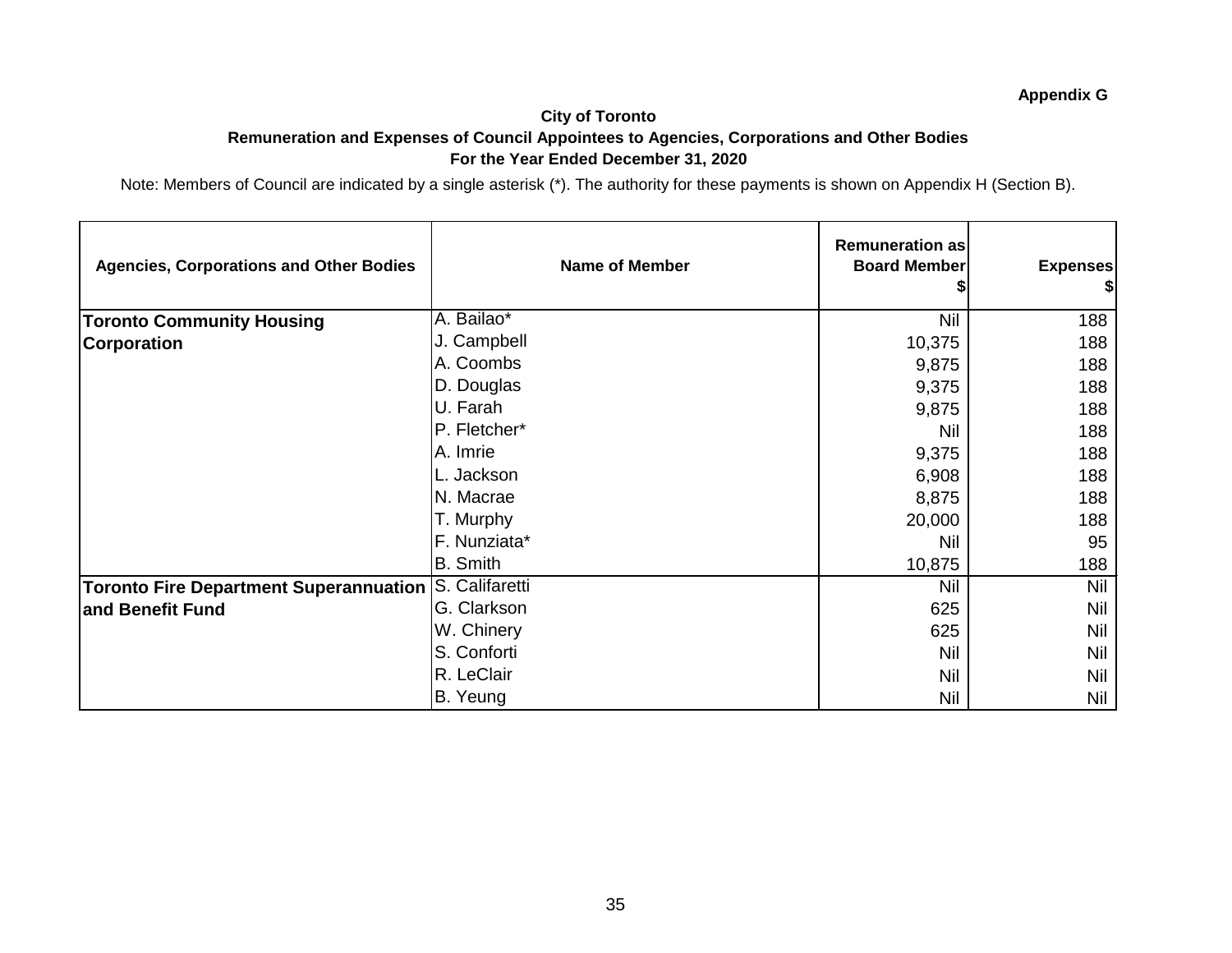#### **City of Toronto Remuneration and Expenses of Council Appointees to Agencies, Corporations and Other Bodies For the Year Ended December 31, 2020**

| <b>Agencies, Corporations and Other Bodies</b>        | <b>Name of Member</b> | <b>Remuneration as</b><br><b>Board Member</b> | <b>Expenses</b><br>\$I |
|-------------------------------------------------------|-----------------------|-----------------------------------------------|------------------------|
| <b>Toronto Community Housing</b>                      | A. Bailao*            | <b>Nil</b>                                    | 188                    |
| <b>Corporation</b>                                    | J. Campbell           | 10,375                                        | 188                    |
|                                                       | A. Coombs             | 9,875                                         | 188                    |
|                                                       | D. Douglas            | 9,375                                         | 188                    |
|                                                       | U. Farah              | 9,875                                         | 188                    |
|                                                       | P. Fletcher*          | <b>Nil</b>                                    | 188                    |
|                                                       | A. Imrie              | 9,375                                         | 188                    |
|                                                       | L. Jackson            | 6,908                                         | 188                    |
|                                                       | N. Macrae             | 8,875                                         | 188                    |
|                                                       | T. Murphy             | 20,000                                        | 188                    |
|                                                       | F. Nunziata*          | <b>Nil</b>                                    | 95                     |
|                                                       | <b>B.</b> Smith       | 10,875                                        | 188                    |
| Toronto Fire Department Superannuation S. Califaretti |                       | Nil                                           | Nil                    |
| and Benefit Fund                                      | G. Clarkson           | 625                                           | Nil                    |
|                                                       | W. Chinery            | 625                                           | Nil                    |
|                                                       | S. Conforti           | <b>Nil</b>                                    | Nil                    |
|                                                       | R. LeClair            | Nil                                           | Nil                    |
|                                                       | B. Yeung              | Nil                                           | Nil                    |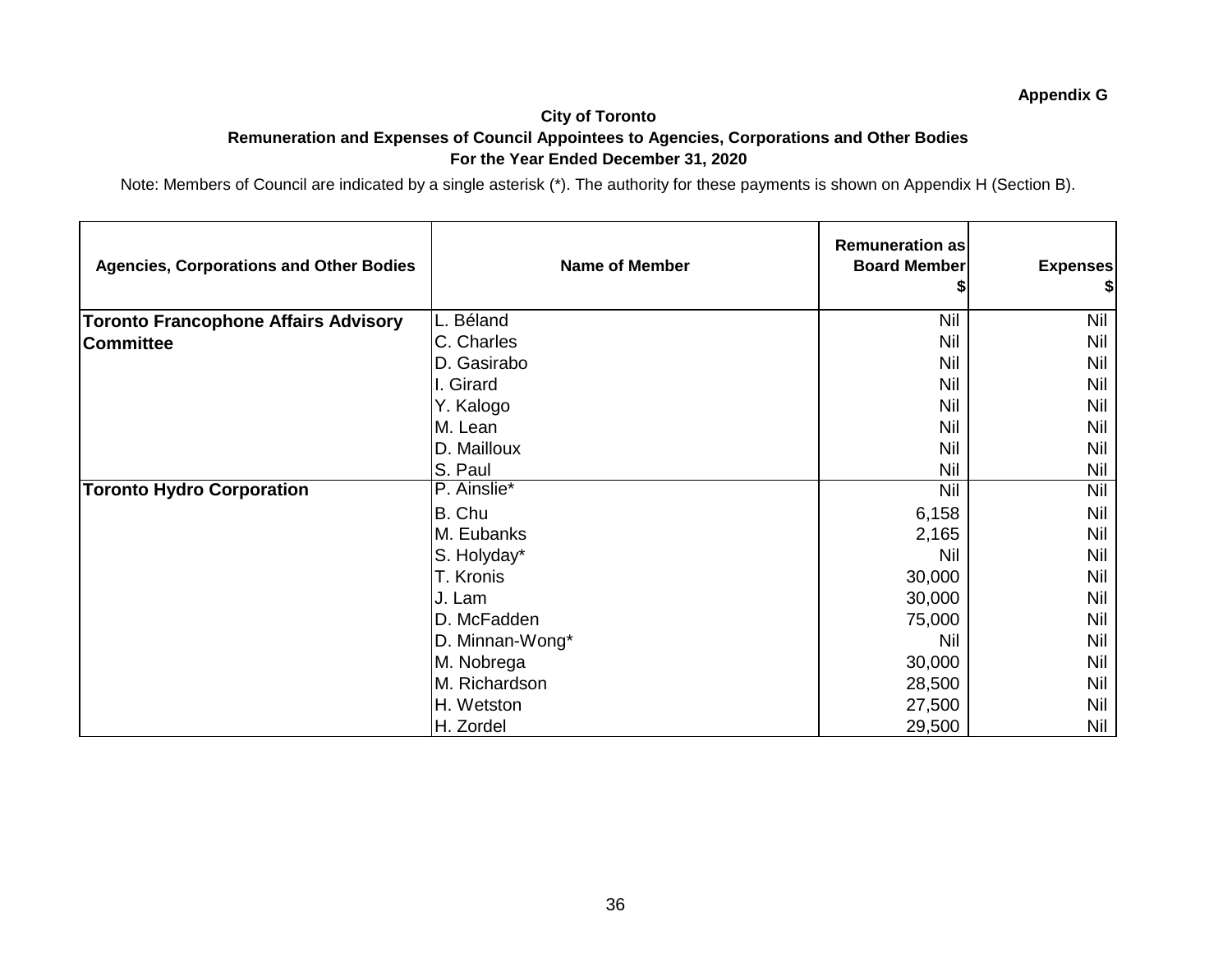#### **City of Toronto Remuneration and Expenses of Council Appointees to Agencies, Corporations and Other Bodies For the Year Ended December 31, 2020**

| <b>Agencies, Corporations and Other Bodies</b> | <b>Name of Member</b> | <b>Remuneration as</b><br><b>Board Member</b> | <b>Expenses</b><br>\$I |
|------------------------------------------------|-----------------------|-----------------------------------------------|------------------------|
| <b>Toronto Francophone Affairs Advisory</b>    | L. Béland             | <b>Nil</b>                                    | <b>Nil</b>             |
| <b>Committee</b>                               | C. Charles            | <b>Nil</b>                                    | Nil                    |
|                                                | D. Gasirabo           | <b>Nil</b>                                    | <b>Nil</b>             |
|                                                | I. Girard             | Nil                                           | <b>Nil</b>             |
|                                                | Y. Kalogo             | Nil                                           | <b>Nil</b>             |
|                                                | M. Lean               | Nil                                           | Nil                    |
|                                                | D. Mailloux           | Nil                                           | <b>Nil</b>             |
|                                                | S. Paul               | Nil                                           | Nil                    |
| <b>Toronto Hydro Corporation</b>               | P. Ainslie*           | <b>Nil</b>                                    | <b>Nil</b>             |
|                                                | B. Chu                | 6,158                                         | Nil                    |
|                                                | M. Eubanks            | 2,165                                         | Nil                    |
|                                                | S. Holyday*           | Nil                                           | <b>Nil</b>             |
|                                                | T. Kronis             | 30,000                                        | <b>Nil</b>             |
|                                                | J. Lam                | 30,000                                        | <b>Nil</b>             |
|                                                | D. McFadden           | 75,000                                        | Nil                    |
|                                                | D. Minnan-Wong*       | Nil                                           | Nil                    |
|                                                | M. Nobrega            | 30,000                                        | Nil                    |
|                                                | M. Richardson         | 28,500                                        | Nil                    |
|                                                | H. Wetston            | 27,500                                        | Nil                    |
|                                                | H. Zordel             | 29,500                                        | Nil                    |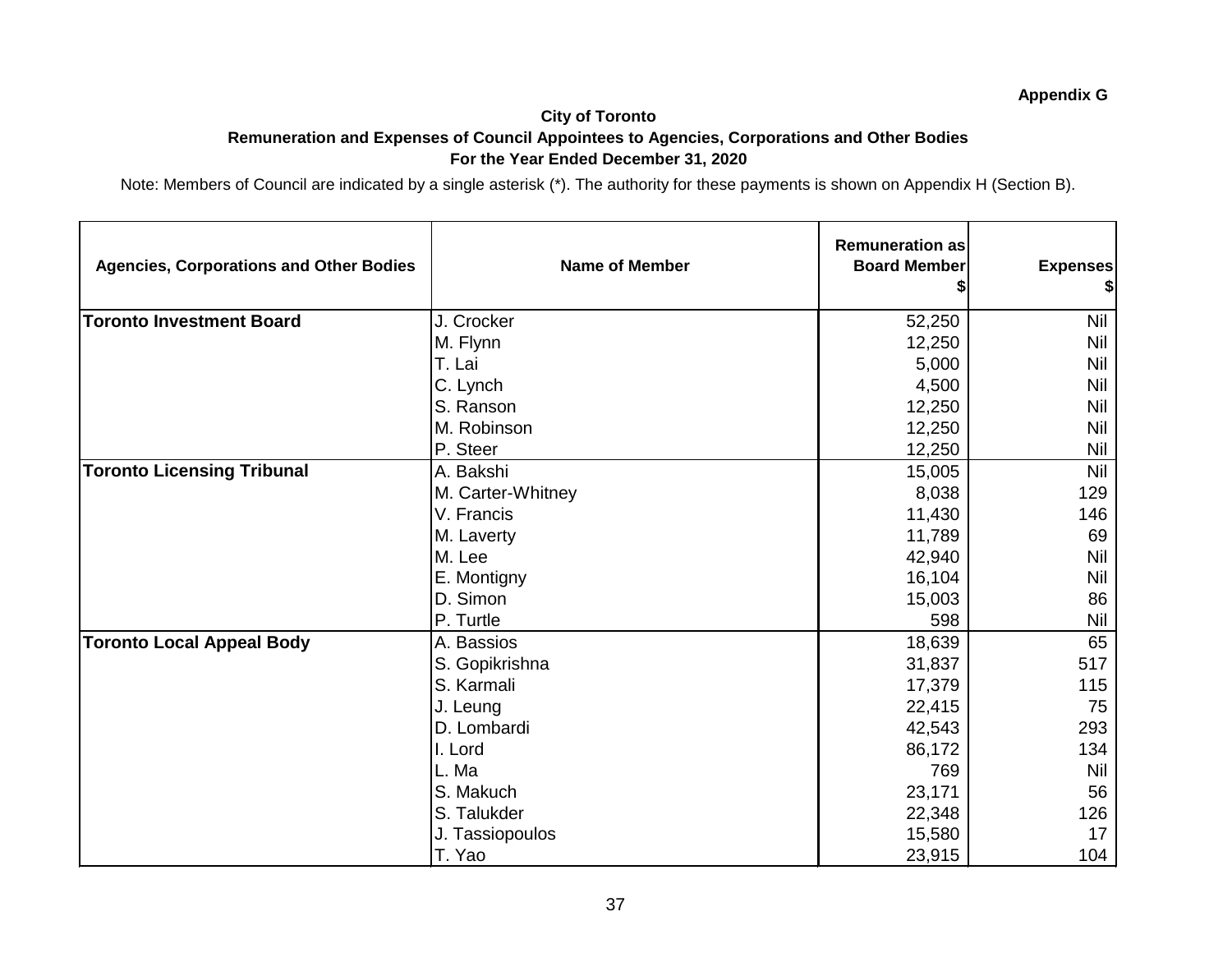#### **City of Toronto Remuneration and Expenses of Council Appointees to Agencies, Corporations and Other Bodies For the Year Ended December 31, 2020**

| <b>Agencies, Corporations and Other Bodies</b> | <b>Name of Member</b> | <b>Remuneration as</b><br><b>Board Member</b> | <b>Expenses</b><br>\$ |
|------------------------------------------------|-----------------------|-----------------------------------------------|-----------------------|
| <b>Toronto Investment Board</b>                | J. Crocker            | 52,250                                        | <b>Nil</b>            |
|                                                | M. Flynn              | 12,250                                        | Nil                   |
|                                                | T. Lai                | 5,000                                         | <b>Nil</b>            |
|                                                | C. Lynch              | 4,500                                         | <b>Nil</b>            |
|                                                | S. Ranson             | 12,250                                        | Nil                   |
|                                                | M. Robinson           | 12,250                                        | <b>Nil</b>            |
|                                                | P. Steer              | 12,250                                        | Nil                   |
| <b>Toronto Licensing Tribunal</b>              | A. Bakshi             | 15,005                                        | <b>Nil</b>            |
|                                                | M. Carter-Whitney     | 8,038                                         | 129                   |
|                                                | V. Francis            | 11,430                                        | 146                   |
|                                                | M. Laverty            | 11,789                                        | 69                    |
|                                                | M. Lee                | 42,940                                        | <b>Nil</b>            |
|                                                | E. Montigny           | 16,104                                        | Nil                   |
|                                                | D. Simon              | 15,003                                        | 86                    |
|                                                | P. Turtle             | 598                                           | Nil                   |
| <b>Toronto Local Appeal Body</b>               | A. Bassios            | 18,639                                        | 65                    |
|                                                | S. Gopikrishna        | 31,837                                        | 517                   |
|                                                | S. Karmali            | 17,379                                        | 115                   |
|                                                | J. Leung              | 22,415                                        | 75                    |
|                                                | D. Lombardi           | 42,543                                        | 293                   |
|                                                | I. Lord               | 86,172                                        | 134                   |
|                                                | L. Ma                 | 769                                           | <b>Nil</b>            |
|                                                | S. Makuch             | 23,171                                        | 56                    |
|                                                | S. Talukder           | 22,348                                        | 126                   |
|                                                | J. Tassiopoulos       | 15,580                                        | 17                    |
|                                                | T. Yao                | 23,915                                        | 104                   |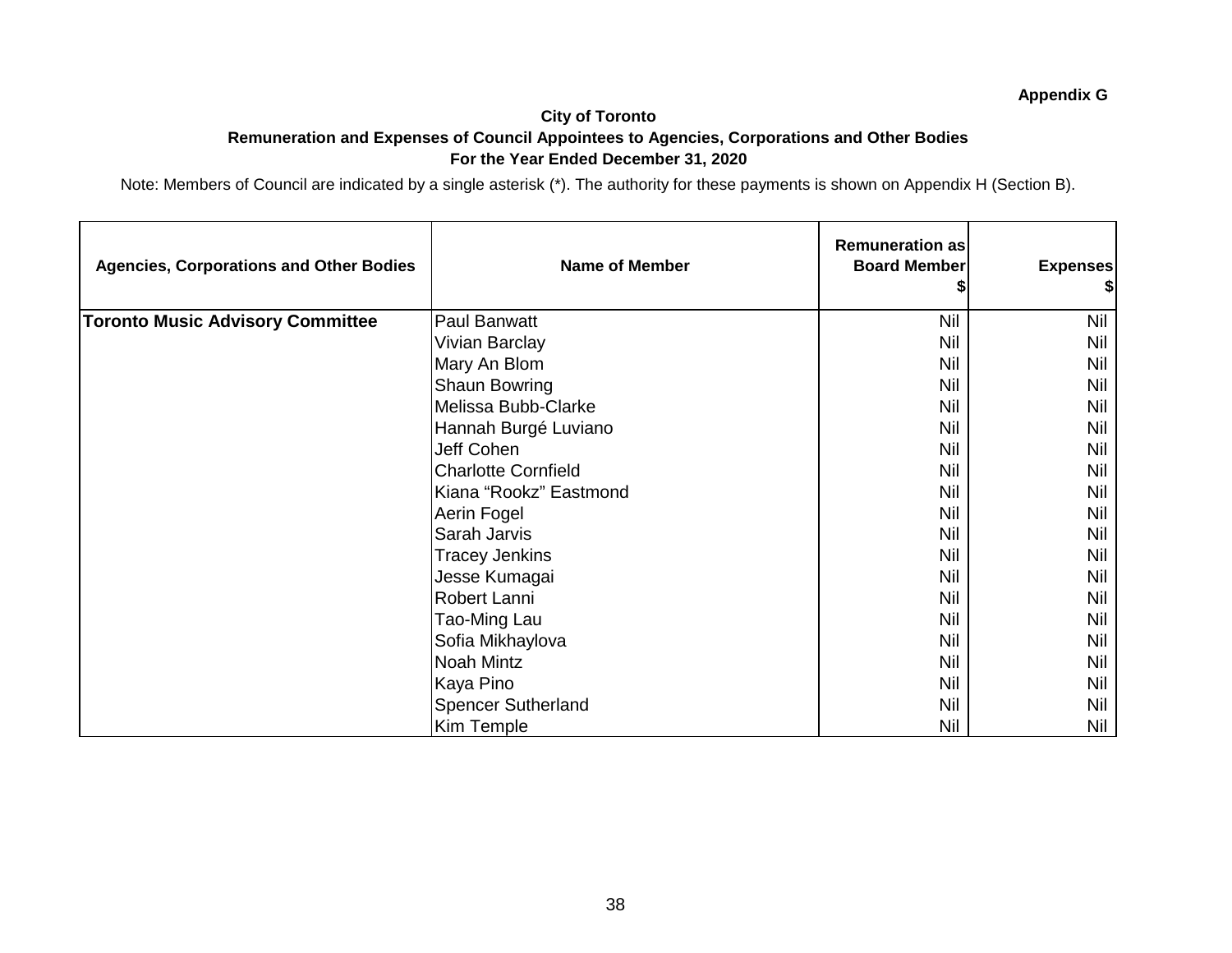#### **City of Toronto Remuneration and Expenses of Council Appointees to Agencies, Corporations and Other Bodies For the Year Ended December 31, 2020**

| <b>Agencies, Corporations and Other Bodies</b> | <b>Name of Member</b>      | <b>Remuneration as</b><br><b>Board Member</b> | <b>Expenses</b> |
|------------------------------------------------|----------------------------|-----------------------------------------------|-----------------|
| <b>Toronto Music Advisory Committee</b>        | Paul Banwatt               | Nil                                           | <b>Nil</b>      |
|                                                | <b>Vivian Barclay</b>      | Nil                                           | Nil             |
|                                                | Mary An Blom               | Nil                                           | <b>Nil</b>      |
|                                                | Shaun Bowring              | Nil                                           | <b>Nil</b>      |
|                                                | Melissa Bubb-Clarke        | Nil                                           | <b>Nil</b>      |
|                                                | Hannah Burgé Luviano       | <b>Nil</b>                                    | <b>Nil</b>      |
|                                                | Jeff Cohen                 | Nil                                           | Nil             |
|                                                | <b>Charlotte Cornfield</b> | <b>Nil</b>                                    | <b>Nil</b>      |
|                                                | Kiana "Rookz" Eastmond     | Nil                                           | Nil             |
|                                                | Aerin Fogel                | Nil                                           | <b>Nil</b>      |
|                                                | Sarah Jarvis               | Nil                                           | <b>Nil</b>      |
|                                                | <b>Tracey Jenkins</b>      | Nil                                           | <b>Nil</b>      |
|                                                | Jesse Kumagai              | <b>Nil</b>                                    | Nil             |
|                                                | Robert Lanni               | Nil                                           | <b>Nil</b>      |
|                                                | Tao-Ming Lau               | <b>Nil</b>                                    | <b>Nil</b>      |
|                                                | Sofia Mikhaylova           | <b>Nil</b>                                    | <b>Nil</b>      |
|                                                | Noah Mintz                 | <b>Nil</b>                                    | <b>Nil</b>      |
|                                                | Kaya Pino                  | <b>Nil</b>                                    | <b>Nil</b>      |
|                                                | <b>Spencer Sutherland</b>  | Nil                                           | <b>Nil</b>      |
|                                                | Kim Temple                 | <b>Nil</b>                                    | Nil             |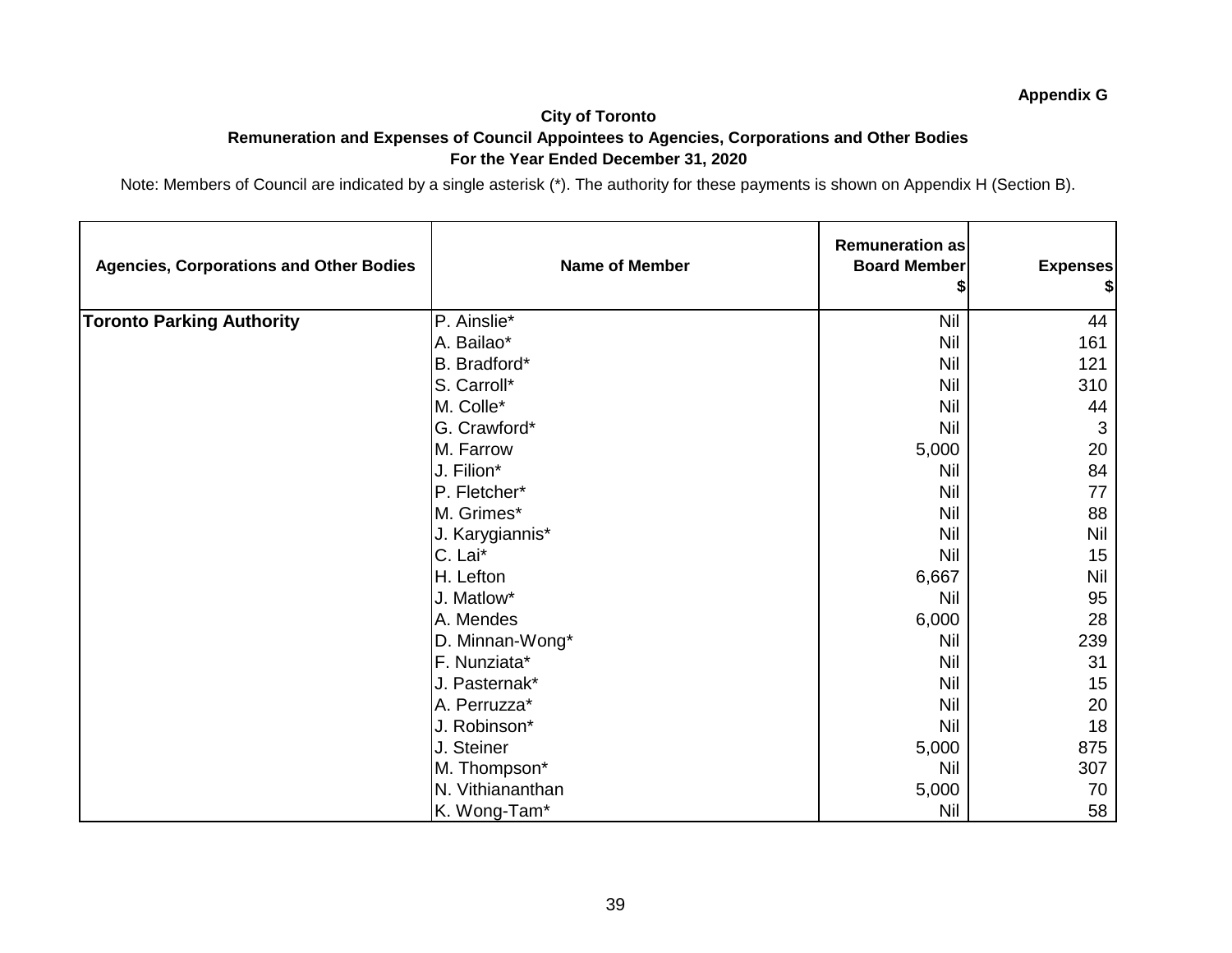#### **City of Toronto Remuneration and Expenses of Council Appointees to Agencies, Corporations and Other Bodies For the Year Ended December 31, 2020**

| <b>Agencies, Corporations and Other Bodies</b> | <b>Name of Member</b> | <b>Remuneration as</b><br><b>Board Member</b> | <b>Expenses</b><br>\$ |
|------------------------------------------------|-----------------------|-----------------------------------------------|-----------------------|
| <b>Toronto Parking Authority</b>               | P. Ainslie*           | <b>Nil</b>                                    | 44                    |
|                                                | A. Bailao*            | <b>Nil</b>                                    | 161                   |
|                                                | B. Bradford*          | <b>Nil</b>                                    | 121                   |
|                                                | S. Carroll*           | <b>Nil</b>                                    | 310                   |
|                                                | M. Colle*             | Nil                                           | 44                    |
|                                                | G. Crawford*          | <b>Nil</b>                                    | 3                     |
|                                                | M. Farrow             | 5,000                                         | 20                    |
|                                                | J. Filion*            | <b>Nil</b>                                    | 84                    |
|                                                | P. Fletcher*          | <b>Nil</b>                                    | 77                    |
|                                                | M. Grimes*            | <b>Nil</b>                                    | 88                    |
|                                                | J. Karygiannis*       | <b>Nil</b>                                    | Nil                   |
|                                                | C. Lai*               | <b>Nil</b>                                    | 15                    |
|                                                | H. Lefton             | 6,667                                         | Nil                   |
|                                                | J. Matlow*            | Nil                                           | 95                    |
|                                                | A. Mendes             | 6,000                                         | 28                    |
|                                                | D. Minnan-Wong*       | <b>Nil</b>                                    | 239                   |
|                                                | F. Nunziata*          | <b>Nil</b>                                    | 31                    |
|                                                | J. Pasternak*         | <b>Nil</b>                                    | 15                    |
|                                                | A. Perruzza*          | <b>Nil</b>                                    | 20                    |
|                                                | J. Robinson*          | Nil                                           | 18                    |
|                                                | J. Steiner            | 5,000                                         | 875                   |
|                                                | M. Thompson*          | <b>Nil</b>                                    | 307                   |
|                                                | N. Vithiananthan      | 5,000                                         | 70                    |
|                                                | K. Wong-Tam*          | Nil                                           | 58                    |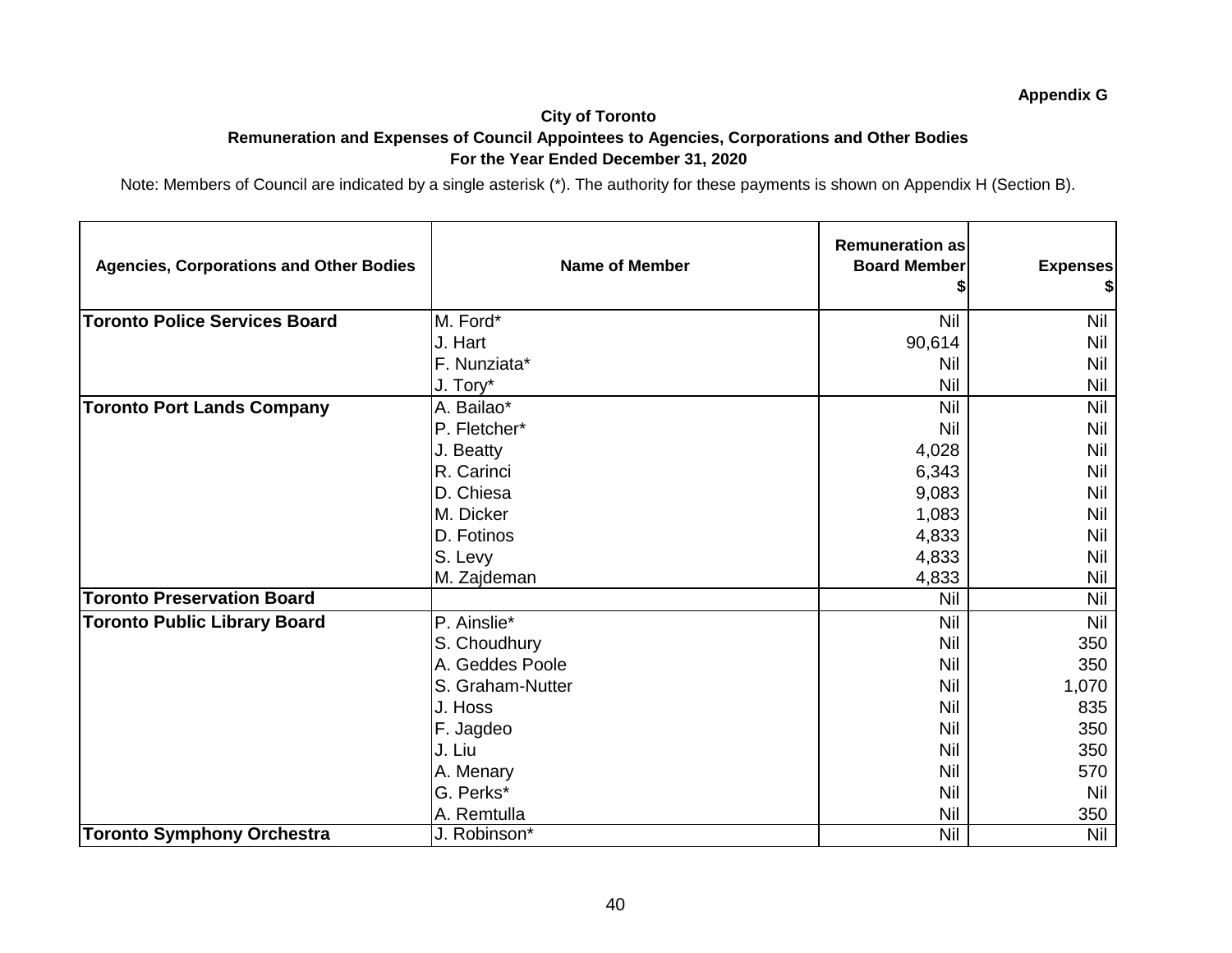## **City of Toronto Remuneration and Expenses of Council Appointees to Agencies, Corporations and Other Bodies For the Year Ended December 31, 2020**

| <b>Agencies, Corporations and Other Bodies</b> | <b>Name of Member</b> | <b>Remuneration as</b><br><b>Board Member</b> | <b>Expenses</b><br>\$ |
|------------------------------------------------|-----------------------|-----------------------------------------------|-----------------------|
| <b>Toronto Police Services Board</b>           | M. Ford*              | Nil                                           | <b>Nil</b>            |
|                                                | J. Hart               | 90,614                                        | Nil                   |
|                                                | F. Nunziata*          | Nil                                           | Nil                   |
|                                                | J. Tory*              | Nil                                           | Nil                   |
| <b>Toronto Port Lands Company</b>              | A. Bailao*            | Nil                                           | <b>Nil</b>            |
|                                                | P. Fletcher*          | Nil                                           | <b>Nil</b>            |
|                                                | J. Beatty             | 4,028                                         | Nil                   |
|                                                | R. Carinci            | 6,343                                         | <b>Nil</b>            |
|                                                | D. Chiesa             | 9,083                                         | Nil                   |
|                                                | M. Dicker             | 1,083                                         | <b>Nil</b>            |
|                                                | D. Fotinos            | 4,833                                         | Nil                   |
|                                                | S. Levy               | 4,833                                         | <b>Nil</b>            |
|                                                | M. Zajdeman           | 4,833                                         | Nil                   |
| <b>Toronto Preservation Board</b>              |                       | Nil                                           | Nil                   |
| <b>Toronto Public Library Board</b>            | P. Ainslie*           | <b>Nil</b>                                    | <b>Nil</b>            |
|                                                | S. Choudhury          | <b>Nil</b>                                    | 350                   |
|                                                | A. Geddes Poole       | Nil                                           | 350                   |
|                                                | S. Graham-Nutter      | <b>Nil</b>                                    | 1,070                 |
|                                                | J. Hoss               | Nil                                           | 835                   |
|                                                | F. Jagdeo             | Nil                                           | 350                   |
|                                                | J. Liu                | Nil                                           | 350                   |
|                                                | A. Menary             | Nil                                           | 570                   |
|                                                | G. Perks*             | Nil                                           | <b>Nil</b>            |
|                                                | A. Remtulla           | Nil                                           | 350                   |
| <b>Toronto Symphony Orchestra</b>              | J. Robinson*          | <b>Nil</b>                                    | <b>Nil</b>            |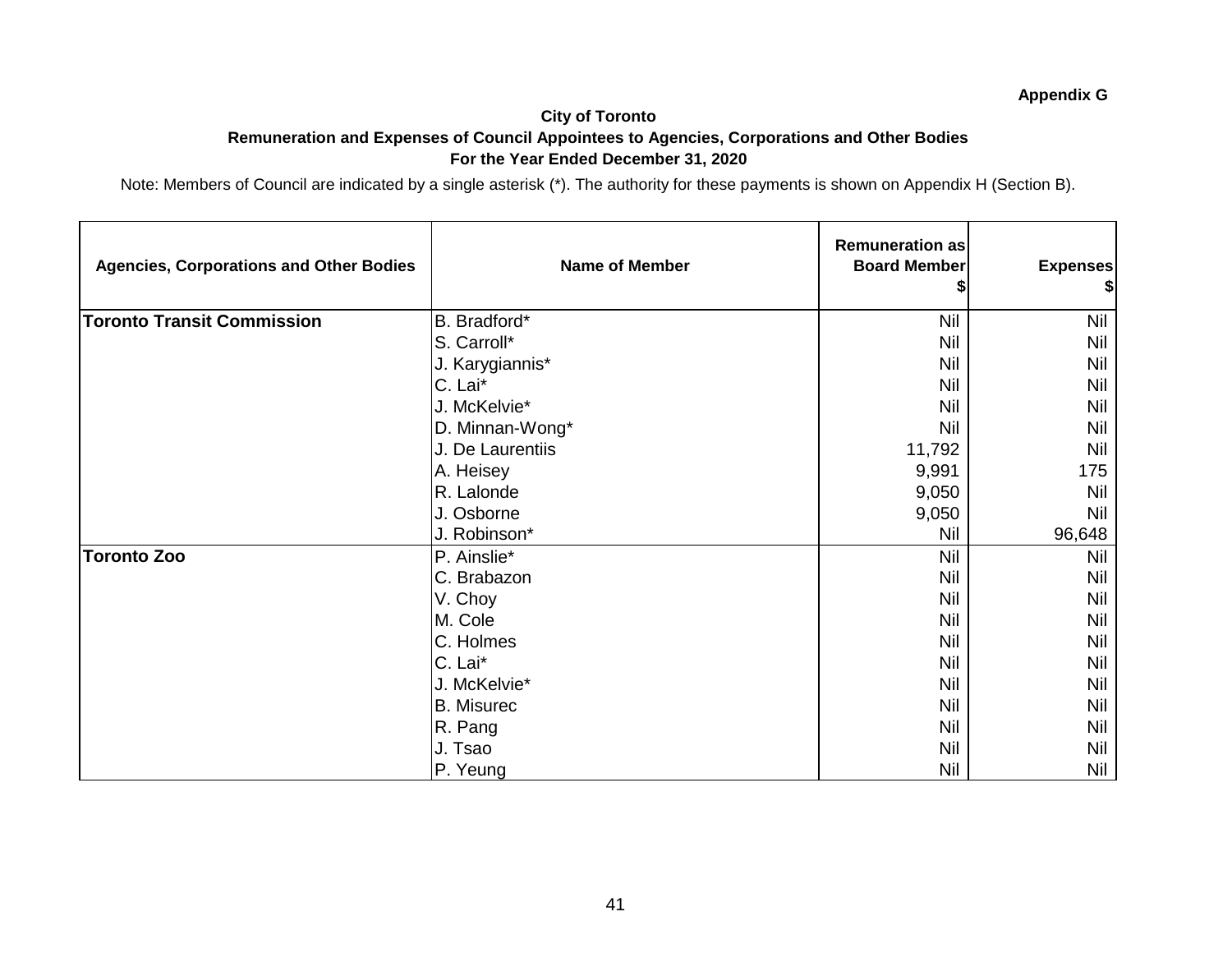#### **City of Toronto Remuneration and Expenses of Council Appointees to Agencies, Corporations and Other Bodies For the Year Ended December 31, 2020**

| <b>Agencies, Corporations and Other Bodies</b> | <b>Name of Member</b> | <b>Remuneration as</b><br><b>Board Member</b> | <b>Expenses</b><br>\$ |
|------------------------------------------------|-----------------------|-----------------------------------------------|-----------------------|
| <b>Toronto Transit Commission</b>              | B. Bradford*          | Nil                                           | Nil                   |
|                                                | S. Carroll*           | Nil                                           | Nil                   |
|                                                | J. Karygiannis*       | Nil                                           | Nil                   |
|                                                | C. Lai*               | Nil                                           | Nil                   |
|                                                | J. McKelvie*          | <b>Nil</b>                                    | Nil                   |
|                                                | D. Minnan-Wong*       | <b>Nil</b>                                    | Nil                   |
|                                                | J. De Laurentiis      | 11,792                                        | <b>Nil</b>            |
|                                                | A. Heisey             | 9,991                                         | 175                   |
|                                                | R. Lalonde            | 9,050                                         | Nil                   |
|                                                | J. Osborne            | 9,050                                         | Nil                   |
|                                                | J. Robinson*          | Nil                                           | 96,648                |
| <b>Toronto Zoo</b>                             | P. Ainslie*           | <b>Nil</b>                                    | <b>Nil</b>            |
|                                                | C. Brabazon           | Nil                                           | Nil                   |
|                                                | V. Choy               | Nil                                           | Nil                   |
|                                                | M. Cole               | Nil                                           | Nil                   |
|                                                | C. Holmes             | Nil                                           | Nil                   |
|                                                | C. Lai*               | Nil                                           | Nil                   |
|                                                | J. McKelvie*          | Nil                                           | Nil                   |
|                                                | <b>B.</b> Misurec     | Nil                                           | Nil                   |
|                                                | R. Pang               | Nil                                           | Nil                   |
|                                                | J. Tsao               | <b>Nil</b>                                    | Nil                   |
|                                                | P. Yeung              | Nil                                           | Nil                   |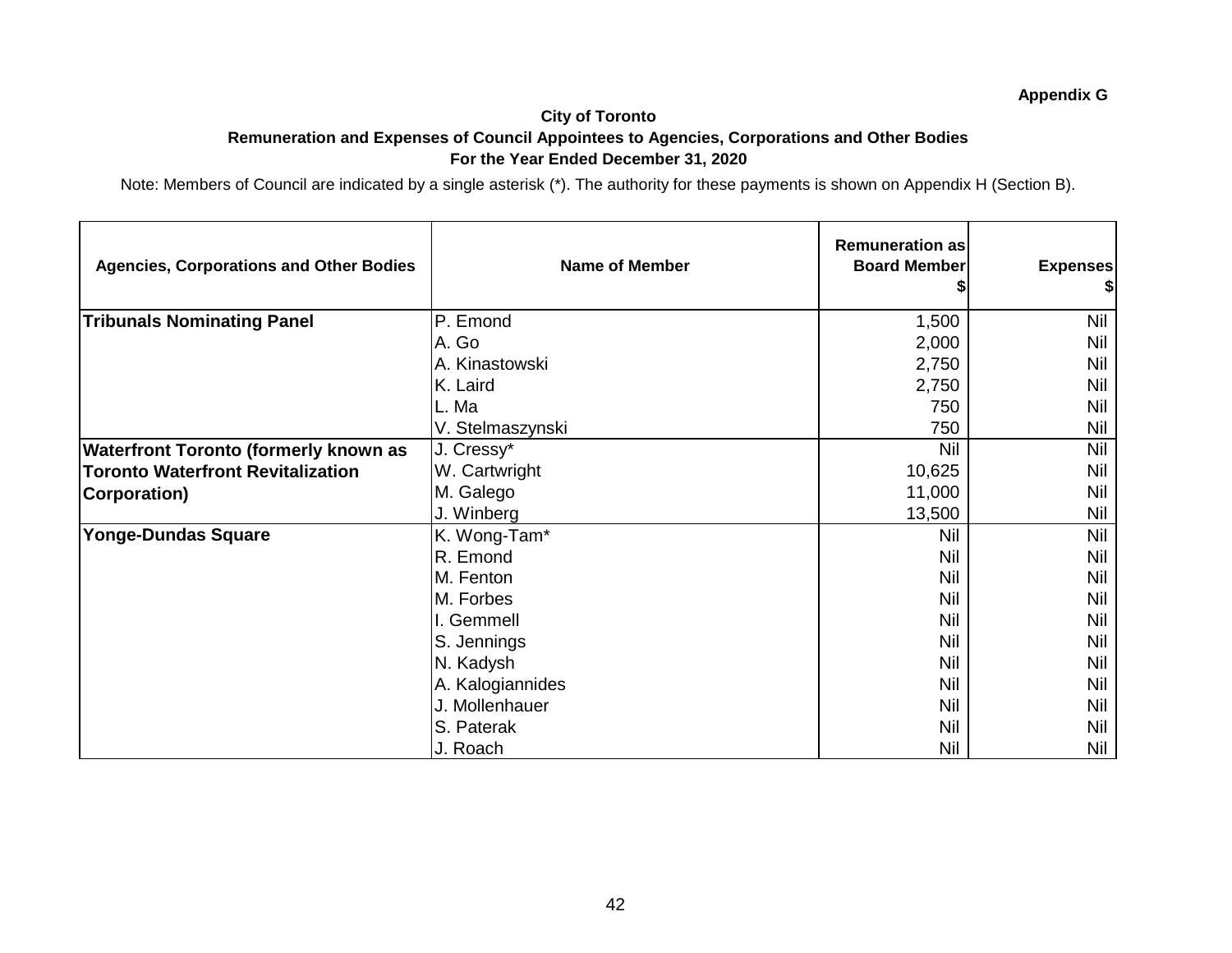#### **City of Toronto Remuneration and Expenses of Council Appointees to Agencies, Corporations and Other Bodies For the Year Ended December 31, 2020**

| <b>Agencies, Corporations and Other Bodies</b> | <b>Name of Member</b> | <b>Remuneration as</b><br><b>Board Member</b> | <b>Expenses</b><br>\$ |
|------------------------------------------------|-----------------------|-----------------------------------------------|-----------------------|
| <b>Tribunals Nominating Panel</b>              | P. Emond              | 1,500                                         | <b>Nil</b>            |
|                                                | A. Go                 | 2,000                                         | Nil                   |
|                                                | A. Kinastowski        | 2,750                                         | Nil                   |
|                                                | K. Laird              | 2,750                                         | Nil                   |
|                                                | L. Ma                 | 750                                           | Nil                   |
|                                                | V. Stelmaszynski      | 750                                           | Nil                   |
| <b>Waterfront Toronto (formerly known as</b>   | J. Cressy*            | Nil                                           | Nil                   |
| <b>Toronto Waterfront Revitalization</b>       | W. Cartwright         | 10,625                                        | Nil                   |
| <b>Corporation)</b>                            | M. Galego             | 11,000                                        | Nil                   |
|                                                | J. Winberg            | 13,500                                        | Nil                   |
| <b>Yonge-Dundas Square</b>                     | K. Wong-Tam*          | <b>Nil</b>                                    | Nil                   |
|                                                | R. Emond              | <b>Nil</b>                                    | Nil                   |
|                                                | M. Fenton             | <b>Nil</b>                                    | Nil                   |
|                                                | M. Forbes             | <b>Nil</b>                                    | Nil                   |
|                                                | I. Gemmell            | <b>Nil</b>                                    | Nil                   |
|                                                | S. Jennings           | <b>Nil</b>                                    | Nil                   |
|                                                | N. Kadysh             | <b>Nil</b>                                    | Nil                   |
|                                                | A. Kalogiannides      | <b>Nil</b>                                    | Nil                   |
|                                                | J. Mollenhauer        | <b>Nil</b>                                    | Nil                   |
|                                                | S. Paterak            | Nil                                           | Nil                   |
|                                                | J. Roach              | Nil                                           | Nil                   |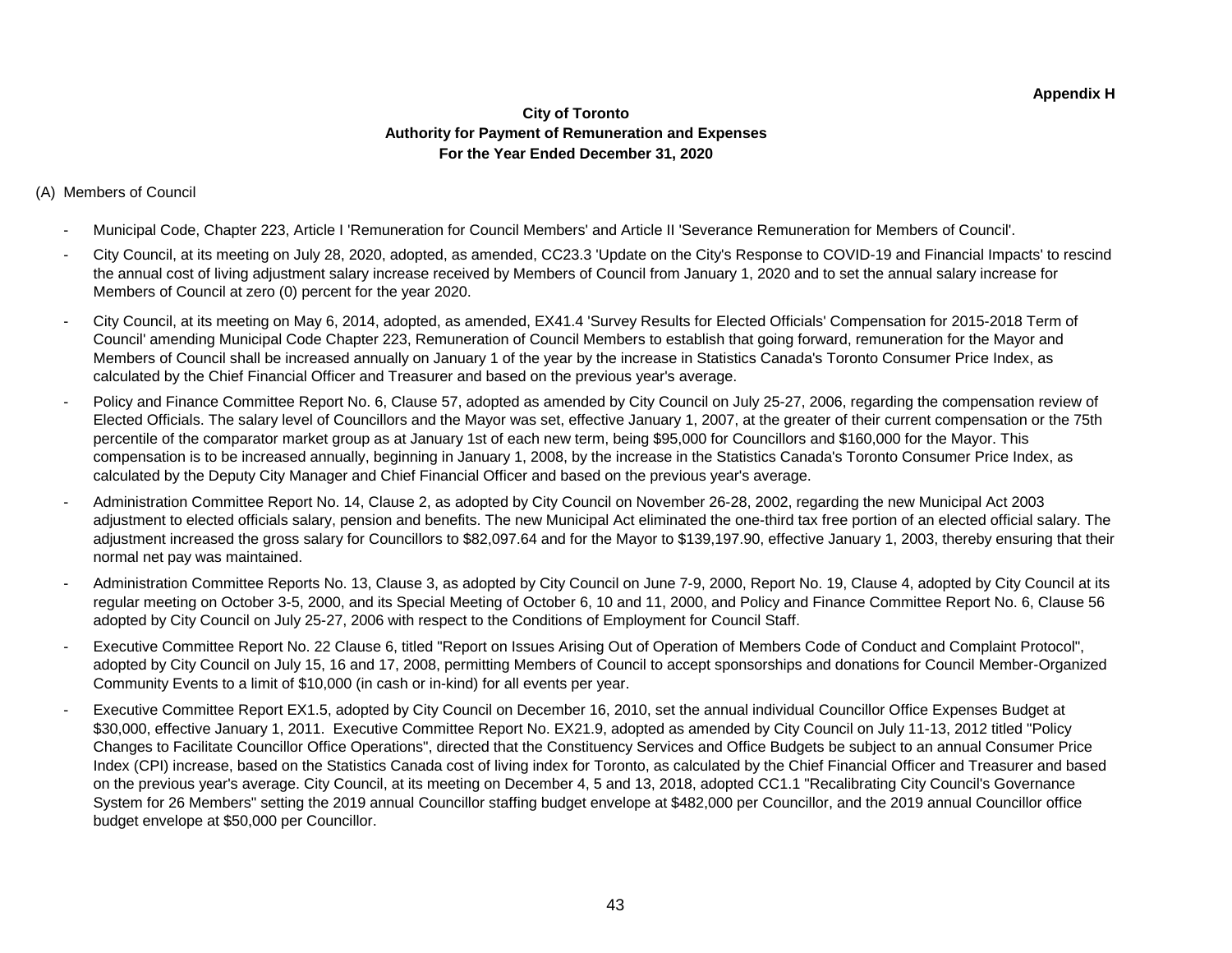#### **City of Toronto Authority for Payment of Remuneration and Expenses For the Year Ended December 31, 2020**

#### (A) Members of Council

- Municipal Code, Chapter 223, Article I 'Remuneration for Council Members' and Article II 'Severance Remuneration for Members of Council'.
- City Council, at its meeting on July 28, 2020, adopted, as amended, CC23.3 'Update on the City's Response to COVID-19 and Financial Impacts' to rescind the annual cost of living adjustment salary increase received by Members of Council from January 1, 2020 and to set the annual salary increase for Members of Council at zero (0) percent for the year 2020.
- City Council, at its meeting on May 6, 2014, adopted, as amended, EX41.4 'Survey Results for Elected Officials' Compensation for 2015-2018 Term of Council' amending Municipal Code Chapter 223, Remuneration of Council Members to establish that going forward, remuneration for the Mayor and Members of Council shall be increased annually on January 1 of the year by the increase in Statistics Canada's Toronto Consumer Price Index, as calculated by the Chief Financial Officer and Treasurer and based on the previous year's average.
- Policy and Finance Committee Report No. 6, Clause 57, adopted as amended by City Council on July 25-27, 2006, regarding the compensation review of Elected Officials. The salary level of Councillors and the Mayor was set, effective January 1, 2007, at the greater of their current compensation or the 75th percentile of the comparator market group as at January 1st of each new term, being \$95,000 for Councillors and \$160,000 for the Mayor. This compensation is to be increased annually, beginning in January 1, 2008, by the increase in the Statistics Canada's Toronto Consumer Price Index, as calculated by the Deputy City Manager and Chief Financial Officer and based on the previous year's average.
- Administration Committee Report No. 14, Clause 2, as adopted by City Council on November 26-28, 2002, regarding the new Municipal Act 2003 adjustment to elected officials salary, pension and benefits. The new Municipal Act eliminated the one-third tax free portion of an elected official salary. The adjustment increased the gross salary for Councillors to \$82,097.64 and for the Mayor to \$139,197.90, effective January 1, 2003, thereby ensuring that their normal net pay was maintained.
- Administration Committee Reports No. 13, Clause 3, as adopted by City Council on June 7-9, 2000, Report No. 19, Clause 4, adopted by City Council at its regular meeting on October 3-5, 2000, and its Special Meeting of October 6, 10 and 11, 2000, and Policy and Finance Committee Report No. 6, Clause 56 adopted by City Council on July 25-27, 2006 with respect to the Conditions of Employment for Council Staff.
- Executive Committee Report No. 22 Clause 6, titled "Report on Issues Arising Out of Operation of Members Code of Conduct and Complaint Protocol", adopted by City Council on July 15, 16 and 17, 2008, permitting Members of Council to accept sponsorships and donations for Council Member-Organized Community Events to a limit of \$10,000 (in cash or in-kind) for all events per year.
- Executive Committee Report EX1.5, adopted by City Council on December 16, 2010, set the annual individual Councillor Office Expenses Budget at \$30,000, effective January 1, 2011. Executive Committee Report No. EX21.9, adopted as amended by City Council on July 11-13, 2012 titled "Policy Changes to Facilitate Councillor Office Operations", directed that the Constituency Services and Office Budgets be subject to an annual Consumer Price Index (CPI) increase, based on the Statistics Canada cost of living index for Toronto, as calculated by the Chief Financial Officer and Treasurer and based on the previous year's average. City Council, at its meeting on December 4, 5 and 13, 2018, adopted CC1.1 "Recalibrating City Council's Governance System for 26 Members" setting the 2019 annual Councillor staffing budget envelope at \$482,000 per Councillor, and the 2019 annual Councillor office budget envelope at \$50,000 per Councillor.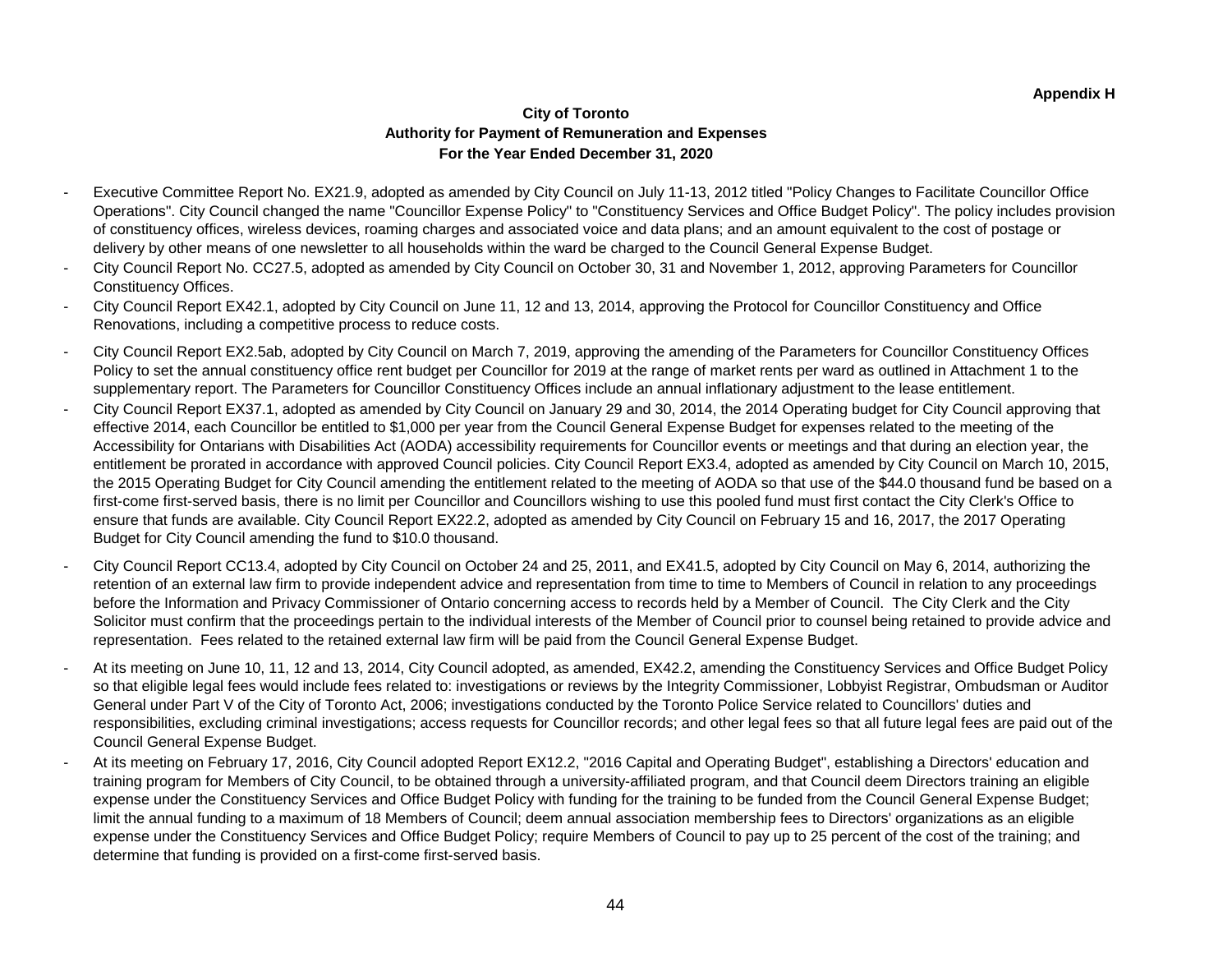#### **City of Toronto Authority for Payment of Remuneration and Expenses For the Year Ended December 31, 2020**

- Executive Committee Report No. EX21.9, adopted as amended by City Council on July 11-13, 2012 titled "Policy Changes to Facilitate Councillor Office Operations". City Council changed the name "Councillor Expense Policy" to "Constituency Services and Office Budget Policy". The policy includes provision of constituency offices, wireless devices, roaming charges and associated voice and data plans; and an amount equivalent to the cost of postage or delivery by other means of one newsletter to all households within the ward be charged to the Council General Expense Budget.
- City Council Report No. CC27.5, adopted as amended by City Council on October 30, 31 and November 1, 2012, approving Parameters for Councillor Constituency Offices.
- City Council Report EX42.1, adopted by City Council on June 11, 12 and 13, 2014, approving the Protocol for Councillor Constituency and Office Renovations, including a competitive process to reduce costs.
- City Council Report EX2.5ab, adopted by City Council on March 7, 2019, approving the amending of the Parameters for Councillor Constituency Offices Policy to set the annual constituency office rent budget per Councillor for 2019 at the range of market rents per ward as outlined in Attachment 1 to the supplementary report. The Parameters for Councillor Constituency Offices include an annual inflationary adjustment to the lease entitlement.
- City Council Report EX37.1, adopted as amended by City Council on January 29 and 30, 2014, the 2014 Operating budget for City Council approving that effective 2014, each Councillor be entitled to \$1,000 per year from the Council General Expense Budget for expenses related to the meeting of the Accessibility for Ontarians with Disabilities Act (AODA) accessibility requirements for Councillor events or meetings and that during an election year, the entitlement be prorated in accordance with approved Council policies. City Council Report EX3.4, adopted as amended by City Council on March 10, 2015, the 2015 Operating Budget for City Council amending the entitlement related to the meeting of AODA so that use of the \$44.0 thousand fund be based on a first-come first-served basis, there is no limit per Councillor and Councillors wishing to use this pooled fund must first contact the City Clerk's Office to ensure that funds are available. City Council Report EX22.2, adopted as amended by City Council on February 15 and 16, 2017, the 2017 Operating Budget for City Council amending the fund to \$10.0 thousand.
- City Council Report CC13.4, adopted by City Council on October 24 and 25, 2011, and EX41.5, adopted by City Council on May 6, 2014, authorizing the retention of an external law firm to provide independent advice and representation from time to time to Members of Council in relation to any proceedings before the Information and Privacy Commissioner of Ontario concerning access to records held by a Member of Council. The City Clerk and the City Solicitor must confirm that the proceedings pertain to the individual interests of the Member of Council prior to counsel being retained to provide advice and representation. Fees related to the retained external law firm will be paid from the Council General Expense Budget.
- Council General Expense Budget. - At its meeting on June 10, 11, 12 and 13, 2014, City Council adopted, as amended, EX42.2, amending the Constituency Services and Office Budget Policy so that eligible legal fees would include fees related to: investigations or reviews by the Integrity Commissioner, Lobbyist Registrar, Ombudsman or Auditor General under Part V of the City of Toronto Act, 2006; investigations conducted by the Toronto Police Service related to Councillors' duties and responsibilities, excluding criminal investigations; access requests for Councillor records; and other legal fees so that all future legal fees are paid out of the
- At its meeting on February 17, 2016, City Council adopted Report EX12.2, "2016 Capital and Operating Budget", establishing a Directors' education and training program for Members of City Council, to be obtained through a university-affiliated program, and that Council deem Directors training an eligible expense under the Constituency Services and Office Budget Policy with funding for the training to be funded from the Council General Expense Budget; limit the annual funding to a maximum of 18 Members of Council; deem annual association membership fees to Directors' organizations as an eligible expense under the Constituency Services and Office Budget Policy; require Members of Council to pay up to 25 percent of the cost of the training; and determine that funding is provided on a first-come first-served basis.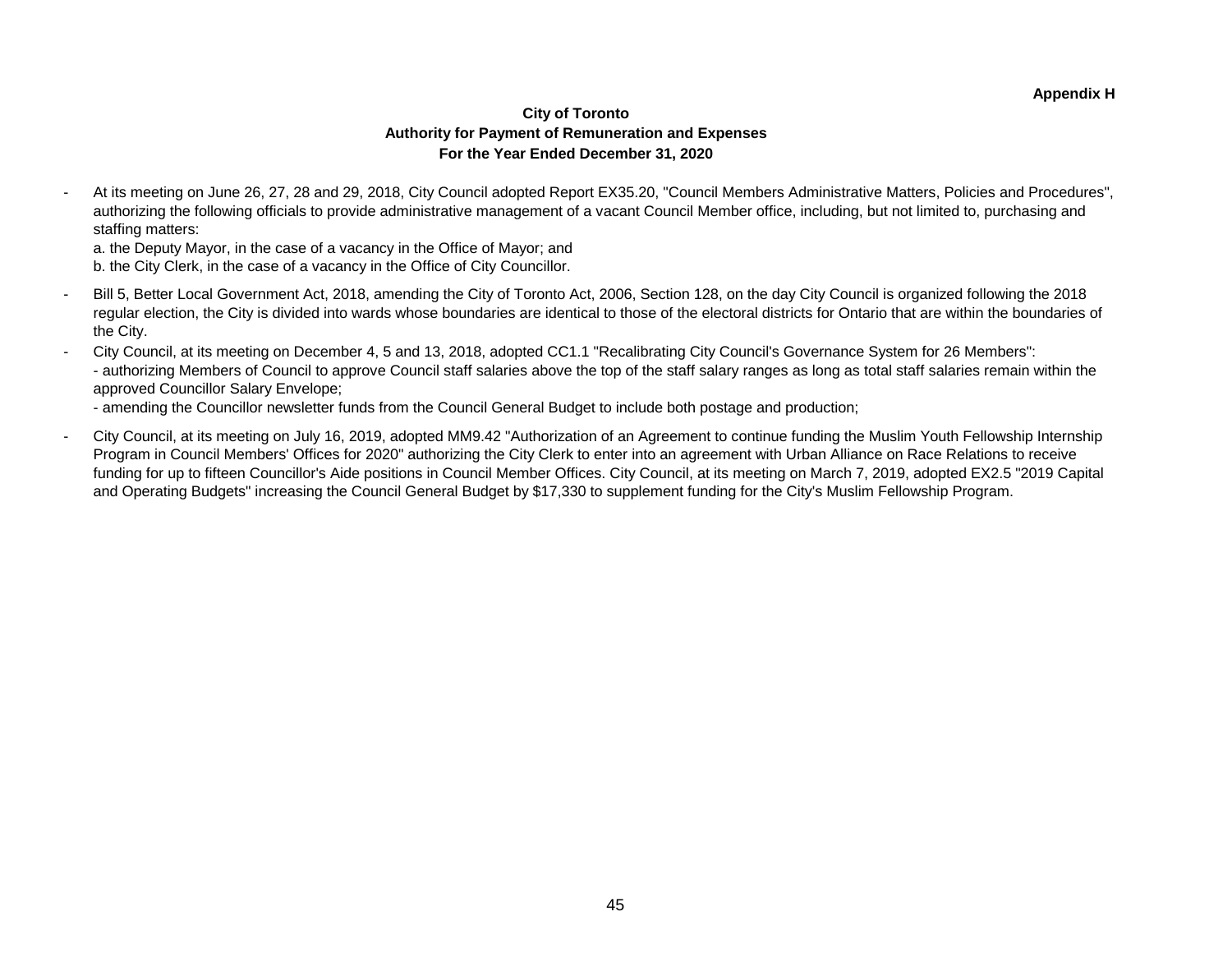#### **City of Toronto Authority for Payment of Remuneration and Expenses For the Year Ended December 31, 2020**

- At its meeting on June 26, 27, 28 and 29, 2018, City Council adopted Report EX35.20, "Council Members Administrative Matters, Policies and Procedures", authorizing the following officials to provide administrative management of a vacant Council Member office, including, but not limited to, purchasing and staffing matters:

a. the Deputy Mayor, in the case of a vacancy in the Office of Mayor; and

b. the City Clerk, in the case of a vacancy in the Office of City Councillor.

- Bill 5, Better Local Government Act, 2018, amending the City of Toronto Act, 2006, Section 128, on the day City Council is organized following the 2018 regular election, the City is divided into wards whose boundaries are identical to those of the electoral districts for Ontario that are within the boundaries of the City.
- City Council, at its meeting on December 4, 5 and 13, 2018, adopted CC1.1 "Recalibrating City Council's Governance System for 26 Members": - authorizing Members of Council to approve Council staff salaries above the top of the staff salary ranges as long as total staff salaries remain within the approved Councillor Salary Envelope;

- amending the Councillor newsletter funds from the Council General Budget to include both postage and production;

- City Council, at its meeting on July 16, 2019, adopted MM9.42 "Authorization of an Agreement to continue funding the Muslim Youth Fellowship Internship Program in Council Members' Offices for 2020" authorizing the City Clerk to enter into an agreement with Urban Alliance on Race Relations to receive funding for up to fifteen Councillor's Aide positions in Council Member Offices. City Council, at its meeting on March 7, 2019, adopted EX2.5 "2019 Capital and Operating Budgets" increasing the Council General Budget by \$17,330 to supplement funding for the City's Muslim Fellowship Program.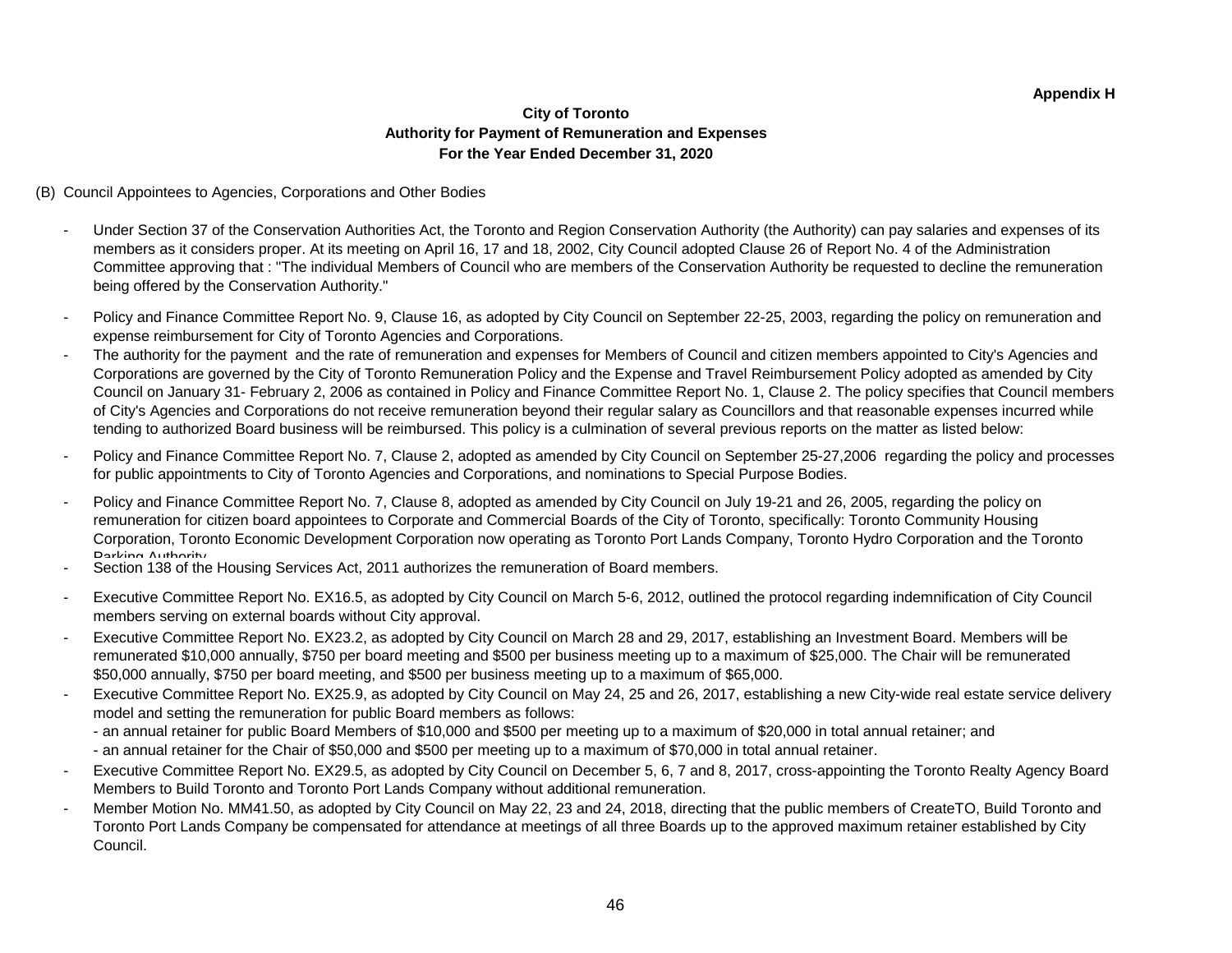#### **City of Toronto Authority for Payment of Remuneration and Expenses For the Year Ended December 31, 2020**

#### (B) Council Appointees to Agencies, Corporations and Other Bodies

- Under Section 37 of the Conservation Authorities Act, the Toronto and Region Conservation Authority (the Authority) can pay salaries and expenses of its members as it considers proper. At its meeting on April 16, 17 and 18, 2002, City Council adopted Clause 26 of Report No. 4 of the Administration Committee approving that : "The individual Members of Council who are members of the Conservation Authority be requested to decline the remuneration being offered by the Conservation Authority."
- Policy and Finance Committee Report No. 9, Clause 16, as adopted by City Council on September 22-25, 2003, regarding the policy on remuneration and expense reimbursement for City of Toronto Agencies and Corporations.
- The authority for the payment and the rate of remuneration and expenses for Members of Council and citizen members appointed to City's Agencies and Corporations are governed by the City of Toronto Remuneration Policy and the Expense and Travel Reimbursement Policy adopted as amended by City Council on January 31- February 2, 2006 as contained in Policy and Finance Committee Report No. 1, Clause 2. The policy specifies that Council members of City's Agencies and Corporations do not receive remuneration beyond their regular salary as Councillors and that reasonable expenses incurred while tending to authorized Board business will be reimbursed. This policy is a culmination of several previous reports on the matter as listed below:
- Policy and Finance Committee Report No. 7, Clause 2, adopted as amended by City Council on September 25-27, 2006 regarding the policy and processes for public appointments to City of Toronto Agencies and Corporations, and nominations to Special Purpose Bodies.
- Policy and Finance Committee Report No. 7, Clause 8, adopted as amended by City Council on July 19-21 and 26, 2005, regarding the policy on remuneration for citizen board appointees to Corporate and Commercial Boards of the City of Toronto, specifically: Toronto Community Housing Corporation, Toronto Economic Development Corporation now operating as Toronto Port Lands Company, Toronto Hydro Corporation and the Toronto<br>Parking Authority
- Section 138 of the Housing Services Act, 2011 authorizes the remuneration of Board members.
- Executive Committee Report No. EX16.5, as adopted by City Council on March 5-6, 2012, outlined the protocol regarding indemnification of City Council members serving on external boards without City approval.
- Executive Committee Report No. EX23.2, as adopted by City Council on March 28 and 29, 2017, establishing an Investment Board. Members will be remunerated \$10,000 annually, \$750 per board meeting and \$500 per business meeting up to a maximum of \$25,000. The Chair will be remunerated \$50,000 annually, \$750 per board meeting, and \$500 per business meeting up to a maximum of \$65,000.
- Executive Committee Report No. EX25.9, as adopted by City Council on May 24, 25 and 26, 2017, establishing a new City-wide real estate service delivery model and setting the remuneration for public Board members as follows:
	- an annual retainer for public Board Members of \$10,000 and \$500 per meeting up to a maximum of \$20,000 in total annual retainer; and - an annual retainer for the Chair of \$50,000 and \$500 per meeting up to a maximum of \$70,000 in total annual retainer.
- Executive Committee Report No. EX29.5, as adopted by City Council on December 5, 6, 7 and 8, 2017, cross-appointing the Toronto Realty Agency Board
- Members to Build Toronto and Toronto Port Lands Company without additional remuneration.
- Member Motion No. MM41.50, as adopted by City Council on May 22, 23 and 24, 2018, directing that the public members of CreateTO, Build Toronto and Toronto Port Lands Company be compensated for attendance at meetings of all three Boards up to the approved maximum retainer established by City Council.